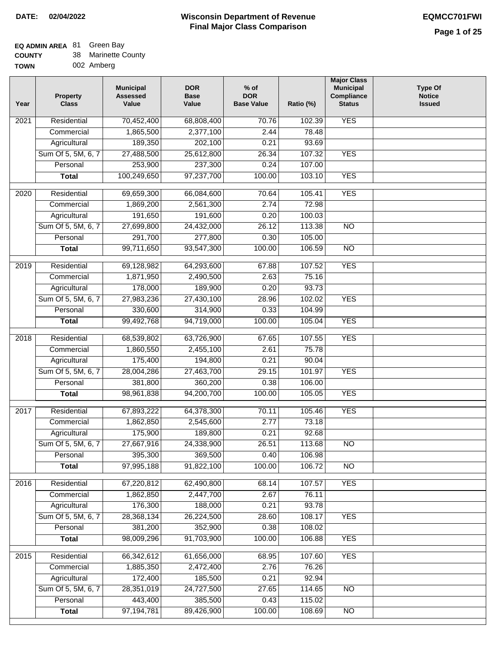## **EQ ADMIN AREA** 81 Green Bay

| <b>COUNTY</b> |  | 38 Marinette County |
|---------------|--|---------------------|
|---------------|--|---------------------|

**TOWN** 002 Amberg

| Year              | <b>Property</b><br><b>Class</b> | <b>Municipal</b><br><b>Assessed</b><br>Value | <b>DOR</b><br><b>Base</b><br>Value | $%$ of<br><b>DOR</b><br><b>Base Value</b> | Ratio (%) | <b>Major Class</b><br><b>Municipal</b><br>Compliance<br><b>Status</b> | <b>Type Of</b><br><b>Notice</b><br><b>Issued</b> |
|-------------------|---------------------------------|----------------------------------------------|------------------------------------|-------------------------------------------|-----------|-----------------------------------------------------------------------|--------------------------------------------------|
| $\overline{202}1$ | Residential                     | 70,452,400                                   | 68,808,400                         | 70.76                                     | 102.39    | <b>YES</b>                                                            |                                                  |
|                   | Commercial                      | 1,865,500                                    | 2,377,100                          | 2.44                                      | 78.48     |                                                                       |                                                  |
|                   | Agricultural                    | 189,350                                      | 202,100                            | 0.21                                      | 93.69     |                                                                       |                                                  |
|                   | Sum Of 5, 5M, 6, 7              | 27,488,500                                   | 25,612,800                         | 26.34                                     | 107.32    | <b>YES</b>                                                            |                                                  |
|                   | Personal                        | 253,900                                      | 237,300                            | 0.24                                      | 107.00    |                                                                       |                                                  |
|                   | <b>Total</b>                    | 100,249,650                                  | 97,237,700                         | 100.00                                    | 103.10    | <b>YES</b>                                                            |                                                  |
| $\overline{2020}$ | Residential                     | 69,659,300                                   | 66,084,600                         | 70.64                                     | 105.41    | <b>YES</b>                                                            |                                                  |
|                   | Commercial                      | 1,869,200                                    | 2,561,300                          | 2.74                                      | 72.98     |                                                                       |                                                  |
|                   | Agricultural                    | 191,650                                      | 191,600                            | 0.20                                      | 100.03    |                                                                       |                                                  |
|                   | Sum Of 5, 5M, 6, 7              | 27,699,800                                   | 24,432,000                         | 26.12                                     | 113.38    | $\overline{NO}$                                                       |                                                  |
|                   | Personal                        | 291,700                                      | 277,800                            | 0.30                                      | 105.00    |                                                                       |                                                  |
|                   | <b>Total</b>                    | 99,711,650                                   | 93,547,300                         | 100.00                                    | 106.59    | $\overline{NO}$                                                       |                                                  |
|                   |                                 |                                              |                                    |                                           |           |                                                                       |                                                  |
| 2019              | Residential                     | 69,128,982                                   | 64,293,600                         | 67.88                                     | 107.52    | <b>YES</b>                                                            |                                                  |
|                   | Commercial                      | 1,871,950                                    | 2,490,500                          | 2.63                                      | 75.16     |                                                                       |                                                  |
|                   | Agricultural                    | 178,000                                      | 189,900                            | 0.20                                      | 93.73     |                                                                       |                                                  |
|                   | Sum Of 5, 5M, 6, 7              | 27,983,236                                   | 27,430,100                         | 28.96                                     | 102.02    | <b>YES</b>                                                            |                                                  |
|                   | Personal                        | 330,600                                      | 314,900                            | 0.33                                      | 104.99    |                                                                       |                                                  |
|                   | <b>Total</b>                    | 99,492,768                                   | 94,719,000                         | 100.00                                    | 105.04    | <b>YES</b>                                                            |                                                  |
| 2018              | Residential                     | 68,539,802                                   | 63,726,900                         | 67.65                                     | 107.55    | <b>YES</b>                                                            |                                                  |
|                   | Commercial                      | 1,860,550                                    | 2,455,100                          | 2.61                                      | 75.78     |                                                                       |                                                  |
|                   | Agricultural                    | 175,400                                      | 194,800                            | 0.21                                      | 90.04     |                                                                       |                                                  |
|                   | Sum Of 5, 5M, 6, 7              | 28,004,286                                   | 27,463,700                         | 29.15                                     | 101.97    | <b>YES</b>                                                            |                                                  |
|                   | Personal                        | 381,800                                      | 360,200                            | 0.38                                      | 106.00    |                                                                       |                                                  |
|                   | <b>Total</b>                    | 98,961,838                                   | 94,200,700                         | 100.00                                    | 105.05    | <b>YES</b>                                                            |                                                  |
| 2017              | Residential                     | 67,893,222                                   | 64,378,300                         | 70.11                                     | 105.46    | <b>YES</b>                                                            |                                                  |
|                   | Commercial                      | 1,862,850                                    | 2,545,600                          | 2.77                                      | 73.18     |                                                                       |                                                  |
|                   | Agricultural                    | 175,900                                      | 189,800                            | 0.21                                      | 92.68     |                                                                       |                                                  |
|                   | Sum Of 5, 5M, 6, 7              | 27,667,916                                   | 24,338,900                         | 26.51                                     | 113.68    | <b>NO</b>                                                             |                                                  |
|                   | Personal                        | 395,300                                      | 369,500                            | 0.40                                      | 106.98    |                                                                       |                                                  |
|                   | <b>Total</b>                    | 97,995,188                                   | 91,822,100                         | 100.00                                    | 106.72    | <b>NO</b>                                                             |                                                  |
|                   |                                 |                                              |                                    |                                           |           |                                                                       |                                                  |
| 2016              | Residential                     | 67,220,812                                   | 62,490,800                         | 68.14                                     | 107.57    | <b>YES</b>                                                            |                                                  |
|                   | Commercial                      | 1,862,850                                    | 2,447,700                          | 2.67                                      | 76.11     |                                                                       |                                                  |
|                   | Agricultural                    | 176,300                                      | 188,000                            | 0.21                                      | 93.78     |                                                                       |                                                  |
|                   | Sum Of 5, 5M, 6, 7              | 28,368,134                                   | 26,224,500                         | 28.60                                     | 108.17    | <b>YES</b>                                                            |                                                  |
|                   | Personal                        | 381,200                                      | 352,900                            | 0.38                                      | 108.02    |                                                                       |                                                  |
|                   | <b>Total</b>                    | 98,009,296                                   | 91,703,900                         | 100.00                                    | 106.88    | <b>YES</b>                                                            |                                                  |
| 2015              | Residential                     | 66,342,612                                   | 61,656,000                         | 68.95                                     | 107.60    | <b>YES</b>                                                            |                                                  |
|                   | Commercial                      | 1,885,350                                    | 2,472,400                          | 2.76                                      | 76.26     |                                                                       |                                                  |
|                   | Agricultural                    | 172,400                                      | 185,500                            | 0.21                                      | 92.94     |                                                                       |                                                  |
|                   | Sum Of 5, 5M, 6, 7              | 28,351,019                                   | 24,727,500                         | 27.65                                     | 114.65    | <b>NO</b>                                                             |                                                  |
|                   | Personal                        | 443,400                                      | 385,500                            | 0.43                                      | 115.02    |                                                                       |                                                  |
|                   | <b>Total</b>                    | 97, 194, 781                                 | 89,426,900                         | 100.00                                    | 108.69    | NO                                                                    |                                                  |
|                   |                                 |                                              |                                    |                                           |           |                                                                       |                                                  |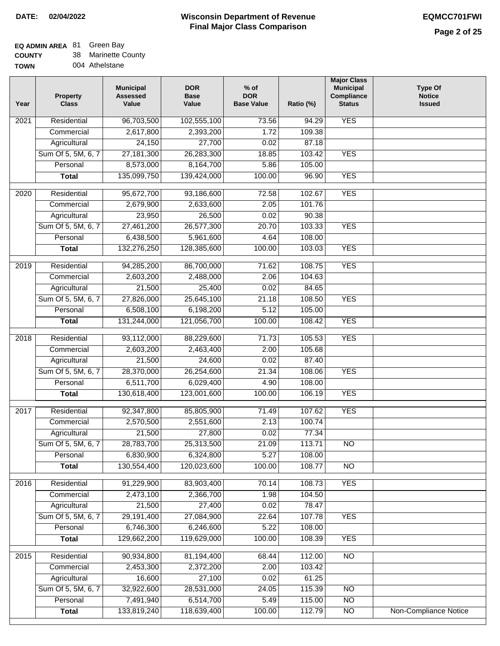## **EQ ADMIN AREA** 81 Green Bay

**COUNTY** 38 Marinette County

**TOWN** 004 Athelstane

| Year              | <b>Property</b><br><b>Class</b> | <b>Municipal</b><br><b>Assessed</b><br>Value | <b>DOR</b><br><b>Base</b><br>Value | $%$ of<br><b>DOR</b><br><b>Base Value</b> | Ratio (%) | <b>Major Class</b><br><b>Municipal</b><br>Compliance<br><b>Status</b> | <b>Type Of</b><br><b>Notice</b><br><b>Issued</b> |
|-------------------|---------------------------------|----------------------------------------------|------------------------------------|-------------------------------------------|-----------|-----------------------------------------------------------------------|--------------------------------------------------|
| $\overline{202}1$ | Residential                     | 96,703,500                                   | 102,555,100                        | 73.56                                     | 94.29     | <b>YES</b>                                                            |                                                  |
|                   | Commercial                      | 2,617,800                                    | 2,393,200                          | 1.72                                      | 109.38    |                                                                       |                                                  |
|                   | Agricultural                    | 24,150                                       | 27,700                             | 0.02                                      | 87.18     |                                                                       |                                                  |
|                   | Sum Of 5, 5M, 6, 7              | 27, 181, 300                                 | 26,283,300                         | 18.85                                     | 103.42    | <b>YES</b>                                                            |                                                  |
|                   | Personal                        | 8,573,000                                    | 8,164,700                          | 5.86                                      | 105.00    |                                                                       |                                                  |
|                   | <b>Total</b>                    | 135,099,750                                  | 139,424,000                        | 100.00                                    | 96.90     | <b>YES</b>                                                            |                                                  |
| $\overline{2020}$ | Residential                     | 95,672,700                                   | 93,186,600                         | 72.58                                     | 102.67    | <b>YES</b>                                                            |                                                  |
|                   | Commercial                      | 2,679,900                                    | 2,633,600                          | 2.05                                      | 101.76    |                                                                       |                                                  |
|                   | Agricultural                    | 23,950                                       | 26,500                             | 0.02                                      | 90.38     |                                                                       |                                                  |
|                   | Sum Of 5, 5M, 6, 7              | 27,461,200                                   | 26,577,300                         | 20.70                                     | 103.33    | <b>YES</b>                                                            |                                                  |
|                   | Personal                        | 6,438,500                                    | 5,961,600                          | 4.64                                      | 108.00    |                                                                       |                                                  |
|                   | <b>Total</b>                    | 132,276,250                                  | 128,385,600                        | 100.00                                    | 103.03    | <b>YES</b>                                                            |                                                  |
|                   |                                 |                                              |                                    |                                           |           |                                                                       |                                                  |
| 2019              | Residential                     | 94,285,200                                   | 86,700,000                         | 71.62                                     | 108.75    | <b>YES</b>                                                            |                                                  |
|                   | Commercial                      | 2,603,200                                    | 2,488,000                          | 2.06                                      | 104.63    |                                                                       |                                                  |
|                   | Agricultural                    | 21,500                                       | 25,400                             | 0.02                                      | 84.65     |                                                                       |                                                  |
|                   | Sum Of 5, 5M, 6, 7              | 27,826,000                                   | 25,645,100                         | 21.18                                     | 108.50    | <b>YES</b>                                                            |                                                  |
|                   | Personal                        | 6,508,100                                    | 6,198,200                          | 5.12                                      | 105.00    |                                                                       |                                                  |
|                   | <b>Total</b>                    | 131,244,000                                  | 121,056,700                        | 100.00                                    | 108.42    | <b>YES</b>                                                            |                                                  |
| 2018              | Residential                     | 93,112,000                                   | 88,229,600                         | 71.73                                     | 105.53    | <b>YES</b>                                                            |                                                  |
|                   | Commercial                      | 2,603,200                                    | 2,463,400                          | 2.00                                      | 105.68    |                                                                       |                                                  |
|                   | Agricultural                    | 21,500                                       | 24,600                             | 0.02                                      | 87.40     |                                                                       |                                                  |
|                   | Sum Of 5, 5M, 6, 7              | 28,370,000                                   | 26,254,600                         | 21.34                                     | 108.06    | <b>YES</b>                                                            |                                                  |
|                   | Personal                        | 6,511,700                                    | 6,029,400                          | 4.90                                      | 108.00    |                                                                       |                                                  |
|                   | <b>Total</b>                    | 130,618,400                                  | 123,001,600                        | 100.00                                    | 106.19    | <b>YES</b>                                                            |                                                  |
| 2017              | Residential                     | 92,347,800                                   | 85,805,900                         | 71.49                                     | 107.62    | <b>YES</b>                                                            |                                                  |
|                   | Commercial                      | 2,570,500                                    | 2,551,600                          | 2.13                                      | 100.74    |                                                                       |                                                  |
|                   | Agricultural                    | 21,500                                       | 27,800                             | 0.02                                      | 77.34     |                                                                       |                                                  |
|                   | Sum Of 5, 5M, 6, 7              | 28,783,700                                   | 25,313,500                         | 21.09                                     | 113.71    | <b>NO</b>                                                             |                                                  |
|                   | Personal                        | 6,830,900                                    | 6,324,800                          | 5.27                                      | 108.00    |                                                                       |                                                  |
|                   | <b>Total</b>                    | 130,554,400                                  | 120,023,600                        | 100.00                                    | 108.77    | <b>NO</b>                                                             |                                                  |
| 2016              | Residential                     | 91,229,900                                   | 83,903,400                         | 70.14                                     | 108.73    | <b>YES</b>                                                            |                                                  |
|                   | Commercial                      | 2,473,100                                    | 2,366,700                          | 1.98                                      | 104.50    |                                                                       |                                                  |
|                   | Agricultural                    | 21,500                                       | 27,400                             | 0.02                                      | 78.47     |                                                                       |                                                  |
|                   | Sum Of 5, 5M, 6, 7              | 29,191,400                                   | 27,084,900                         | 22.64                                     | 107.78    | <b>YES</b>                                                            |                                                  |
|                   | Personal                        | 6,746,300                                    | 6,246,600                          | 5.22                                      | 108.00    |                                                                       |                                                  |
|                   | <b>Total</b>                    | 129,662,200                                  | 119,629,000                        | 100.00                                    | 108.39    | <b>YES</b>                                                            |                                                  |
| 2015              | Residential                     | 90,934,800                                   | 81,194,400                         | 68.44                                     | 112.00    | N <sub>O</sub>                                                        |                                                  |
|                   | Commercial                      | 2,453,300                                    | 2,372,200                          | 2.00                                      | 103.42    |                                                                       |                                                  |
|                   | Agricultural                    | 16,600                                       | 27,100                             | 0.02                                      | 61.25     |                                                                       |                                                  |
|                   | Sum Of 5, 5M, 6, 7              | 32,922,600                                   | 28,531,000                         | 24.05                                     | 115.39    | <b>NO</b>                                                             |                                                  |
|                   | Personal                        | 7,491,940                                    | 6,514,700                          | 5.49                                      | 115.00    | $\overline{NO}$                                                       |                                                  |
|                   | <b>Total</b>                    | 133,819,240                                  | 118,639,400                        | 100.00                                    | 112.79    | N <sub>O</sub>                                                        | <b>Non-Compliance Notice</b>                     |
|                   |                                 |                                              |                                    |                                           |           |                                                                       |                                                  |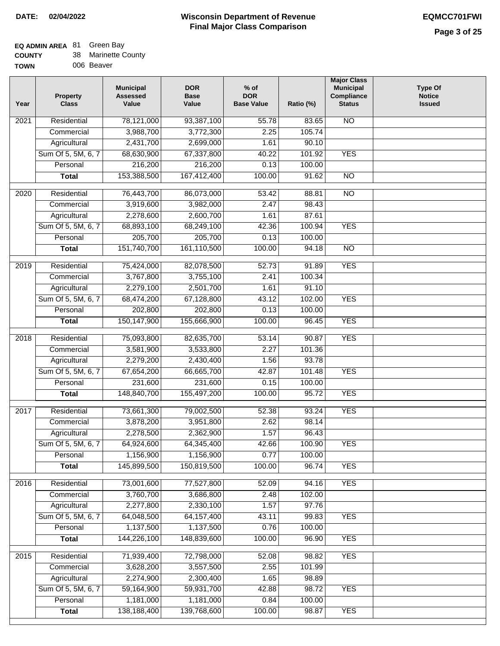**% of**

**Major Class Municipal**

**Type Of** 

### **EQ ADMIN AREA** 81 Green Bay

| <b>COUNTY</b> | 38 Marinette County |
|---------------|---------------------|
| <b>TOWN</b>   | 006 Beaver          |

| <b>TOWN</b> |                                 | 006 Beaver                                   |                                    |  |  |  |  |  |
|-------------|---------------------------------|----------------------------------------------|------------------------------------|--|--|--|--|--|
| Year        | <b>Property</b><br><b>Class</b> | <b>Municipal</b><br><b>Assessed</b><br>Value | <b>DOR</b><br><b>Base</b><br>Value |  |  |  |  |  |
| 2021        | Residential                     | 78,121,000                                   | 93,387,100                         |  |  |  |  |  |
|             | Commercial                      | 3,988,700                                    | 3,772,300                          |  |  |  |  |  |
|             | Agricultural                    | 2,431,700                                    | 2,699,000                          |  |  |  |  |  |

| Year             | <b>Property</b><br><b>Class</b> | Assessed<br>Value | <b>Base</b><br>Value | <b>DOR</b><br><b>Base Value</b> | Ratio (%) | Compliance<br><b>Status</b> | <b>Notice</b><br><b>Issued</b> |
|------------------|---------------------------------|-------------------|----------------------|---------------------------------|-----------|-----------------------------|--------------------------------|
| $\frac{2021}{ }$ | Residential                     | 78,121,000        | 93,387,100           | 55.78                           | 83.65     | N <sub>O</sub>              |                                |
|                  | Commercial                      | 3,988,700         | 3,772,300            | 2.25                            | 105.74    |                             |                                |
|                  | Agricultural                    | 2,431,700         | 2,699,000            | 1.61                            | 90.10     |                             |                                |
|                  | Sum Of 5, 5M, 6, 7              | 68,630,900        | 67,337,800           | 40.22                           | 101.92    | <b>YES</b>                  |                                |
|                  | Personal                        | 216,200           | 216,200              | 0.13                            | 100.00    |                             |                                |
|                  | <b>Total</b>                    | 153,388,500       | 167,412,400          | 100.00                          | 91.62     | $\overline{NO}$             |                                |
| 2020             | Residential                     | 76,443,700        | 86,073,000           | 53.42                           | 88.81     | $\overline{3}$              |                                |
|                  | Commercial                      | 3,919,600         | 3,982,000            | 2.47                            | 98.43     |                             |                                |
|                  | Agricultural                    | 2,278,600         | 2,600,700            | 1.61                            | 87.61     |                             |                                |
|                  | Sum Of 5, 5M, 6, 7              | 68,893,100        | 68,249,100           | 42.36                           | 100.94    | <b>YES</b>                  |                                |
|                  | Personal                        | 205,700           | 205,700              | 0.13                            | 100.00    |                             |                                |
|                  | <b>Total</b>                    | 151,740,700       | 161,110,500          | 100.00                          | 94.18     | $\overline{NO}$             |                                |
| 2019             | Residential                     | 75,424,000        | 82,078,500           | 52.73                           | 91.89     | <b>YES</b>                  |                                |
|                  | Commercial                      | 3,767,800         | 3,755,100            | 2.41                            | 100.34    |                             |                                |
|                  | Agricultural                    | 2,279,100         | 2,501,700            | 1.61                            | 91.10     |                             |                                |
|                  | Sum Of 5, 5M, 6, 7              | 68,474,200        | 67,128,800           | 43.12                           | 102.00    | <b>YES</b>                  |                                |
|                  | Personal                        | 202,800           | 202,800              | 0.13                            | 100.00    |                             |                                |
|                  | <b>Total</b>                    | 150,147,900       | 155,666,900          | 100.00                          | 96.45     | <b>YES</b>                  |                                |
| 2018             | Residential                     | 75,093,800        | 82,635,700           | 53.14                           | 90.87     | <b>YES</b>                  |                                |
|                  | Commercial                      | 3,581,900         | 3,533,800            | 2.27                            | 101.36    |                             |                                |
|                  | Agricultural                    | 2,279,200         | 2,430,400            | 1.56                            | 93.78     |                             |                                |
|                  | Sum Of 5, 5M, 6, 7              | 67,654,200        | 66,665,700           | 42.87                           | 101.48    | <b>YES</b>                  |                                |
|                  | Personal                        | 231,600           | 231,600              | 0.15                            | 100.00    |                             |                                |
|                  | <b>Total</b>                    | 148,840,700       | 155,497,200          | 100.00                          | 95.72     | <b>YES</b>                  |                                |
| 2017             | Residential                     | 73,661,300        | 79,002,500           | 52.38                           | 93.24     | <b>YES</b>                  |                                |
|                  | Commercial                      | 3,878,200         | 3,951,800            | 2.62                            | 98.14     |                             |                                |
|                  | Agricultural                    | 2,278,500         | 2,362,900            | 1.57                            | 96.43     |                             |                                |
|                  | Sum Of 5, 5M, 6, 7              | 64,924,600        | 64,345,400           | 42.66                           | 100.90    | <b>YES</b>                  |                                |
|                  | Personal                        | 1,156,900         | 1,156,900            | 0.77                            | 100.00    |                             |                                |
|                  | <b>Total</b>                    | 145,899,500       | 150,819,500          | 100.00                          | 96.74     | <b>YES</b>                  |                                |
|                  |                                 |                   |                      |                                 |           |                             |                                |
| 2016             | Residential                     | 73,001,600        | 77,527,800           | 52.09                           | 94.16     | <b>YES</b>                  |                                |
|                  | Commercial                      | 3,760,700         | 3,686,800            | 2.48                            | 102.00    |                             |                                |
|                  | Agricultural                    | 2,277,800         | 2,330,100            | 1.57                            | 97.76     |                             |                                |
|                  | Sum Of 5, 5M, 6, 7              | 64,048,500        | 64, 157, 400         | 43.11                           | 99.83     | <b>YES</b>                  |                                |
|                  | Personal                        | 1,137,500         | 1,137,500            | 0.76                            | 100.00    |                             |                                |
|                  | <b>Total</b>                    | 144,226,100       | 148,839,600          | 100.00                          | 96.90     | <b>YES</b>                  |                                |
| 2015             | Residential                     | 71,939,400        | 72,798,000           | 52.08                           | 98.82     | <b>YES</b>                  |                                |
|                  | Commercial                      | 3,628,200         | 3,557,500            | 2.55                            | 101.99    |                             |                                |
|                  | Agricultural                    | 2,274,900         | 2,300,400            | 1.65                            | 98.89     |                             |                                |
|                  | Sum Of 5, 5M, 6, 7              | 59,164,900        | 59,931,700           | 42.88                           | 98.72     | <b>YES</b>                  |                                |
|                  | Personal                        | 1,181,000         | 1,181,000            | 0.84                            | 100.00    |                             |                                |
|                  | <b>Total</b>                    | 138,188,400       | 139,768,600          | 100.00                          | 98.87     | <b>YES</b>                  |                                |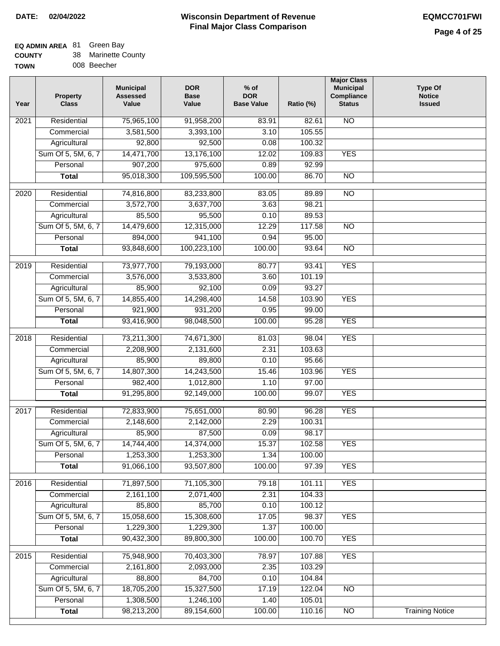# **EQ ADMIN AREA** 81 Green Bay

| <b>COUNTY</b> |  | Marinette County |
|---------------|--|------------------|
|---------------|--|------------------|

**TOWN** 008 Beecher

| Year              | <b>Property</b><br><b>Class</b> | <b>Municipal</b><br><b>Assessed</b><br>Value | <b>DOR</b><br><b>Base</b><br>Value | % of<br><b>DOR</b><br><b>Base Value</b> | Ratio (%)        | <b>Major Class</b><br><b>Municipal</b><br>Compliance<br><b>Status</b> | <b>Type Of</b><br><b>Notice</b><br><b>Issued</b> |
|-------------------|---------------------------------|----------------------------------------------|------------------------------------|-----------------------------------------|------------------|-----------------------------------------------------------------------|--------------------------------------------------|
| 2021              | Residential                     | 75,965,100                                   | 91,958,200                         | 83.91                                   | 82.61            | N <sub>O</sub>                                                        |                                                  |
|                   | Commercial                      | 3,581,500                                    | 3,393,100                          | 3.10                                    | 105.55           |                                                                       |                                                  |
|                   | Agricultural                    | 92,800                                       | 92,500                             | 0.08                                    | 100.32           |                                                                       |                                                  |
|                   | Sum Of 5, 5M, 6, 7              | 14,471,700                                   | 13,176,100                         | 12.02                                   | 109.83           | <b>YES</b>                                                            |                                                  |
|                   | Personal                        | 907,200                                      | 975,600                            | 0.89                                    | 92.99            |                                                                       |                                                  |
|                   | <b>Total</b>                    | 95,018,300                                   | 109,595,500                        | 100.00                                  | 86.70            | $\overline{NO}$                                                       |                                                  |
|                   |                                 |                                              |                                    |                                         |                  |                                                                       |                                                  |
| $\overline{2020}$ | Residential                     | 74,816,800                                   | 83,233,800                         | 83.05                                   | 89.89            | $\overline{NO}$                                                       |                                                  |
|                   | Commercial                      | 3,572,700                                    | 3,637,700                          | 3.63                                    | 98.21            |                                                                       |                                                  |
|                   | Agricultural                    | 85,500                                       | 95,500                             | 0.10                                    | 89.53            |                                                                       |                                                  |
|                   | Sum Of 5, 5M, 6, 7              | 14,479,600                                   | 12,315,000                         | 12.29                                   | 117.58           | $\overline{NO}$                                                       |                                                  |
|                   | Personal                        | 894,000                                      | 941,100                            | 0.94                                    | 95.00            |                                                                       |                                                  |
|                   | <b>Total</b>                    | 93,848,600                                   | 100,223,100                        | 100.00                                  | 93.64            | $\overline{NO}$                                                       |                                                  |
| 2019              | Residential                     | 73,977,700                                   | 79,193,000                         | 80.77                                   | 93.41            | <b>YES</b>                                                            |                                                  |
|                   | Commercial                      | 3,576,000                                    | 3,533,800                          | 3.60                                    | 101.19           |                                                                       |                                                  |
|                   | Agricultural                    | 85,900                                       | 92,100                             | 0.09                                    | 93.27            |                                                                       |                                                  |
|                   | Sum Of 5, 5M, 6, 7              | 14,855,400                                   | 14,298,400                         | 14.58                                   | 103.90           | <b>YES</b>                                                            |                                                  |
|                   | Personal                        | 921,900                                      | 931,200                            | 0.95                                    | 99.00            |                                                                       |                                                  |
|                   | <b>Total</b>                    | 93,416,900                                   | 98,048,500                         | 100.00                                  | 95.28            | <b>YES</b>                                                            |                                                  |
| 2018              | Residential                     | 73,211,300                                   | 74,671,300                         | 81.03                                   | 98.04            | <b>YES</b>                                                            |                                                  |
|                   | Commercial                      | 2,208,900                                    | 2,131,600                          | 2.31                                    | 103.63           |                                                                       |                                                  |
|                   | Agricultural                    | 85,900                                       | 89,800                             | 0.10                                    | 95.66            |                                                                       |                                                  |
|                   | Sum Of 5, 5M, 6, 7              | 14,807,300                                   | 14,243,500                         | 15.46                                   | 103.96           | <b>YES</b>                                                            |                                                  |
|                   | Personal                        | 982,400                                      | 1,012,800                          | 1.10                                    | 97.00            |                                                                       |                                                  |
|                   | <b>Total</b>                    | 91,295,800                                   | 92,149,000                         | 100.00                                  | 99.07            | <b>YES</b>                                                            |                                                  |
| 2017              | Residential                     | 72,833,900                                   | 75,651,000                         | 80.90                                   | 96.28            | <b>YES</b>                                                            |                                                  |
|                   | Commercial                      | 2,148,600                                    | 2,142,000                          | 2.29                                    | 100.31           |                                                                       |                                                  |
|                   | Agricultural                    | 85,900                                       | 87,500                             | 0.09                                    | 98.17            |                                                                       |                                                  |
|                   | Sum Of 5, 5M, 6, 7              | 14,744,400                                   | 14,374,000                         | 15.37                                   | 102.58           | <b>YES</b>                                                            |                                                  |
|                   | Personal                        | 1,253,300                                    | 1,253,300                          | 1.34                                    | 100.00           |                                                                       |                                                  |
|                   | <b>Total</b>                    | 91,066,100                                   | 93,507,800                         | 100.00                                  | 97.39            | <b>YES</b>                                                            |                                                  |
|                   |                                 |                                              |                                    |                                         |                  |                                                                       |                                                  |
| 2016              | Residential                     | 71,897,500                                   | 71,105,300                         | 79.18                                   | 101.11           | <b>YES</b>                                                            |                                                  |
|                   | Commercial                      | 2,161,100                                    | 2,071,400                          | 2.31                                    | 104.33           |                                                                       |                                                  |
|                   | Agricultural                    | 85,800                                       | 85,700                             | 0.10                                    | 100.12           |                                                                       |                                                  |
|                   | Sum Of 5, 5M, 6, 7<br>Personal  | 15,058,600                                   | 15,308,600<br>1,229,300            | 17.05                                   | 98.37            | <b>YES</b>                                                            |                                                  |
|                   | <b>Total</b>                    | 1,229,300<br>90,432,300                      | 89,800,300                         | 1.37<br>100.00                          | 100.00<br>100.70 | <b>YES</b>                                                            |                                                  |
|                   |                                 |                                              |                                    |                                         |                  |                                                                       |                                                  |
| 2015              | Residential                     | 75,948,900                                   | 70,403,300                         | 78.97                                   | 107.88           | <b>YES</b>                                                            |                                                  |
|                   | Commercial                      | 2,161,800                                    | 2,093,000                          | 2.35                                    | 103.29           |                                                                       |                                                  |
|                   | Agricultural                    | 88,800                                       | 84,700                             | 0.10                                    | 104.84           |                                                                       |                                                  |
|                   | Sum Of 5, 5M, 6, 7              | 18,705,200                                   | 15,327,500                         | 17.19                                   | 122.04           | $\overline{NO}$                                                       |                                                  |
|                   | Personal                        | 1,308,500                                    | 1,246,100                          | 1.40                                    | 105.01           |                                                                       |                                                  |
|                   | <b>Total</b>                    | 98,213,200                                   | 89,154,600                         | 100.00                                  | 110.16           | N <sub>O</sub>                                                        | <b>Training Notice</b>                           |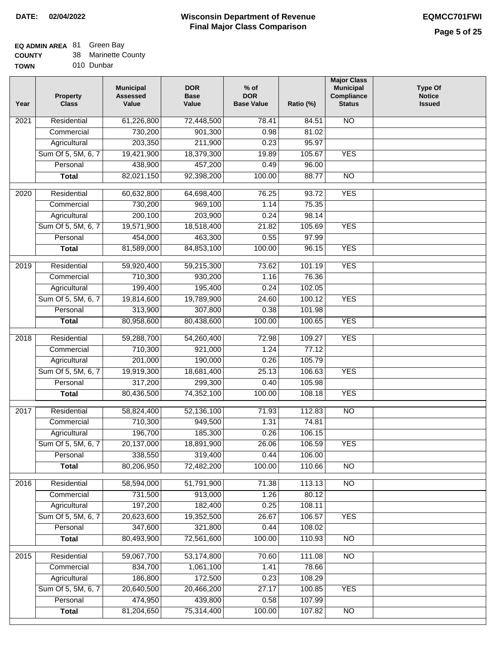## **EQ ADMIN AREA** 81 Green Bay

**COUNTY** 38 Marinette County

**TOWN** 010 Dunbar

| Year              | <b>Property</b><br><b>Class</b> | <b>Municipal</b><br><b>Assessed</b><br>Value | <b>DOR</b><br><b>Base</b><br>Value | $%$ of<br><b>DOR</b><br><b>Base Value</b> | Ratio (%) | <b>Major Class</b><br><b>Municipal</b><br>Compliance<br><b>Status</b> | <b>Type Of</b><br><b>Notice</b><br><b>Issued</b> |
|-------------------|---------------------------------|----------------------------------------------|------------------------------------|-------------------------------------------|-----------|-----------------------------------------------------------------------|--------------------------------------------------|
| 2021              | Residential                     | 61,226,800                                   | 72,448,500                         | 78.41                                     | 84.51     | <b>NO</b>                                                             |                                                  |
|                   | Commercial                      | 730,200                                      | 901,300                            | 0.98                                      | 81.02     |                                                                       |                                                  |
|                   | Agricultural                    | 203,350                                      | 211,900                            | 0.23                                      | 95.97     |                                                                       |                                                  |
|                   | Sum Of 5, 5M, 6, 7              | 19,421,900                                   | 18,379,300                         | 19.89                                     | 105.67    | <b>YES</b>                                                            |                                                  |
|                   | Personal                        | 438,900                                      | 457,200                            | 0.49                                      | 96.00     |                                                                       |                                                  |
|                   | <b>Total</b>                    | 82,021,150                                   | 92,398,200                         | 100.00                                    | 88.77     | $\overline{NO}$                                                       |                                                  |
| $\overline{2020}$ | Residential                     | 60,632,800                                   | 64,698,400                         | 76.25                                     | 93.72     | <b>YES</b>                                                            |                                                  |
|                   | Commercial                      | 730,200                                      | 969,100                            | 1.14                                      | 75.35     |                                                                       |                                                  |
|                   | Agricultural                    | 200,100                                      | 203,900                            | 0.24                                      | 98.14     |                                                                       |                                                  |
|                   | Sum Of 5, 5M, 6, 7              | 19,571,900                                   | 18,518,400                         | 21.82                                     | 105.69    | <b>YES</b>                                                            |                                                  |
|                   | Personal                        | 454,000                                      | 463,300                            | 0.55                                      | 97.99     |                                                                       |                                                  |
|                   | <b>Total</b>                    | 81,589,000                                   | 84,853,100                         | 100.00                                    | 96.15     | <b>YES</b>                                                            |                                                  |
| $\frac{2019}{ }$  | Residential                     |                                              |                                    | 73.62                                     | 101.19    | <b>YES</b>                                                            |                                                  |
|                   | Commercial                      | 59,920,400<br>710,300                        | 59,215,300<br>930,200              | 1.16                                      | 76.36     |                                                                       |                                                  |
|                   |                                 |                                              |                                    | 0.24                                      |           |                                                                       |                                                  |
|                   | Agricultural                    | 199,400<br>19,814,600                        | 195,400<br>19,789,900              |                                           | 102.05    |                                                                       |                                                  |
|                   | Sum Of 5, 5M, 6, 7              |                                              |                                    | 24.60                                     | 100.12    | <b>YES</b>                                                            |                                                  |
|                   | Personal                        | 313,900                                      | 307,800                            | 0.38                                      | 101.98    | <b>YES</b>                                                            |                                                  |
|                   | <b>Total</b>                    | 80,958,600                                   | 80,438,600                         | 100.00                                    | 100.65    |                                                                       |                                                  |
| 2018              | Residential                     | 59,288,700                                   | 54,260,400                         | 72.98                                     | 109.27    | <b>YES</b>                                                            |                                                  |
|                   | Commercial                      | 710,300                                      | 921,000                            | 1.24                                      | 77.12     |                                                                       |                                                  |
|                   | Agricultural                    | 201,000                                      | 190,000                            | 0.26                                      | 105.79    |                                                                       |                                                  |
|                   | Sum Of 5, 5M, 6, 7              | 19,919,300                                   | 18,681,400                         | 25.13                                     | 106.63    | <b>YES</b>                                                            |                                                  |
|                   | Personal                        | 317,200                                      | 299,300                            | 0.40                                      | 105.98    |                                                                       |                                                  |
|                   | <b>Total</b>                    | 80,436,500                                   | 74,352,100                         | 100.00                                    | 108.18    | <b>YES</b>                                                            |                                                  |
| 2017              | Residential                     | 58,824,400                                   | 52,136,100                         | 71.93                                     | 112.83    | $\overline{NO}$                                                       |                                                  |
|                   | Commercial                      | 710,300                                      | 949,500                            | 1.31                                      | 74.81     |                                                                       |                                                  |
|                   | Agricultural                    | 196,700                                      | 185,300                            | 0.26                                      | 106.15    |                                                                       |                                                  |
|                   | Sum Of 5, 5M, 6, 7              | 20,137,000                                   | 18,891,900                         | 26.06                                     | 106.59    | <b>YES</b>                                                            |                                                  |
|                   | Personal                        | 338,550                                      | 319,400                            | 0.44                                      | 106.00    |                                                                       |                                                  |
|                   | <b>Total</b>                    | 80,206,950                                   | 72,482,200                         | 100.00                                    | 110.66    | <b>NO</b>                                                             |                                                  |
| 2016              | Residential                     | 58,594,000                                   | 51,791,900                         | 71.38                                     | 113.13    | N <sub>O</sub>                                                        |                                                  |
|                   | Commercial                      | 731,500                                      | 913,000                            | 1.26                                      | 80.12     |                                                                       |                                                  |
|                   | Agricultural                    | 197,200                                      | 182,400                            | 0.25                                      | 108.11    |                                                                       |                                                  |
|                   | Sum Of 5, 5M, 6, 7              | 20,623,600                                   | 19,352,500                         | 26.67                                     | 106.57    | <b>YES</b>                                                            |                                                  |
|                   | Personal                        | 347,600                                      | 321,800                            | 0.44                                      | 108.02    |                                                                       |                                                  |
|                   | <b>Total</b>                    | 80,493,900                                   | 72,561,600                         | 100.00                                    | 110.93    | N <sub>O</sub>                                                        |                                                  |
| 2015              | Residential                     | 59,067,700                                   | 53,174,800                         | 70.60                                     | 111.08    | N <sub>O</sub>                                                        |                                                  |
|                   | Commercial                      | 834,700                                      | 1,061,100                          | 1.41                                      | 78.66     |                                                                       |                                                  |
|                   | Agricultural                    | 186,800                                      | 172,500                            | 0.23                                      | 108.29    |                                                                       |                                                  |
|                   | Sum Of 5, 5M, 6, 7              | 20,640,500                                   | 20,466,200                         | 27.17                                     | 100.85    | <b>YES</b>                                                            |                                                  |
|                   | Personal                        | 474,950                                      | 439,800                            | 0.58                                      | 107.99    |                                                                       |                                                  |
|                   | <b>Total</b>                    | 81,204,650                                   | 75,314,400                         | 100.00                                    | 107.82    | $\overline{NO}$                                                       |                                                  |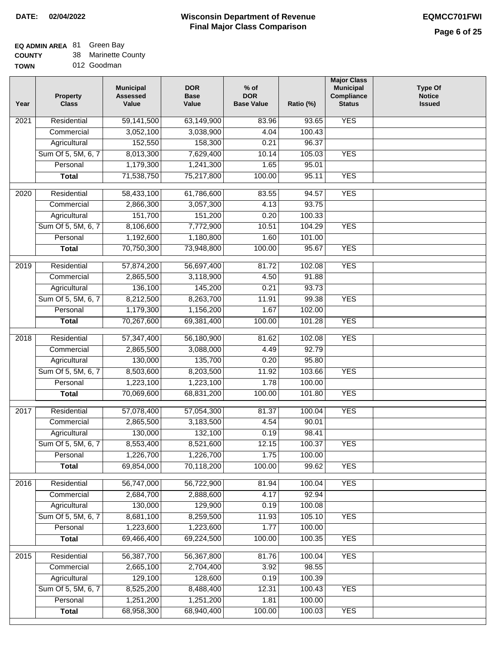## **EQ ADMIN AREA** 81 Green Bay

**COUNTY TOWN** 38 Marinette County

012 Goodman

| Year              | <b>Property</b><br><b>Class</b> | <b>Municipal</b><br><b>Assessed</b><br>Value | <b>DOR</b><br><b>Base</b><br>Value | $%$ of<br><b>DOR</b><br><b>Base Value</b> | Ratio (%) | <b>Major Class</b><br><b>Municipal</b><br>Compliance<br><b>Status</b> | <b>Type Of</b><br><b>Notice</b><br><b>Issued</b> |
|-------------------|---------------------------------|----------------------------------------------|------------------------------------|-------------------------------------------|-----------|-----------------------------------------------------------------------|--------------------------------------------------|
| $\overline{202}1$ | Residential                     | 59,141,500                                   | 63,149,900                         | 83.96                                     | 93.65     | <b>YES</b>                                                            |                                                  |
|                   | Commercial                      | 3,052,100                                    | 3,038,900                          | 4.04                                      | 100.43    |                                                                       |                                                  |
|                   | Agricultural                    | 152,550                                      | 158,300                            | 0.21                                      | 96.37     |                                                                       |                                                  |
|                   | Sum Of 5, 5M, 6, 7              | 8,013,300                                    | 7,629,400                          | 10.14                                     | 105.03    | <b>YES</b>                                                            |                                                  |
|                   | Personal                        | 1,179,300                                    | 1,241,300                          | 1.65                                      | 95.01     |                                                                       |                                                  |
|                   | <b>Total</b>                    | 71,538,750                                   | 75,217,800                         | 100.00                                    | 95.11     | <b>YES</b>                                                            |                                                  |
| $\overline{2020}$ | Residential                     | 58,433,100                                   | 61,786,600                         | 83.55                                     | 94.57     | <b>YES</b>                                                            |                                                  |
|                   | Commercial                      | 2,866,300                                    | 3,057,300                          | 4.13                                      | 93.75     |                                                                       |                                                  |
|                   | Agricultural                    | 151,700                                      | 151,200                            | 0.20                                      | 100.33    |                                                                       |                                                  |
|                   | Sum Of 5, 5M, 6, 7              | 8,106,600                                    | 7,772,900                          | 10.51                                     | 104.29    | <b>YES</b>                                                            |                                                  |
|                   | Personal                        | 1,192,600                                    | 1,180,800                          | 1.60                                      | 101.00    |                                                                       |                                                  |
|                   | <b>Total</b>                    | 70,750,300                                   | 73,948,800                         | 100.00                                    | 95.67     | <b>YES</b>                                                            |                                                  |
| 2019              | Residential                     | 57,874,200                                   | 56,697,400                         | 81.72                                     | 102.08    | <b>YES</b>                                                            |                                                  |
|                   | Commercial                      | 2,865,500                                    | 3,118,900                          | 4.50                                      | 91.88     |                                                                       |                                                  |
|                   | Agricultural                    | 136,100                                      | 145,200                            | 0.21                                      | 93.73     |                                                                       |                                                  |
|                   | Sum Of 5, 5M, 6, 7              | 8,212,500                                    | 8,263,700                          | 11.91                                     | 99.38     | <b>YES</b>                                                            |                                                  |
|                   | Personal                        | 1,179,300                                    | 1,156,200                          | 1.67                                      | 102.00    |                                                                       |                                                  |
|                   | <b>Total</b>                    | 70,267,600                                   | 69,381,400                         | 100.00                                    | 101.28    | <b>YES</b>                                                            |                                                  |
| 2018              | Residential                     | 57,347,400                                   | 56,180,900                         | 81.62                                     | 102.08    | <b>YES</b>                                                            |                                                  |
|                   | Commercial                      | 2,865,500                                    | 3,088,000                          | 4.49                                      | 92.79     |                                                                       |                                                  |
|                   | Agricultural                    | 130,000                                      | 135,700                            | 0.20                                      | 95.80     |                                                                       |                                                  |
|                   | Sum Of 5, 5M, 6, 7              | 8,503,600                                    | 8,203,500                          | 11.92                                     | 103.66    | <b>YES</b>                                                            |                                                  |
|                   | Personal                        | 1,223,100                                    | 1,223,100                          | 1.78                                      | 100.00    |                                                                       |                                                  |
|                   | <b>Total</b>                    | 70,069,600                                   | 68,831,200                         | 100.00                                    | 101.80    | <b>YES</b>                                                            |                                                  |
| 2017              | Residential                     | 57,078,400                                   | 57,054,300                         | 81.37                                     | 100.04    | <b>YES</b>                                                            |                                                  |
|                   | Commercial                      | 2,865,500                                    | 3,183,500                          | 4.54                                      | 90.01     |                                                                       |                                                  |
|                   | Agricultural                    | 130,000                                      | 132,100                            | 0.19                                      | 98.41     |                                                                       |                                                  |
|                   | Sum Of 5, 5M, 6, 7              | 8,553,400                                    | 8,521,600                          | 12.15                                     | 100.37    | <b>YES</b>                                                            |                                                  |
|                   | Personal                        | 1,226,700                                    | 1,226,700                          | 1.75                                      | 100.00    |                                                                       |                                                  |
|                   | <b>Total</b>                    | 69,854,000                                   | 70,118,200                         | 100.00                                    | 99.62     | <b>YES</b>                                                            |                                                  |
| 2016              | Residential                     | 56,747,000                                   | 56,722,900                         | 81.94                                     | 100.04    | <b>YES</b>                                                            |                                                  |
|                   | Commercial                      | 2,684,700                                    | 2,888,600                          | 4.17                                      | 92.94     |                                                                       |                                                  |
|                   | Agricultural                    | 130,000                                      | 129,900                            | 0.19                                      | 100.08    |                                                                       |                                                  |
|                   | Sum Of 5, 5M, 6, 7              | 8,681,100                                    | 8,259,500                          | 11.93                                     | 105.10    | <b>YES</b>                                                            |                                                  |
|                   | Personal                        | 1,223,600                                    | 1,223,600                          | 1.77                                      | 100.00    |                                                                       |                                                  |
|                   | <b>Total</b>                    | 69,466,400                                   | 69,224,500                         | 100.00                                    | 100.35    | <b>YES</b>                                                            |                                                  |
| 2015              | Residential                     | 56,387,700                                   | 56,367,800                         | 81.76                                     | 100.04    | <b>YES</b>                                                            |                                                  |
|                   | Commercial                      | 2,665,100                                    | 2,704,400                          | 3.92                                      | 98.55     |                                                                       |                                                  |
|                   | Agricultural                    | 129,100                                      | 128,600                            | 0.19                                      | 100.39    |                                                                       |                                                  |
|                   | Sum Of 5, 5M, 6, 7              | 8,525,200                                    | 8,488,400                          | 12.31                                     | 100.43    | <b>YES</b>                                                            |                                                  |
|                   | Personal                        | 1,251,200                                    | 1,251,200                          | 1.81                                      | 100.00    |                                                                       |                                                  |
|                   | <b>Total</b>                    | 68,958,300                                   | 68,940,400                         | 100.00                                    | 100.03    | <b>YES</b>                                                            |                                                  |
|                   |                                 |                                              |                                    |                                           |           |                                                                       |                                                  |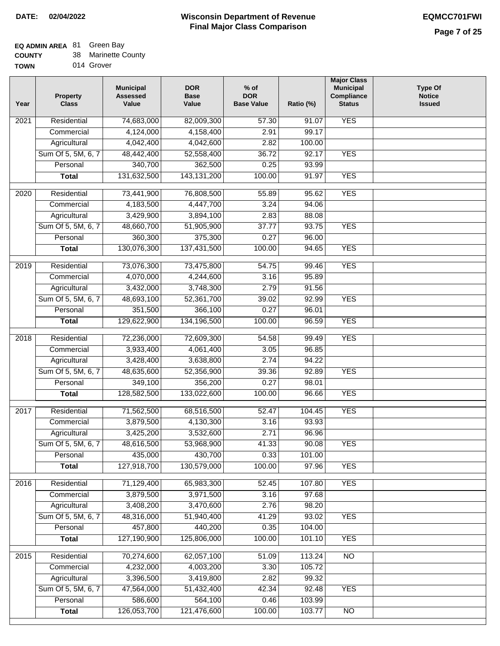## **EQ ADMIN AREA** 81 Green Bay

| <b>COUNTY</b> |  | 38 Marinette County |
|---------------|--|---------------------|
|---------------|--|---------------------|

| <b>TOWN</b> |  | 014 Grover |
|-------------|--|------------|
|-------------|--|------------|

| Year              | <b>Property</b><br><b>Class</b> | <b>Municipal</b><br><b>Assessed</b><br>Value | <b>DOR</b><br><b>Base</b><br>Value | $%$ of<br><b>DOR</b><br><b>Base Value</b> | Ratio (%) | <b>Major Class</b><br><b>Municipal</b><br>Compliance<br><b>Status</b> | <b>Type Of</b><br><b>Notice</b><br><b>Issued</b> |
|-------------------|---------------------------------|----------------------------------------------|------------------------------------|-------------------------------------------|-----------|-----------------------------------------------------------------------|--------------------------------------------------|
| 2021              | Residential                     | 74,683,000                                   | 82,009,300                         | 57.30                                     | 91.07     | <b>YES</b>                                                            |                                                  |
|                   | Commercial                      | 4,124,000                                    | 4,158,400                          | 2.91                                      | 99.17     |                                                                       |                                                  |
|                   | Agricultural                    | 4,042,400                                    | 4,042,600                          | 2.82                                      | 100.00    |                                                                       |                                                  |
|                   | Sum Of 5, 5M, 6, 7              | 48,442,400                                   | 52,558,400                         | 36.72                                     | 92.17     | <b>YES</b>                                                            |                                                  |
|                   | Personal                        | 340,700                                      | 362,500                            | 0.25                                      | 93.99     |                                                                       |                                                  |
|                   | <b>Total</b>                    | 131,632,500                                  | 143, 131, 200                      | 100.00                                    | 91.97     | <b>YES</b>                                                            |                                                  |
| $\overline{2020}$ | Residential                     | 73,441,900                                   | 76,808,500                         | 55.89                                     | 95.62     | <b>YES</b>                                                            |                                                  |
|                   | Commercial                      | 4,183,500                                    | 4,447,700                          | 3.24                                      | 94.06     |                                                                       |                                                  |
|                   | Agricultural                    | 3,429,900                                    | 3,894,100                          | 2.83                                      | 88.08     |                                                                       |                                                  |
|                   | Sum Of 5, 5M, 6, 7              | 48,660,700                                   | 51,905,900                         | 37.77                                     | 93.75     | <b>YES</b>                                                            |                                                  |
|                   | Personal                        | 360,300                                      | 375,300                            | 0.27                                      | 96.00     |                                                                       |                                                  |
|                   | <b>Total</b>                    | 130,076,300                                  | 137,431,500                        | 100.00                                    | 94.65     | <b>YES</b>                                                            |                                                  |
| $\frac{1}{2019}$  | Residential                     | 73,076,300                                   | 73,475,800                         | 54.75                                     | 99.46     | <b>YES</b>                                                            |                                                  |
|                   | Commercial                      | 4,070,000                                    | 4,244,600                          | 3.16                                      | 95.89     |                                                                       |                                                  |
|                   | Agricultural                    | 3,432,000                                    | 3,748,300                          | 2.79                                      | 91.56     |                                                                       |                                                  |
|                   | Sum Of 5, 5M, 6, 7              | 48,693,100                                   | 52,361,700                         | 39.02                                     | 92.99     | <b>YES</b>                                                            |                                                  |
|                   | Personal                        | 351,500                                      | 366,100                            | 0.27                                      | 96.01     |                                                                       |                                                  |
|                   |                                 | 129,622,900                                  | 134,196,500                        | 100.00                                    | 96.59     | <b>YES</b>                                                            |                                                  |
|                   | <b>Total</b>                    |                                              |                                    |                                           |           |                                                                       |                                                  |
| 2018              | Residential                     | 72,236,000                                   | 72,609,300                         | 54.58                                     | 99.49     | <b>YES</b>                                                            |                                                  |
|                   | Commercial                      | 3,933,400                                    | 4,061,400                          | 3.05                                      | 96.85     |                                                                       |                                                  |
|                   | Agricultural                    | 3,428,400                                    | 3,638,800                          | 2.74                                      | 94.22     |                                                                       |                                                  |
|                   | Sum Of 5, 5M, 6, 7              | 48,635,600                                   | 52,356,900                         | 39.36                                     | 92.89     | <b>YES</b>                                                            |                                                  |
|                   | Personal                        | 349,100                                      | 356,200                            | 0.27                                      | 98.01     |                                                                       |                                                  |
|                   | <b>Total</b>                    | 128,582,500                                  | 133,022,600                        | 100.00                                    | 96.66     | <b>YES</b>                                                            |                                                  |
| 2017              | Residential                     | 71,562,500                                   | 68,516,500                         | 52.47                                     | 104.45    | <b>YES</b>                                                            |                                                  |
|                   | Commercial                      | 3,879,500                                    | 4,130,300                          | 3.16                                      | 93.93     |                                                                       |                                                  |
|                   | Agricultural                    | 3,425,200                                    | 3,532,600                          | 2.71                                      | 96.96     |                                                                       |                                                  |
|                   | Sum Of 5, 5M, 6, 7              | 48,616,500                                   | 53,968,900                         | 41.33                                     | 90.08     | <b>YES</b>                                                            |                                                  |
|                   | Personal                        | 435,000                                      | 430,700                            | 0.33                                      | 101.00    |                                                                       |                                                  |
|                   | <b>Total</b>                    | 127,918,700                                  | 130,579,000                        | 100.00                                    | 97.96     | <b>YES</b>                                                            |                                                  |
| 2016              | Residential                     | 71,129,400                                   | 65,983,300                         | 52.45                                     | 107.80    | <b>YES</b>                                                            |                                                  |
|                   | Commercial                      | 3,879,500                                    | 3,971,500                          | 3.16                                      | 97.68     |                                                                       |                                                  |
|                   | Agricultural                    | 3,408,200                                    | 3,470,600                          | 2.76                                      | 98.20     |                                                                       |                                                  |
|                   | Sum Of 5, 5M, 6, 7              | 48,316,000                                   | 51,940,400                         | 41.29                                     | 93.02     | <b>YES</b>                                                            |                                                  |
|                   | Personal                        | 457,800                                      | 440,200                            | 0.35                                      | 104.00    |                                                                       |                                                  |
|                   | <b>Total</b>                    | 127,190,900                                  | 125,806,000                        | 100.00                                    | 101.10    | <b>YES</b>                                                            |                                                  |
| 2015              | Residential                     | 70,274,600                                   | 62,057,100                         | 51.09                                     | 113.24    | N <sub>O</sub>                                                        |                                                  |
|                   | Commercial                      | 4,232,000                                    | 4,003,200                          | 3.30                                      | 105.72    |                                                                       |                                                  |
|                   | Agricultural                    | 3,396,500                                    | 3,419,800                          | 2.82                                      | 99.32     |                                                                       |                                                  |
|                   | Sum Of 5, 5M, 6, 7              | 47,564,000                                   | 51,432,400                         | 42.34                                     | 92.48     | <b>YES</b>                                                            |                                                  |
|                   | Personal                        | 586,600                                      | 564,100                            | 0.46                                      | 103.99    |                                                                       |                                                  |
|                   | <b>Total</b>                    | 126,053,700                                  | 121,476,600                        | 100.00                                    | 103.77    | N <sub>O</sub>                                                        |                                                  |
|                   |                                 |                                              |                                    |                                           |           |                                                                       |                                                  |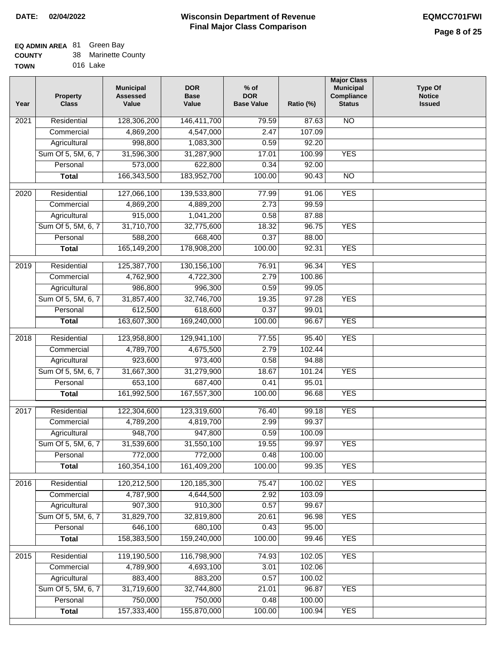### **EQ ADMIN AREA** 81 Green Bay

| <b>COUNTY</b> | 38 Marinette County |
|---------------|---------------------|
|               |                     |

**TOWN** 016 Lake

| Year              | <b>Property</b><br><b>Class</b> | <b>Municipal</b><br><b>Assessed</b><br>Value | <b>DOR</b><br><b>Base</b><br>Value | $%$ of<br><b>DOR</b><br><b>Base Value</b> | Ratio (%) | <b>Major Class</b><br><b>Municipal</b><br>Compliance<br><b>Status</b> | <b>Type Of</b><br><b>Notice</b><br><b>Issued</b> |
|-------------------|---------------------------------|----------------------------------------------|------------------------------------|-------------------------------------------|-----------|-----------------------------------------------------------------------|--------------------------------------------------|
| 2021              | Residential                     | 128,306,200                                  | 146,411,700                        | 79.59                                     | 87.63     | N <sub>O</sub>                                                        |                                                  |
|                   | Commercial                      | 4,869,200                                    | 4,547,000                          | 2.47                                      | 107.09    |                                                                       |                                                  |
|                   | Agricultural                    | 998,800                                      | 1,083,300                          | 0.59                                      | 92.20     |                                                                       |                                                  |
|                   | Sum Of 5, 5M, 6, 7              | 31,596,300                                   | 31,287,900                         | 17.01                                     | 100.99    | <b>YES</b>                                                            |                                                  |
|                   | Personal                        | 573,000                                      | 622,800                            | 0.34                                      | 92.00     |                                                                       |                                                  |
|                   | <b>Total</b>                    | 166,343,500                                  | 183,952,700                        | 100.00                                    | 90.43     | $\overline{NO}$                                                       |                                                  |
| $\overline{2020}$ | Residential                     | 127,066,100                                  | 139,533,800                        | 77.99                                     | 91.06     | <b>YES</b>                                                            |                                                  |
|                   | Commercial                      | 4,869,200                                    | 4,889,200                          | 2.73                                      | 99.59     |                                                                       |                                                  |
|                   | Agricultural                    | 915,000                                      | 1,041,200                          | 0.58                                      | 87.88     |                                                                       |                                                  |
|                   | Sum Of 5, 5M, 6, 7              | 31,710,700                                   | 32,775,600                         | 18.32                                     | 96.75     | <b>YES</b>                                                            |                                                  |
|                   | Personal                        | 588,200                                      | 668,400                            | 0.37                                      | 88.00     |                                                                       |                                                  |
|                   | <b>Total</b>                    | 165,149,200                                  | 178,908,200                        | 100.00                                    | 92.31     | <b>YES</b>                                                            |                                                  |
|                   |                                 |                                              |                                    |                                           |           |                                                                       |                                                  |
| 2019              | Residential                     | 125,387,700                                  | 130, 156, 100                      | 76.91                                     | 96.34     | <b>YES</b>                                                            |                                                  |
|                   | Commercial                      | 4,762,900                                    | 4,722,300                          | 2.79                                      | 100.86    |                                                                       |                                                  |
|                   | Agricultural                    | 986,800                                      | 996,300                            | 0.59                                      | 99.05     |                                                                       |                                                  |
|                   | Sum Of 5, 5M, 6, 7              | 31,857,400                                   | 32,746,700                         | 19.35                                     | 97.28     | <b>YES</b>                                                            |                                                  |
|                   | Personal                        | 612,500                                      | 618,600                            | 0.37                                      | 99.01     |                                                                       |                                                  |
|                   | <b>Total</b>                    | 163,607,300                                  | 169,240,000                        | 100.00                                    | 96.67     | <b>YES</b>                                                            |                                                  |
| 2018              | Residential                     | 123,958,800                                  | 129,941,100                        | 77.55                                     | 95.40     | <b>YES</b>                                                            |                                                  |
|                   | Commercial                      | 4,789,700                                    | 4,675,500                          | 2.79                                      | 102.44    |                                                                       |                                                  |
|                   | Agricultural                    | 923,600                                      | 973,400                            | 0.58                                      | 94.88     |                                                                       |                                                  |
|                   | Sum Of 5, 5M, 6, 7              | 31,667,300                                   | 31,279,900                         | 18.67                                     | 101.24    | <b>YES</b>                                                            |                                                  |
|                   | Personal                        | 653,100                                      | 687,400                            | 0.41                                      | 95.01     |                                                                       |                                                  |
|                   | <b>Total</b>                    | 161,992,500                                  | 167,557,300                        | 100.00                                    | 96.68     | <b>YES</b>                                                            |                                                  |
| 2017              | Residential                     | 122,304,600                                  | 123,319,600                        | 76.40                                     | 99.18     | <b>YES</b>                                                            |                                                  |
|                   | Commercial                      | 4,789,200                                    | 4,819,700                          | 2.99                                      | 99.37     |                                                                       |                                                  |
|                   | Agricultural                    | 948,700                                      | 947,800                            | 0.59                                      | 100.09    |                                                                       |                                                  |
|                   | Sum Of 5, 5M, 6, 7              | 31,539,600                                   | 31,550,100                         | 19.55                                     | 99.97     | <b>YES</b>                                                            |                                                  |
|                   | Personal                        | 772,000                                      | 772,000                            | 0.48                                      | 100.00    |                                                                       |                                                  |
|                   | <b>Total</b>                    | 160,354,100                                  | 161,409,200                        | 100.00                                    | 99.35     | <b>YES</b>                                                            |                                                  |
|                   |                                 |                                              |                                    |                                           |           |                                                                       |                                                  |
| 2016              | Residential                     | 120,212,500                                  | 120, 185, 300                      | 75.47                                     | 100.02    | <b>YES</b>                                                            |                                                  |
|                   | Commercial                      | 4,787,900                                    | 4,644,500                          | 2.92                                      | 103.09    |                                                                       |                                                  |
|                   | Agricultural                    | 907,300                                      | 910,300                            | 0.57                                      | 99.67     |                                                                       |                                                  |
|                   | Sum Of 5, 5M, 6, 7              | 31,829,700                                   | 32,819,800                         | 20.61                                     | 96.98     | <b>YES</b>                                                            |                                                  |
|                   | Personal                        | 646,100                                      | 680,100                            | 0.43                                      | 95.00     |                                                                       |                                                  |
|                   | <b>Total</b>                    | 158,383,500                                  | 159,240,000                        | 100.00                                    | 99.46     | <b>YES</b>                                                            |                                                  |
| 2015              | Residential                     | 119,190,500                                  | 116,798,900                        | 74.93                                     | 102.05    | <b>YES</b>                                                            |                                                  |
|                   | Commercial                      | 4,789,900                                    | 4,693,100                          | 3.01                                      | 102.06    |                                                                       |                                                  |
|                   | Agricultural                    | 883,400                                      | 883,200                            | 0.57                                      | 100.02    |                                                                       |                                                  |
|                   | Sum Of 5, 5M, 6, 7              | 31,719,600                                   | 32,744,800                         | 21.01                                     | 96.87     | <b>YES</b>                                                            |                                                  |
|                   | Personal                        | 750,000                                      | 750,000                            | 0.48                                      | 100.00    |                                                                       |                                                  |
|                   | <b>Total</b>                    | 157,333,400                                  | 155,870,000                        | 100.00                                    | 100.94    | <b>YES</b>                                                            |                                                  |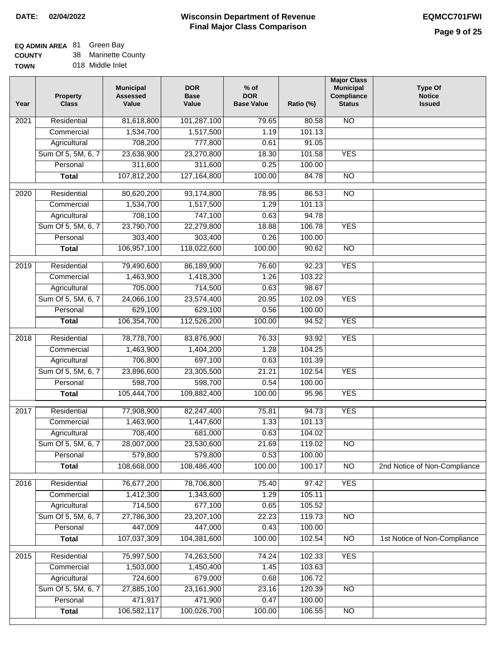# **EQ ADMIN AREA** 81 Green Bay

**COUNTY TOWN** 38 Marinette County

|  | 018 Middle Inlet |  |
|--|------------------|--|
|  |                  |  |

| Year              | <b>Property</b><br><b>Class</b> | <b>Municipal</b><br><b>Assessed</b><br>Value | <b>DOR</b><br><b>Base</b><br>Value | $%$ of<br><b>DOR</b><br><b>Base Value</b> | Ratio (%) | <b>Major Class</b><br><b>Municipal</b><br>Compliance<br><b>Status</b> | <b>Type Of</b><br><b>Notice</b><br><b>Issued</b> |
|-------------------|---------------------------------|----------------------------------------------|------------------------------------|-------------------------------------------|-----------|-----------------------------------------------------------------------|--------------------------------------------------|
| 2021              | Residential                     | 81,618,800                                   | 101,287,100                        | 79.65                                     | 80.58     | N <sub>O</sub>                                                        |                                                  |
|                   | Commercial                      | 1,534,700                                    | 1,517,500                          | 1.19                                      | 101.13    |                                                                       |                                                  |
|                   | Agricultural                    | 708,200                                      | 777,800                            | 0.61                                      | 91.05     |                                                                       |                                                  |
|                   | Sum Of 5, 5M, 6, 7              | 23,638,900                                   | 23,270,800                         | 18.30                                     | 101.58    | <b>YES</b>                                                            |                                                  |
|                   | Personal                        | 311,600                                      | 311,600                            | 0.25                                      | 100.00    |                                                                       |                                                  |
|                   | <b>Total</b>                    | 107,812,200                                  | 127, 164, 800                      | 100.00                                    | 84.78     | $\overline{NO}$                                                       |                                                  |
| $\overline{2020}$ | Residential                     | 80,620,200                                   | 93,174,800                         | 78.95                                     | 86.53     | $\overline{NO}$                                                       |                                                  |
|                   | Commercial                      | 1,534,700                                    | 1,517,500                          | 1.29                                      | 101.13    |                                                                       |                                                  |
|                   | Agricultural                    | 708,100                                      | 747,100                            | 0.63                                      | 94.78     |                                                                       |                                                  |
|                   | Sum Of 5, 5M, 6, 7              | 23,790,700                                   | 22,279,800                         | 18.88                                     | 106.78    | <b>YES</b>                                                            |                                                  |
|                   | Personal                        | 303,400                                      | 303,400                            | 0.26                                      | 100.00    |                                                                       |                                                  |
|                   | <b>Total</b>                    | 106,957,100                                  | 118,022,600                        | 100.00                                    | 90.62     | $\overline{NO}$                                                       |                                                  |
| $\frac{1}{2019}$  | Residential                     | 79,490,600                                   | 86,189,900                         | 76.60                                     | 92.23     | <b>YES</b>                                                            |                                                  |
|                   | Commercial                      | 1,463,900                                    | 1,418,300                          | 1.26                                      | 103.22    |                                                                       |                                                  |
|                   | Agricultural                    | 705,000                                      | 714,500                            | 0.63                                      | 98.67     |                                                                       |                                                  |
|                   | Sum Of 5, 5M, 6, 7              | 24,066,100                                   | 23,574,400                         | 20.95                                     | 102.09    | <b>YES</b>                                                            |                                                  |
|                   | Personal                        | 629,100                                      | 629,100                            | 0.56                                      | 100.00    |                                                                       |                                                  |
|                   | <b>Total</b>                    | 106,354,700                                  | 112,526,200                        | 100.00                                    | 94.52     | <b>YES</b>                                                            |                                                  |
| 2018              | Residential                     |                                              |                                    |                                           | 93.92     | <b>YES</b>                                                            |                                                  |
|                   | Commercial                      | 78,778,700<br>1,463,900                      | 83,876,900<br>1,404,200            | 76.33<br>1.28                             | 104.25    |                                                                       |                                                  |
|                   | Agricultural                    | 706,800                                      | 697,100                            | 0.63                                      | 101.39    |                                                                       |                                                  |
|                   | Sum Of 5, 5M, 6, 7              | 23,896,600                                   | 23,305,500                         | 21.21                                     | 102.54    | <b>YES</b>                                                            |                                                  |
|                   | Personal                        | 598,700                                      | 598,700                            | 0.54                                      | 100.00    |                                                                       |                                                  |
|                   | <b>Total</b>                    | 105,444,700                                  | 109,882,400                        | 100.00                                    | 95.96     | <b>YES</b>                                                            |                                                  |
|                   |                                 |                                              |                                    |                                           |           |                                                                       |                                                  |
| 2017              | Residential                     | 77,908,900                                   | 82,247,400                         | 75.81                                     | 94.73     | <b>YES</b>                                                            |                                                  |
|                   | Commercial                      | 1,463,900                                    | 1,447,600                          | 1.33                                      | 101.13    |                                                                       |                                                  |
|                   | Agricultural                    | 708,400                                      | 681,000                            | 0.63                                      | 104.02    |                                                                       |                                                  |
|                   | Sum Of 5, 5M, 6, 7              | 28,007,000                                   | 23,530,600                         | 21.69                                     | 119.02    | NO.                                                                   |                                                  |
|                   | Personal                        | 579,800                                      | 579,800                            | 0.53                                      | 100.00    |                                                                       |                                                  |
|                   | <b>Total</b>                    | 108,668,000                                  | 108,486,400                        | 100.00                                    | 100.17    | <b>NO</b>                                                             | 2nd Notice of Non-Compliance                     |
| 2016              | Residential                     | 76,677,200                                   | 78,706,800                         | 75.40                                     | 97.42     | <b>YES</b>                                                            |                                                  |
|                   | Commercial                      | 1,412,300                                    | 1,343,600                          | 1.29                                      | 105.11    |                                                                       |                                                  |
|                   | Agricultural                    | 714,500                                      | 677,100                            | 0.65                                      | 105.52    |                                                                       |                                                  |
|                   | Sum Of 5, 5M, 6, 7              | 27,786,300                                   | 23,207,100                         | 22.23                                     | 119.73    | $\overline{NO}$                                                       |                                                  |
|                   | Personal                        | 447,009                                      | 447,000                            | 0.43                                      | 100.00    |                                                                       |                                                  |
|                   | <b>Total</b>                    | 107,037,309                                  | 104,381,600                        | 100.00                                    | 102.54    | $\overline{NO}$                                                       | 1st Notice of Non-Compliance                     |
| 2015              | Residential                     | 75,997,500                                   | 74,263,500                         | 74.24                                     | 102.33    | <b>YES</b>                                                            |                                                  |
|                   | Commercial                      | 1,503,000                                    | 1,450,400                          | 1.45                                      | 103.63    |                                                                       |                                                  |
|                   | Agricultural                    | 724,600                                      | 679,000                            | 0.68                                      | 106.72    |                                                                       |                                                  |
|                   | Sum Of 5, 5M, 6, 7              | 27,885,100                                   | 23,161,900                         | 23.16                                     | 120.39    | $\overline{NO}$                                                       |                                                  |
|                   | Personal                        | 471,917                                      | 471,900                            | 0.47                                      | 100.00    |                                                                       |                                                  |
|                   | <b>Total</b>                    | 106,582,117                                  | 100,026,700                        | 100.00                                    | 106.55    | $\overline{NO}$                                                       |                                                  |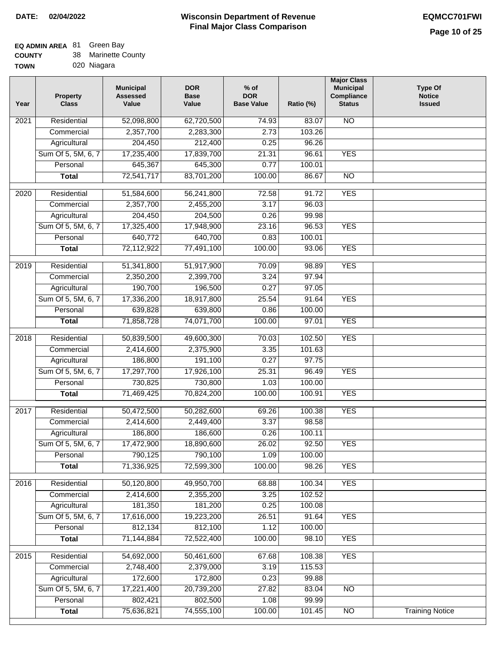## **EQ ADMIN AREA** 81 Green Bay

| <b>COUNTY</b> |  | 38 Marinette County |
|---------------|--|---------------------|
|---------------|--|---------------------|

**TOWN** 020 Niagara

| Year              | <b>Property</b><br><b>Class</b> | <b>Municipal</b><br><b>Assessed</b><br>Value | <b>DOR</b><br><b>Base</b><br>Value | $%$ of<br><b>DOR</b><br><b>Base Value</b> | Ratio (%)       | <b>Major Class</b><br><b>Municipal</b><br>Compliance<br><b>Status</b> | <b>Type Of</b><br><b>Notice</b><br><b>Issued</b> |
|-------------------|---------------------------------|----------------------------------------------|------------------------------------|-------------------------------------------|-----------------|-----------------------------------------------------------------------|--------------------------------------------------|
| 2021              | Residential                     | 52,098,800                                   | 62,720,500                         | 74.93                                     | 83.07           | <b>NO</b>                                                             |                                                  |
|                   | Commercial                      | 2,357,700                                    | 2,283,300                          | 2.73                                      | 103.26          |                                                                       |                                                  |
|                   | Agricultural                    | 204,450                                      | 212,400                            | 0.25                                      | 96.26           |                                                                       |                                                  |
|                   | Sum Of 5, 5M, 6, 7              | 17,235,400                                   | 17,839,700                         | 21.31                                     | 96.61           | <b>YES</b>                                                            |                                                  |
|                   | Personal                        | 645,367                                      | 645,300                            | 0.77                                      | 100.01          |                                                                       |                                                  |
|                   | <b>Total</b>                    | 72,541,717                                   | 83,701,200                         | 100.00                                    | 86.67           | $\overline{NO}$                                                       |                                                  |
| 2020              | Residential                     | 51,584,600                                   | 56,241,800                         | 72.58                                     | 91.72           | <b>YES</b>                                                            |                                                  |
|                   | Commercial                      | 2,357,700                                    | 2,455,200                          | 3.17                                      | 96.03           |                                                                       |                                                  |
|                   | Agricultural                    | 204,450                                      | 204,500                            | 0.26                                      | 99.98           |                                                                       |                                                  |
|                   | Sum Of 5, 5M, 6, 7              | 17,325,400                                   | 17,948,900                         | 23.16                                     | 96.53           | <b>YES</b>                                                            |                                                  |
|                   | Personal                        | 640,772                                      | 640,700                            | 0.83                                      | 100.01          |                                                                       |                                                  |
|                   | <b>Total</b>                    | 72,112,922                                   | 77,491,100                         | 100.00                                    | 93.06           | <b>YES</b>                                                            |                                                  |
|                   |                                 |                                              |                                    |                                           |                 |                                                                       |                                                  |
| $\frac{1}{2019}$  | Residential                     | 51,341,800                                   | 51,917,900                         | 70.09                                     | 98.89           | <b>YES</b>                                                            |                                                  |
|                   | Commercial                      | 2,350,200                                    | 2,399,700                          | 3.24                                      | 97.94           |                                                                       |                                                  |
|                   | Agricultural                    | 190,700                                      | 196,500                            | 0.27                                      | 97.05           |                                                                       |                                                  |
|                   | Sum Of 5, 5M, 6, 7              | 17,336,200                                   | 18,917,800                         | 25.54                                     | 91.64           | <b>YES</b>                                                            |                                                  |
|                   | Personal                        | 639,828                                      | 639,800                            | 0.86                                      | 100.00          |                                                                       |                                                  |
|                   | <b>Total</b>                    | 71,858,728                                   | 74,071,700                         | 100.00                                    | 97.01           | <b>YES</b>                                                            |                                                  |
| 2018              | Residential                     | 50,839,500                                   | 49,600,300                         | 70.03                                     | 102.50          | <b>YES</b>                                                            |                                                  |
|                   | Commercial                      | 2,414,600                                    | 2,375,900                          | 3.35                                      | 101.63          |                                                                       |                                                  |
|                   | Agricultural                    | 186,800                                      | 191,100                            | 0.27                                      | 97.75           |                                                                       |                                                  |
|                   | Sum Of 5, 5M, 6, 7              | 17,297,700                                   | 17,926,100                         | 25.31                                     | 96.49           | <b>YES</b>                                                            |                                                  |
|                   | Personal                        | 730,825                                      | 730,800                            | 1.03                                      | 100.00          |                                                                       |                                                  |
|                   | <b>Total</b>                    | 71,469,425                                   | 70,824,200                         | 100.00                                    | 100.91          | <b>YES</b>                                                            |                                                  |
| $\overline{2017}$ | Residential                     | 50,472,500                                   | 50,282,600                         | 69.26                                     | 100.38          | <b>YES</b>                                                            |                                                  |
|                   | Commercial                      | 2,414,600                                    | 2,449,400                          | 3.37                                      | 98.58           |                                                                       |                                                  |
|                   | Agricultural                    | 186,800                                      | 186,600                            | 0.26                                      | 100.11          |                                                                       |                                                  |
|                   | Sum Of 5, 5M, 6, 7              | 17,472,900                                   | 18,890,600                         | 26.02                                     | 92.50           | <b>YES</b>                                                            |                                                  |
|                   | Personal                        | 790,125                                      | 790,100                            | 1.09                                      | 100.00          |                                                                       |                                                  |
|                   | <b>Total</b>                    | 71,336,925                                   | 72,599,300                         | 100.00                                    | 98.26           | <b>YES</b>                                                            |                                                  |
|                   |                                 |                                              |                                    |                                           |                 |                                                                       |                                                  |
| 2016              | Residential                     | 50,120,800                                   | 49,950,700                         | 68.88                                     | 100.34          | <b>YES</b>                                                            |                                                  |
|                   | Commercial                      | 2,414,600                                    | 2,355,200                          | 3.25                                      | 102.52          |                                                                       |                                                  |
|                   | Agricultural                    | 181,350                                      | 181,200                            | 0.25                                      | 100.08          |                                                                       |                                                  |
|                   | Sum Of 5, 5M, 6, 7              | 17,616,000                                   | 19,223,200                         | 26.51                                     | 91.64<br>100.00 | <b>YES</b>                                                            |                                                  |
|                   | Personal                        | 812,134<br>71,144,884                        | 812,100<br>72,522,400              | 1.12<br>100.00                            | 98.10           | <b>YES</b>                                                            |                                                  |
|                   | <b>Total</b>                    |                                              |                                    |                                           |                 |                                                                       |                                                  |
| 2015              | Residential                     | 54,692,000                                   | 50,461,600                         | 67.68                                     | 108.38          | <b>YES</b>                                                            |                                                  |
|                   | Commercial                      | 2,748,400                                    | 2,379,000                          | 3.19                                      | 115.53          |                                                                       |                                                  |
|                   | Agricultural                    | 172,600                                      | 172,800                            | 0.23                                      | 99.88           |                                                                       |                                                  |
|                   | Sum Of 5, 5M, 6, 7              | 17,221,400                                   | 20,739,200                         | 27.82                                     | 83.04           | <b>NO</b>                                                             |                                                  |
|                   | Personal                        | 802,421                                      | 802,500                            | 1.08                                      | 99.99           |                                                                       |                                                  |
|                   | <b>Total</b>                    | 75,636,821                                   | 74,555,100                         | 100.00                                    | 101.45          | N <sub>O</sub>                                                        | <b>Training Notice</b>                           |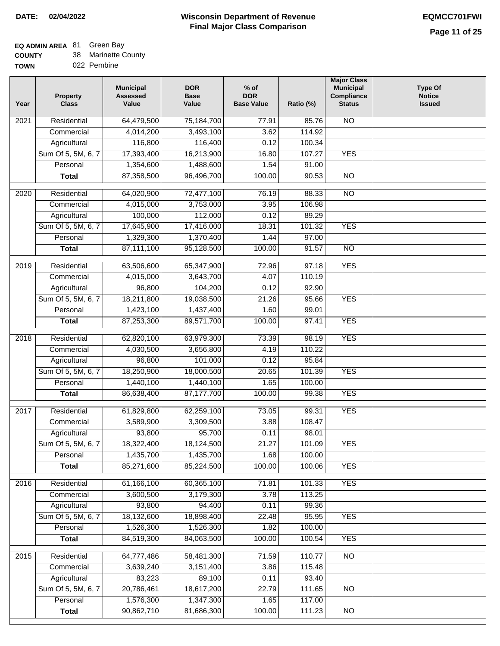## **EQ ADMIN AREA** 81 Green Bay

| <b>COUNTY</b> |  | Marinette County |
|---------------|--|------------------|
|---------------|--|------------------|

**TOWN** 022 Pembine

| Year              | <b>Property</b><br><b>Class</b> | <b>Municipal</b><br><b>Assessed</b><br>Value | <b>DOR</b><br><b>Base</b><br>Value | $%$ of<br><b>DOR</b><br><b>Base Value</b> | Ratio (%) | <b>Major Class</b><br><b>Municipal</b><br>Compliance<br><b>Status</b> | <b>Type Of</b><br><b>Notice</b><br><b>Issued</b> |
|-------------------|---------------------------------|----------------------------------------------|------------------------------------|-------------------------------------------|-----------|-----------------------------------------------------------------------|--------------------------------------------------|
| $\overline{202}1$ | Residential                     | 64,479,500                                   | 75,184,700                         | 77.91                                     | 85.76     | <b>NO</b>                                                             |                                                  |
|                   | Commercial                      | 4,014,200                                    | 3,493,100                          | 3.62                                      | 114.92    |                                                                       |                                                  |
|                   | Agricultural                    | 116,800                                      | 116,400                            | 0.12                                      | 100.34    |                                                                       |                                                  |
|                   | Sum Of 5, 5M, 6, 7              | 17,393,400                                   | 16,213,900                         | 16.80                                     | 107.27    | <b>YES</b>                                                            |                                                  |
|                   | Personal                        | 1,354,600                                    | 1,488,600                          | 1.54                                      | 91.00     |                                                                       |                                                  |
|                   | <b>Total</b>                    | 87,358,500                                   | 96,496,700                         | 100.00                                    | 90.53     | $\overline{NO}$                                                       |                                                  |
| $\overline{2020}$ | Residential                     | 64,020,900                                   | 72,477,100                         | 76.19                                     | 88.33     | $\overline{NO}$                                                       |                                                  |
|                   | Commercial                      | 4,015,000                                    | 3,753,000                          | 3.95                                      | 106.98    |                                                                       |                                                  |
|                   | Agricultural                    | 100,000                                      | 112,000                            | 0.12                                      | 89.29     |                                                                       |                                                  |
|                   | Sum Of 5, 5M, 6, 7              | 17,645,900                                   | 17,416,000                         | 18.31                                     | 101.32    | <b>YES</b>                                                            |                                                  |
|                   | Personal                        | 1,329,300                                    | 1,370,400                          | 1.44                                      | 97.00     |                                                                       |                                                  |
|                   | <b>Total</b>                    | 87,111,100                                   | 95,128,500                         | 100.00                                    | 91.57     | $\overline{NO}$                                                       |                                                  |
| 2019              | Residential                     | 63,506,600                                   | 65,347,900                         | 72.96                                     | 97.18     | <b>YES</b>                                                            |                                                  |
|                   | Commercial                      | 4,015,000                                    | 3,643,700                          | 4.07                                      | 110.19    |                                                                       |                                                  |
|                   | Agricultural                    | 96,800                                       | 104,200                            | 0.12                                      | 92.90     |                                                                       |                                                  |
|                   | Sum Of 5, 5M, 6, 7              | 18,211,800                                   | 19,038,500                         | 21.26                                     | 95.66     | <b>YES</b>                                                            |                                                  |
|                   | Personal                        | 1,423,100                                    | 1,437,400                          | 1.60                                      | 99.01     |                                                                       |                                                  |
|                   | <b>Total</b>                    | 87,253,300                                   | 89,571,700                         | 100.00                                    | 97.41     | <b>YES</b>                                                            |                                                  |
|                   |                                 |                                              |                                    |                                           |           |                                                                       |                                                  |
| 2018              | Residential                     | 62,820,100                                   | 63,979,300                         | 73.39                                     | 98.19     | <b>YES</b>                                                            |                                                  |
|                   | Commercial                      | 4,030,500                                    | 3,656,800                          | 4.19                                      | 110.22    |                                                                       |                                                  |
|                   | Agricultural                    | 96,800                                       | 101,000                            | 0.12                                      | 95.84     |                                                                       |                                                  |
|                   | Sum Of 5, 5M, 6, 7              | 18,250,900                                   | 18,000,500                         | 20.65                                     | 101.39    | <b>YES</b>                                                            |                                                  |
|                   | Personal                        | 1,440,100                                    | 1,440,100                          | 1.65<br>100.00                            | 100.00    | <b>YES</b>                                                            |                                                  |
|                   | <b>Total</b>                    | 86,638,400                                   | 87, 177, 700                       |                                           | 99.38     |                                                                       |                                                  |
| 2017              | Residential                     | 61,829,800                                   | 62,259,100                         | 73.05                                     | 99.31     | <b>YES</b>                                                            |                                                  |
|                   | Commercial                      | 3,589,900                                    | 3,309,500                          | 3.88                                      | 108.47    |                                                                       |                                                  |
|                   | Agricultural                    | 93,800                                       | 95,700                             | 0.11                                      | 98.01     |                                                                       |                                                  |
|                   | Sum Of 5, 5M, 6, 7              | 18,322,400                                   | 18,124,500                         | 21.27                                     | 101.09    | <b>YES</b>                                                            |                                                  |
|                   | Personal                        | 1,435,700                                    | 1,435,700                          | 1.68                                      | 100.00    |                                                                       |                                                  |
|                   | <b>Total</b>                    | 85,271,600                                   | 85,224,500                         | 100.00                                    | 100.06    | <b>YES</b>                                                            |                                                  |
| 2016              | Residential                     | 61,166,100                                   | 60,365,100                         | 71.81                                     | 101.33    | <b>YES</b>                                                            |                                                  |
|                   | Commercial                      | 3,600,500                                    | 3,179,300                          | 3.78                                      | 113.25    |                                                                       |                                                  |
|                   | Agricultural                    | 93,800                                       | 94,400                             | 0.11                                      | 99.36     |                                                                       |                                                  |
|                   | Sum Of 5, 5M, 6, 7              | 18,132,600                                   | 18,898,400                         | 22.48                                     | 95.95     | <b>YES</b>                                                            |                                                  |
|                   | Personal                        | 1,526,300                                    | 1,526,300                          | 1.82                                      | 100.00    |                                                                       |                                                  |
|                   | <b>Total</b>                    | 84,519,300                                   | 84,063,500                         | 100.00                                    | 100.54    | <b>YES</b>                                                            |                                                  |
| 2015              | Residential                     | 64,777,486                                   | 58,481,300                         | 71.59                                     | 110.77    | N <sub>O</sub>                                                        |                                                  |
|                   | Commercial                      | 3,639,240                                    | 3,151,400                          | 3.86                                      | 115.48    |                                                                       |                                                  |
|                   | Agricultural                    | 83,223                                       | 89,100                             | 0.11                                      | 93.40     |                                                                       |                                                  |
|                   | Sum Of 5, 5M, 6, 7              | 20,786,461                                   | 18,617,200                         | 22.79                                     | 111.65    | <b>NO</b>                                                             |                                                  |
|                   | Personal                        | 1,576,300                                    | 1,347,300                          | 1.65                                      | 117.00    |                                                                       |                                                  |
|                   | <b>Total</b>                    | 90,862,710                                   | 81,686,300                         | 100.00                                    | 111.23    | NO                                                                    |                                                  |
|                   |                                 |                                              |                                    |                                           |           |                                                                       |                                                  |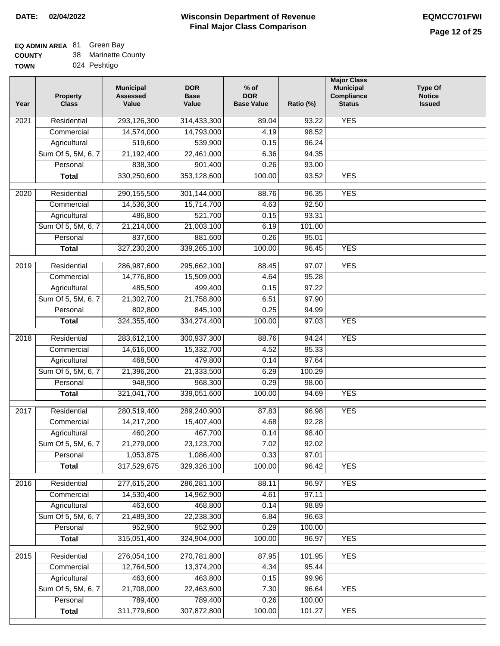# **EQ ADMIN AREA** 81 Green Bay

**COUNTY** 38 Marinette County

**TOWN** 024 Peshtigo

| Year              | <b>Property</b><br><b>Class</b> | <b>Municipal</b><br><b>Assessed</b><br>Value | <b>DOR</b><br><b>Base</b><br>Value | % of<br><b>DOR</b><br><b>Base Value</b> | Ratio (%) | <b>Major Class</b><br><b>Municipal</b><br>Compliance<br><b>Status</b> | <b>Type Of</b><br><b>Notice</b><br><b>Issued</b> |
|-------------------|---------------------------------|----------------------------------------------|------------------------------------|-----------------------------------------|-----------|-----------------------------------------------------------------------|--------------------------------------------------|
| $\overline{202}1$ | Residential                     | 293,126,300                                  | 314,433,300                        | 89.04                                   | 93.22     | <b>YES</b>                                                            |                                                  |
|                   | Commercial                      | 14,574,000                                   | 14,793,000                         | 4.19                                    | 98.52     |                                                                       |                                                  |
|                   | Agricultural                    | 519,600                                      | 539,900                            | 0.15                                    | 96.24     |                                                                       |                                                  |
|                   | Sum Of 5, 5M, 6, 7              | 21,192,400                                   | 22,461,000                         | 6.36                                    | 94.35     |                                                                       |                                                  |
|                   | Personal                        | 838,300                                      | 901,400                            | 0.26                                    | 93.00     |                                                                       |                                                  |
|                   | <b>Total</b>                    | 330,250,600                                  | 353,128,600                        | 100.00                                  | 93.52     | <b>YES</b>                                                            |                                                  |
| $\overline{2020}$ | Residential                     | 290,155,500                                  | 301,144,000                        | 88.76                                   | 96.35     | <b>YES</b>                                                            |                                                  |
|                   | Commercial                      | 14,536,300                                   | 15,714,700                         | 4.63                                    | 92.50     |                                                                       |                                                  |
|                   | Agricultural                    | 486,800                                      | 521,700                            | 0.15                                    | 93.31     |                                                                       |                                                  |
|                   | Sum Of 5, 5M, 6, 7              | 21,214,000                                   | 21,003,100                         | 6.19                                    | 101.00    |                                                                       |                                                  |
|                   | Personal                        | 837,600                                      | 881,600                            | 0.26                                    | 95.01     |                                                                       |                                                  |
|                   | <b>Total</b>                    | 327,230,200                                  | 339,265,100                        | 100.00                                  | 96.45     | <b>YES</b>                                                            |                                                  |
| 2019              | Residential                     | 286,987,600                                  | 295,662,100                        | 88.45                                   | 97.07     | <b>YES</b>                                                            |                                                  |
|                   | Commercial                      | 14,776,800                                   | 15,509,000                         | 4.64                                    | 95.28     |                                                                       |                                                  |
|                   | Agricultural                    | 485,500                                      | 499,400                            | 0.15                                    | 97.22     |                                                                       |                                                  |
|                   | Sum Of 5, 5M, 6, 7              | 21,302,700                                   | 21,758,800                         | 6.51                                    | 97.90     |                                                                       |                                                  |
|                   | Personal                        | 802,800                                      | 845,100                            | 0.25                                    | 94.99     |                                                                       |                                                  |
|                   | <b>Total</b>                    | 324, 355, 400                                | 334,274,400                        | 100.00                                  | 97.03     | <b>YES</b>                                                            |                                                  |
| 2018              | Residential                     | 283,612,100                                  | 300,937,300                        | 88.76                                   | 94.24     | <b>YES</b>                                                            |                                                  |
|                   | Commercial                      | 14,616,000                                   | 15,332,700                         | 4.52                                    | 95.33     |                                                                       |                                                  |
|                   | Agricultural                    | 468,500                                      | 479,800                            | 0.14                                    | 97.64     |                                                                       |                                                  |
|                   | Sum Of 5, 5M, 6, 7              | 21,396,200                                   | 21,333,500                         | 6.29                                    | 100.29    |                                                                       |                                                  |
|                   | Personal                        | 948,900                                      | 968,300                            | 0.29                                    | 98.00     |                                                                       |                                                  |
|                   | <b>Total</b>                    | 321,041,700                                  | 339,051,600                        | 100.00                                  | 94.69     | <b>YES</b>                                                            |                                                  |
|                   |                                 |                                              |                                    |                                         |           |                                                                       |                                                  |
| 2017              | Residential                     | 280,519,400                                  | 289,240,900                        | 87.83                                   | 96.98     | <b>YES</b>                                                            |                                                  |
|                   | Commercial                      | 14,217,200                                   | 15,407,400                         | 4.68                                    | 92.28     |                                                                       |                                                  |
|                   | Agricultural                    | 460,200                                      | 467,700                            | 0.14                                    | 98.40     |                                                                       |                                                  |
|                   | Sum Of 5, 5M, 6, 7              | 21,279,000                                   | 23,123,700                         | 7.02                                    | 92.02     |                                                                       |                                                  |
|                   | Personal                        | 1,053,875                                    | 1,086,400                          | 0.33                                    | 97.01     |                                                                       |                                                  |
|                   | <b>Total</b>                    | 317,529,675                                  | 329,326,100                        | 100.00                                  | 96.42     | <b>YES</b>                                                            |                                                  |
| 2016              | Residential                     | 277,615,200                                  | 286,281,100                        | 88.11                                   | 96.97     | <b>YES</b>                                                            |                                                  |
|                   | Commercial                      | 14,530,400                                   | 14,962,900                         | 4.61                                    | 97.11     |                                                                       |                                                  |
|                   | Agricultural                    | 463,600                                      | 468,800                            | 0.14                                    | 98.89     |                                                                       |                                                  |
|                   | Sum Of 5, 5M, 6, 7              | 21,489,300                                   | 22,238,300                         | 6.84                                    | 96.63     |                                                                       |                                                  |
|                   | Personal                        | 952,900                                      | 952,900                            | 0.29                                    | 100.00    |                                                                       |                                                  |
|                   | <b>Total</b>                    | 315,051,400                                  | 324,904,000                        | 100.00                                  | 96.97     | <b>YES</b>                                                            |                                                  |
| 2015              | Residential                     | 276,054,100                                  | 270,781,800                        | 87.95                                   | 101.95    | <b>YES</b>                                                            |                                                  |
|                   | Commercial                      | 12,764,500                                   | 13,374,200                         | 4.34                                    | 95.44     |                                                                       |                                                  |
|                   | Agricultural                    | 463,600                                      | 463,800                            | 0.15                                    | 99.96     |                                                                       |                                                  |
|                   | Sum Of 5, 5M, 6, 7              | 21,708,000                                   | 22,463,600                         | 7.30                                    | 96.64     | <b>YES</b>                                                            |                                                  |
|                   | Personal                        | 789,400                                      | 789,400                            | 0.26                                    | 100.00    |                                                                       |                                                  |
|                   | <b>Total</b>                    | 311,779,600                                  | 307,872,800                        | 100.00                                  | 101.27    | <b>YES</b>                                                            |                                                  |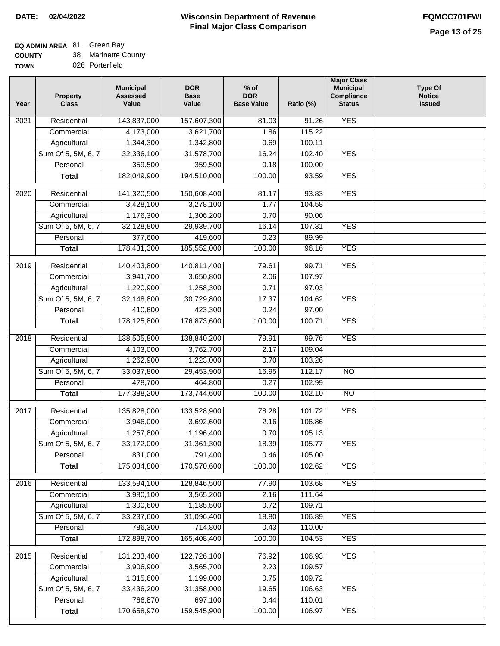### **Wisconsin Department of Revenue DATE: 02/04/2022 EQMCC701FWI Final Major Class Comparison**

### **EQ ADMIN AREA Green Bay**

**Commercial Agricultural** Sum Of 5, 5M, 6, 7 **Personal Total**

 3,906,900 1,315,600 33,436,200 766,870 170,658,970

 3,565,700 1,199,000 31,358,000 697,100 159,545,900

 2.23 0.75 19.65 0.44 100.00  109.57 109.72 106.63 110.01 106.97

YES

YES

**COUNTY TOWN** 38 026 Porterfield Marinette County

| Year              | <b>Property</b><br><b>Class</b> | <b>Municipal</b><br><b>Assessed</b><br>Value | <b>DOR</b><br><b>Base</b><br>Value | $%$ of<br><b>DOR</b><br><b>Base Value</b> | Ratio (%) | <b>Major Class</b><br><b>Municipal</b><br>Compliance<br><b>Status</b> | <b>Type Of</b><br><b>Notice</b><br><b>Issued</b> |
|-------------------|---------------------------------|----------------------------------------------|------------------------------------|-------------------------------------------|-----------|-----------------------------------------------------------------------|--------------------------------------------------|
| $\overline{202}1$ | Residential                     | 143,837,000                                  | 157,607,300                        | 81.03                                     | 91.26     | <b>YES</b>                                                            |                                                  |
|                   | Commercial                      | 4,173,000                                    | 3,621,700                          | 1.86                                      | 115.22    |                                                                       |                                                  |
|                   | Agricultural                    | 1,344,300                                    | 1,342,800                          | 0.69                                      | 100.11    |                                                                       |                                                  |
|                   | Sum Of 5, 5M, 6, 7              | 32,336,100                                   | 31,578,700                         | 16.24                                     | 102.40    | <b>YES</b>                                                            |                                                  |
|                   | Personal                        | 359,500                                      | 359,500                            | 0.18                                      | 100.00    |                                                                       |                                                  |
|                   | <b>Total</b>                    | 182,049,900                                  | 194,510,000                        | 100.00                                    | 93.59     | <b>YES</b>                                                            |                                                  |
| 2020              | Residential                     | 141,320,500                                  | 150,608,400                        | 81.17                                     | 93.83     | <b>YES</b>                                                            |                                                  |
|                   | Commercial                      | 3,428,100                                    | 3,278,100                          | 1.77                                      | 104.58    |                                                                       |                                                  |
|                   | Agricultural                    | 1,176,300                                    | 1,306,200                          | 0.70                                      | 90.06     |                                                                       |                                                  |
|                   | Sum Of 5, 5M, 6, 7              | 32,128,800                                   | 29,939,700                         | 16.14                                     | 107.31    | <b>YES</b>                                                            |                                                  |
|                   | Personal                        | 377,600                                      | 419,600                            | 0.23                                      | 89.99     |                                                                       |                                                  |
|                   | <b>Total</b>                    | 178,431,300                                  | 185,552,000                        | 100.00                                    | 96.16     | <b>YES</b>                                                            |                                                  |
| 2019              | Residential                     | 140,403,800                                  | 140,811,400                        | 79.61                                     | 99.71     | <b>YES</b>                                                            |                                                  |
|                   | Commercial                      | 3,941,700                                    | 3,650,800                          | 2.06                                      | 107.97    |                                                                       |                                                  |
|                   | Agricultural                    | 1,220,900                                    | 1,258,300                          | 0.71                                      | 97.03     |                                                                       |                                                  |
|                   | Sum Of 5, 5M, 6, 7              | 32,148,800                                   | 30,729,800                         | 17.37                                     | 104.62    | <b>YES</b>                                                            |                                                  |
|                   | Personal                        | 410,600                                      | 423,300                            | 0.24                                      | 97.00     |                                                                       |                                                  |
|                   | <b>Total</b>                    | 178,125,800                                  | 176,873,600                        | 100.00                                    | 100.71    | <b>YES</b>                                                            |                                                  |
| 2018              | Residential                     | 138,505,800                                  | 138,840,200                        | 79.91                                     | 99.76     | <b>YES</b>                                                            |                                                  |
|                   | Commercial                      | 4,103,000                                    | 3,762,700                          | 2.17                                      | 109.04    |                                                                       |                                                  |
|                   | Agricultural                    | 1,262,900                                    | 1,223,000                          | 0.70                                      | 103.26    |                                                                       |                                                  |
|                   | Sum Of 5, 5M, 6, 7              | 33,037,800                                   | 29,453,900                         | 16.95                                     | 112.17    | $\overline{NO}$                                                       |                                                  |
|                   | Personal                        | 478,700                                      | 464,800                            | 0.27                                      | 102.99    |                                                                       |                                                  |
|                   | <b>Total</b>                    | 177,388,200                                  | 173,744,600                        | 100.00                                    | 102.10    | $\overline{10}$                                                       |                                                  |
| $\overline{2017}$ | Residential                     | 135,828,000                                  | 133,528,900                        | 78.28                                     | 101.72    | <b>YES</b>                                                            |                                                  |
|                   | Commercial                      | 3,946,000                                    | 3,692,600                          | 2.16                                      | 106.86    |                                                                       |                                                  |
|                   | Agricultural                    | 1,257,800                                    | 1,196,400                          | 0.70                                      | 105.13    |                                                                       |                                                  |
|                   | Sum Of 5, 5M, 6, 7              | 33,172,000                                   | 31,361,300                         | 18.39                                     | 105.77    | <b>YES</b>                                                            |                                                  |
|                   | Personal                        | 831,000                                      | 791,400                            | 0.46                                      | 105.00    |                                                                       |                                                  |
|                   | <b>Total</b>                    | 175,034,800                                  | 170,570,600                        | 100.00                                    | 102.62    | <b>YES</b>                                                            |                                                  |
| 2016              | Residential                     | 133,594,100                                  | 128,846,500                        | 77.90                                     | 103.68    | <b>YES</b>                                                            |                                                  |
|                   | Commercial                      | 3,980,100                                    | 3,565,200                          | 2.16                                      | 111.64    |                                                                       |                                                  |
|                   | Agricultural                    | 1,300,600                                    | 1,185,500                          | 0.72                                      | 109.71    |                                                                       |                                                  |
|                   | Sum Of 5, 5M, 6, 7              | 33,237,600                                   | 31,096,400                         | 18.80                                     | 106.89    | <b>YES</b>                                                            |                                                  |
|                   | Personal                        | 786,300                                      | 714,800                            | 0.43                                      | 110.00    |                                                                       |                                                  |
|                   | <b>Total</b>                    | 172,898,700                                  | 165,408,400                        | 100.00                                    | 104.53    | <b>YES</b>                                                            |                                                  |
| 2015              | Residential                     | 131,233,400                                  | 122,726,100                        | 76.92                                     | 106.93    | <b>YES</b>                                                            |                                                  |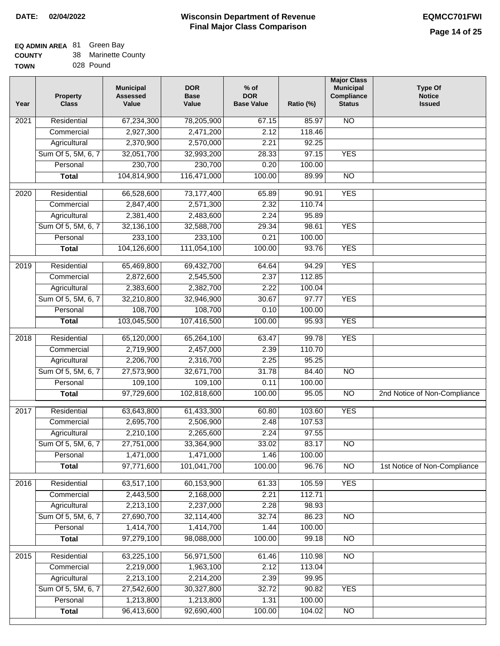٦

# **EQ ADMIN AREA** 81 Green Bay

| <b>COUNTY</b> | 38 Marinette County |
|---------------|---------------------|
| <b>TOWN</b>   | 028 Pound           |

| ИΝ | 028 Pound |  |
|----|-----------|--|
|    |           |  |

| Year             | <b>Property</b><br><b>Class</b> | <b>Municipal</b><br><b>Assessed</b><br>Value | <b>DOR</b><br><b>Base</b><br>Value | $%$ of<br><b>DOR</b><br><b>Base Value</b> | Ratio (%) | <b>Major Class</b><br><b>Municipal</b><br>Compliance<br><b>Status</b> | <b>Type Of</b><br><b>Notice</b><br><b>Issued</b> |
|------------------|---------------------------------|----------------------------------------------|------------------------------------|-------------------------------------------|-----------|-----------------------------------------------------------------------|--------------------------------------------------|
| 2021             | Residential                     | 67,234,300                                   | 78,205,900                         | 67.15                                     | 85.97     | <b>NO</b>                                                             |                                                  |
|                  | Commercial                      | 2,927,300                                    | 2,471,200                          | 2.12                                      | 118.46    |                                                                       |                                                  |
|                  | Agricultural                    | 2,370,900                                    | 2,570,000                          | 2.21                                      | 92.25     |                                                                       |                                                  |
|                  | Sum Of 5, 5M, 6, 7              | 32,051,700                                   | 32,993,200                         | 28.33                                     | 97.15     | <b>YES</b>                                                            |                                                  |
|                  | Personal                        | 230,700                                      | 230,700                            | 0.20                                      | 100.00    |                                                                       |                                                  |
|                  | <b>Total</b>                    | 104,814,900                                  | 116,471,000                        | 100.00                                    | 89.99     | $\overline{NO}$                                                       |                                                  |
| $\frac{1}{2020}$ | Residential                     | 66,528,600                                   | 73,177,400                         | 65.89                                     | 90.91     | <b>YES</b>                                                            |                                                  |
|                  | Commercial                      | 2,847,400                                    | 2,571,300                          | 2.32                                      | 110.74    |                                                                       |                                                  |
|                  | Agricultural                    | 2,381,400                                    | 2,483,600                          | 2.24                                      | 95.89     |                                                                       |                                                  |
|                  | Sum Of 5, 5M, 6, 7              | 32,136,100                                   | 32,588,700                         | 29.34                                     | 98.61     | <b>YES</b>                                                            |                                                  |
|                  | Personal                        | 233,100                                      | 233,100                            | 0.21                                      | 100.00    |                                                                       |                                                  |
|                  | <b>Total</b>                    | 104,126,600                                  | 111,054,100                        | 100.00                                    | 93.76     | <b>YES</b>                                                            |                                                  |
|                  |                                 |                                              |                                    |                                           |           |                                                                       |                                                  |
| $\frac{2019}{ }$ | Residential                     | 65,469,800                                   | 69,432,700                         | 64.64                                     | 94.29     | <b>YES</b>                                                            |                                                  |
|                  | Commercial                      | 2,872,600                                    | 2,545,500                          | 2.37                                      | 112.85    |                                                                       |                                                  |
|                  | Agricultural                    | 2,383,600                                    | 2,382,700                          | 2.22                                      | 100.04    |                                                                       |                                                  |
|                  | Sum Of 5, 5M, 6, 7              | 32,210,800                                   | 32,946,900                         | 30.67                                     | 97.77     | <b>YES</b>                                                            |                                                  |
|                  | Personal                        | 108,700                                      | 108,700                            | 0.10                                      | 100.00    |                                                                       |                                                  |
|                  | <b>Total</b>                    | 103,045,500                                  | 107,416,500                        | 100.00                                    | 95.93     | <b>YES</b>                                                            |                                                  |
| 2018             | Residential                     | 65,120,000                                   | 65,264,100                         | 63.47                                     | 99.78     | <b>YES</b>                                                            |                                                  |
|                  | Commercial                      | 2,719,900                                    | 2,457,000                          | 2.39                                      | 110.70    |                                                                       |                                                  |
|                  | Agricultural                    | 2,206,700                                    | 2,316,700                          | 2.25                                      | 95.25     |                                                                       |                                                  |
|                  | Sum Of 5, 5M, 6, 7              | 27,573,900                                   | 32,671,700                         | 31.78                                     | 84.40     | $\overline{NO}$                                                       |                                                  |
|                  | Personal                        | 109,100                                      | 109,100                            | 0.11                                      | 100.00    |                                                                       |                                                  |
|                  | <b>Total</b>                    | 97,729,600                                   | 102,818,600                        | 100.00                                    | 95.05     | $\overline{NO}$                                                       | 2nd Notice of Non-Compliance                     |
| 2017             | Residential                     | 63,643,800                                   | 61,433,300                         | 60.80                                     | 103.60    | <b>YES</b>                                                            |                                                  |
|                  | Commercial                      | 2,695,700                                    | 2,506,900                          | 2.48                                      | 107.53    |                                                                       |                                                  |
|                  | Agricultural                    | 2,210,100                                    | 2,265,600                          | 2.24                                      | 97.55     |                                                                       |                                                  |
|                  | Sum Of 5, 5M, 6, 7              | 27,751,000                                   | 33,364,900                         | 33.02                                     | 83.17     | $\overline{NO}$                                                       |                                                  |
|                  | Personal                        | 1,471,000                                    | 1,471,000                          | 1.46                                      | 100.00    |                                                                       |                                                  |
|                  | <b>Total</b>                    | 97,771,600                                   | 101,041,700                        | 100.00                                    | 96.76     | N <sub>O</sub>                                                        | 1st Notice of Non-Compliance                     |
| 2016             | Residential                     | 63,517,100                                   | 60,153,900                         | 61.33                                     | 105.59    | <b>YES</b>                                                            |                                                  |
|                  | Commercial                      | 2,443,500                                    | 2,168,000                          | 2.21                                      | 112.71    |                                                                       |                                                  |
|                  | Agricultural                    | 2,213,100                                    | 2,237,000                          | 2.28                                      | 98.93     |                                                                       |                                                  |
|                  | Sum Of 5, 5M, 6, 7              | 27,690,700                                   | 32,114,400                         | 32.74                                     | 86.23     | <b>NO</b>                                                             |                                                  |
|                  | Personal                        | 1,414,700                                    | 1,414,700                          | 1.44                                      | 100.00    |                                                                       |                                                  |
|                  | <b>Total</b>                    | 97,279,100                                   | 98,088,000                         | 100.00                                    | 99.18     | $\overline{NO}$                                                       |                                                  |
|                  |                                 |                                              |                                    |                                           |           |                                                                       |                                                  |
| 2015             | Residential                     | 63,225,100                                   | 56,971,500                         | 61.46                                     | 110.98    | $\overline{NO}$                                                       |                                                  |
|                  | Commercial                      | 2,219,000                                    | 1,963,100                          | 2.12                                      | 113.04    |                                                                       |                                                  |
|                  | Agricultural                    | 2,213,100                                    | 2,214,200                          | 2.39                                      | 99.95     |                                                                       |                                                  |
|                  | Sum Of 5, 5M, 6, 7              | 27,542,600                                   | 30,327,800                         | 32.72                                     | 90.82     | <b>YES</b>                                                            |                                                  |
|                  | Personal                        | 1,213,800                                    | 1,213,800                          | 1.31                                      | 100.00    |                                                                       |                                                  |
|                  | <b>Total</b>                    | 96,413,600                                   | 92,690,400                         | 100.00                                    | 104.02    | $\overline{NO}$                                                       |                                                  |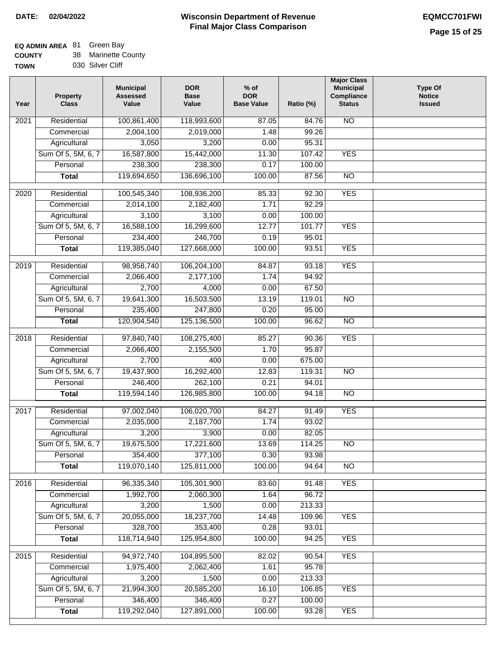### **Wisconsin Department of Revenue Final Major Class Comparison DATE: 02/04/2022 EQMCC701FWI**

# **EQ ADMIN AREA** 81 Green Bay

**COUNTY** 38 Marinette County

|             |                  | <b>Municipal</b> | DΟ |
|-------------|------------------|------------------|----|
| <b>TOWN</b> | 030 Silver Cliff |                  |    |
| ------      |                  |                  |    |

| Year              | <b>Property</b><br><b>Class</b> | <b>Municipal</b><br><b>Assessed</b><br>Value | <b>DOR</b><br><b>Base</b><br>Value | $%$ of<br><b>DOR</b><br><b>Base Value</b> | Ratio (%) | <b>Major Class</b><br><b>Municipal</b><br>Compliance<br><b>Status</b> | <b>Type Of</b><br><b>Notice</b><br><b>Issued</b> |
|-------------------|---------------------------------|----------------------------------------------|------------------------------------|-------------------------------------------|-----------|-----------------------------------------------------------------------|--------------------------------------------------|
| 2021              | Residential                     | 100,861,400                                  | 118,993,600                        | 87.05                                     | 84.76     | N <sub>O</sub>                                                        |                                                  |
|                   | Commercial                      | 2,004,100                                    | 2,019,000                          | 1.48                                      | 99.26     |                                                                       |                                                  |
|                   | Agricultural                    | 3,050                                        | 3,200                              | 0.00                                      | 95.31     |                                                                       |                                                  |
|                   | Sum Of 5, 5M, 6, 7              | 16,587,800                                   | 15,442,000                         | 11.30                                     | 107.42    | <b>YES</b>                                                            |                                                  |
|                   | Personal                        | 238,300                                      | 238,300                            | 0.17                                      | 100.00    |                                                                       |                                                  |
|                   | <b>Total</b>                    | 119,694,650                                  | 136,696,100                        | 100.00                                    | 87.56     | $\overline{NO}$                                                       |                                                  |
| $\overline{2020}$ | Residential                     | 100,545,340                                  | 108,936,200                        | 85.33                                     | 92.30     | <b>YES</b>                                                            |                                                  |
|                   | Commercial                      | 2,014,100                                    | 2,182,400                          | 1.71                                      | 92.29     |                                                                       |                                                  |
|                   | Agricultural                    | 3,100                                        | 3,100                              | 0.00                                      | 100.00    |                                                                       |                                                  |
|                   | Sum Of 5, 5M, 6, 7              | 16,588,100                                   | 16,299,600                         | 12.77                                     | 101.77    | <b>YES</b>                                                            |                                                  |
|                   | Personal                        | 234,400                                      | 246,700                            | 0.19                                      | 95.01     |                                                                       |                                                  |
|                   | <b>Total</b>                    | 119,385,040                                  | 127,668,000                        | 100.00                                    | 93.51     | <b>YES</b>                                                            |                                                  |
| 2019              | Residential                     | 98,958,740                                   | 106,204,100                        | 84.87                                     | 93.18     | <b>YES</b>                                                            |                                                  |
|                   | Commercial                      | 2,066,400                                    | 2,177,100                          | 1.74                                      | 94.92     |                                                                       |                                                  |
|                   | Agricultural                    | 2,700                                        | 4,000                              | 0.00                                      | 67.50     |                                                                       |                                                  |
|                   | Sum Of 5, 5M, 6, 7              | 19,641,300                                   | 16,503,500                         | 13.19                                     | 119.01    | $\overline{NO}$                                                       |                                                  |
|                   | Personal                        | 235,400                                      | 247,800                            | 0.20                                      | 95.00     |                                                                       |                                                  |
|                   | <b>Total</b>                    | 120,904,540                                  | 125,136,500                        | 100.00                                    | 96.62     | $\overline{NO}$                                                       |                                                  |
| 2018              | Residential                     | 97,840,740                                   | 108,275,400                        | 85.27                                     | 90.36     | <b>YES</b>                                                            |                                                  |
|                   | Commercial                      | 2,066,400                                    | 2,155,500                          | 1.70                                      | 95.87     |                                                                       |                                                  |
|                   | Agricultural                    | 2,700                                        | 400                                | 0.00                                      | 675.00    |                                                                       |                                                  |
|                   | Sum Of 5, 5M, 6, 7              | 19,437,900                                   | 16,292,400                         | 12.83                                     | 119.31    | $\overline{10}$                                                       |                                                  |
|                   | Personal                        | 246,400                                      | 262,100                            | 0.21                                      | 94.01     |                                                                       |                                                  |
|                   | <b>Total</b>                    | 119,594,140                                  | 126,985,800                        | 100.00                                    | 94.18     | $\overline{10}$                                                       |                                                  |
| 2017              | Residential                     | 97,002,040                                   | 106,020,700                        | 84.27                                     | 91.49     | <b>YES</b>                                                            |                                                  |
|                   | Commercial                      | 2,035,000                                    | 2,187,700                          | 1.74                                      | 93.02     |                                                                       |                                                  |
|                   | Agricultural                    | 3,200                                        | 3,900                              | 0.00                                      | 82.05     |                                                                       |                                                  |
|                   | Sum Of 5, 5M, 6, 7              | 19,675,500                                   | 17,221,600                         | 13.69                                     | 114.25    | NO                                                                    |                                                  |
|                   | Personal                        | 354,400                                      | 377,100                            | 0.30                                      | 93.98     |                                                                       |                                                  |
|                   | <b>Total</b>                    | 119,070,140                                  | 125,811,000                        | 100.00                                    | 94.64     | $\overline{N}$                                                        |                                                  |
| 2016              | Residential                     | 96,335,340                                   | 105,301,900                        | 83.60                                     | 91.48     | <b>YES</b>                                                            |                                                  |
|                   | Commercial                      | 1,992,700                                    | 2,060,300                          | 1.64                                      | 96.72     |                                                                       |                                                  |
|                   | Agricultural                    | 3,200                                        | 1,500                              | 0.00                                      | 213.33    |                                                                       |                                                  |
|                   | Sum Of 5, 5M, 6, 7              | 20,055,000                                   | 18,237,700                         | 14.48                                     | 109.96    | <b>YES</b>                                                            |                                                  |
|                   | Personal                        | 328,700                                      | 353,400                            | 0.28                                      | 93.01     |                                                                       |                                                  |
|                   | <b>Total</b>                    | 118,714,940                                  | 125,954,800                        | 100.00                                    | 94.25     | <b>YES</b>                                                            |                                                  |
| 2015              | Residential                     | 94,972,740                                   | 104,895,500                        | 82.02                                     | 90.54     | <b>YES</b>                                                            |                                                  |
|                   | Commercial                      | 1,975,400                                    | 2,062,400                          | 1.61                                      | 95.78     |                                                                       |                                                  |
|                   | Agricultural                    | 3,200                                        | 1,500                              | 0.00                                      | 213.33    |                                                                       |                                                  |
|                   | Sum Of 5, 5M, 6, 7              | 21,994,300                                   | 20,585,200                         | 16.10                                     | 106.85    | <b>YES</b>                                                            |                                                  |
|                   | Personal                        | 346,400                                      | 346,400                            | 0.27                                      | 100.00    |                                                                       |                                                  |
|                   | <b>Total</b>                    | 119,292,040                                  | 127,891,000                        | 100.00                                    | 93.28     | <b>YES</b>                                                            |                                                  |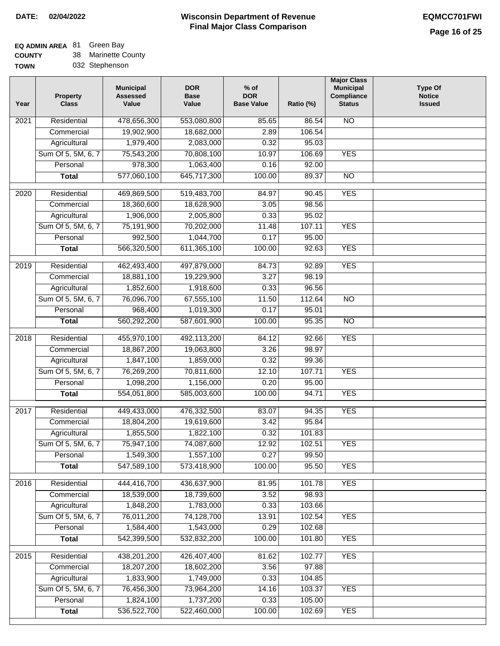### **EQ ADMIN AREA** Green Bay

**COUNTY TOWN** 38 Marinette County 032 Stephenson

| Year | <b>Property</b><br><b>Class</b> | <b>Municipal</b><br><b>Assessed</b><br>Value | <b>DOR</b><br><b>Base</b><br>Value | $%$ of<br><b>DOR</b><br><b>Base Value</b> | Ratio (%) | <b>Major Class</b><br><b>Municipal</b><br>Compliance<br><b>Status</b> | <b>Type Of</b><br><b>Notice</b><br><b>Issued</b> |
|------|---------------------------------|----------------------------------------------|------------------------------------|-------------------------------------------|-----------|-----------------------------------------------------------------------|--------------------------------------------------|
| 2021 | Residential                     | 478,656,300                                  | 553,080,800                        | 85.65                                     | 86.54     | $\overline{NO}$                                                       |                                                  |
|      | Commercial                      | 19,902,900                                   | 18,682,000                         | 2.89                                      | 106.54    |                                                                       |                                                  |
|      | Agricultural                    | 1,979,400                                    | 2,083,000                          | 0.32                                      | 95.03     |                                                                       |                                                  |
|      | Sum Of 5, 5M, 6, 7              | 75,543,200                                   | 70,808,100                         | 10.97                                     | 106.69    | <b>YES</b>                                                            |                                                  |
|      | Personal                        | 978,300                                      | 1,063,400                          | 0.16                                      | 92.00     |                                                                       |                                                  |
|      | <b>Total</b>                    | 577,060,100                                  | 645,717,300                        | 100.00                                    | 89.37     | $\overline{NO}$                                                       |                                                  |
| 2020 | Residential                     | 469,869,500                                  | 519,483,700                        | 84.97                                     | 90.45     | <b>YES</b>                                                            |                                                  |
|      | Commercial                      | 18,360,600                                   | 18,628,900                         | 3.05                                      | 98.56     |                                                                       |                                                  |
|      | Agricultural                    | 1,906,000                                    | 2,005,800                          | 0.33                                      | 95.02     |                                                                       |                                                  |
|      | Sum Of 5, 5M, 6, 7              | 75,191,900                                   | 70,202,000                         | 11.48                                     | 107.11    | <b>YES</b>                                                            |                                                  |
|      | Personal                        | 992,500                                      | 1,044,700                          | 0.17                                      | 95.00     |                                                                       |                                                  |
|      | <b>Total</b>                    | 566,320,500                                  | 611,365,100                        | 100.00                                    | 92.63     | <b>YES</b>                                                            |                                                  |
| 2019 | Residential                     | 462,493,400                                  | 497,879,000                        | 84.73                                     | 92.89     | <b>YES</b>                                                            |                                                  |
|      | Commercial                      | 18,881,100                                   | 19,229,900                         | 3.27                                      | 98.19     |                                                                       |                                                  |
|      | Agricultural                    | 1,852,600                                    | 1,918,600                          | 0.33                                      | 96.56     |                                                                       |                                                  |
|      | Sum Of 5, 5M, 6, 7              | 76,096,700                                   | 67,555,100                         | 11.50                                     | 112.64    | $\overline{NO}$                                                       |                                                  |
|      | Personal                        | 968,400                                      | 1,019,300                          | 0.17                                      | 95.01     |                                                                       |                                                  |
|      | <b>Total</b>                    | 560,292,200                                  | 587,601,900                        | 100.00                                    | 95.35     | $\overline{NO}$                                                       |                                                  |
| 2018 | Residential                     | 455,970,100                                  | 492,113,200                        | 84.12                                     | 92.66     | <b>YES</b>                                                            |                                                  |
|      | Commercial                      | 18,867,200                                   | 19,063,800                         | 3.26                                      | 98.97     |                                                                       |                                                  |
|      | Agricultural                    | 1,847,100                                    | 1,859,000                          | 0.32                                      | 99.36     |                                                                       |                                                  |
|      | Sum Of 5, 5M, 6, 7              | 76,269,200                                   | 70,811,600                         | 12.10                                     | 107.71    | <b>YES</b>                                                            |                                                  |
|      | Personal                        | 1,098,200                                    | 1,156,000                          | 0.20                                      | 95.00     |                                                                       |                                                  |
|      | <b>Total</b>                    | 554,051,800                                  | 585,003,600                        | 100.00                                    | 94.71     | <b>YES</b>                                                            |                                                  |
| 2017 | Residential                     | 449,433,000                                  | 476,332,500                        | 83.07                                     | 94.35     | <b>YES</b>                                                            |                                                  |
|      | Commercial                      | 18,804,200                                   | 19,619,600                         | 3.42                                      | 95.84     |                                                                       |                                                  |
|      | Agricultural                    | 1,855,500                                    | 1,822,100                          | 0.32                                      | 101.83    |                                                                       |                                                  |
|      | Sum Of 5, 5M, 6, 7              | 75,947,100                                   | 74,087,600                         | 12.92                                     | 102.51    | <b>YES</b>                                                            |                                                  |
|      | Personal                        | 1,549,300                                    | 1,557,100                          | 0.27                                      | 99.50     |                                                                       |                                                  |
|      | <b>Total</b>                    | 547,589,100                                  | 573,418,900                        | 100.00                                    | 95.50     | <b>YES</b>                                                            |                                                  |
| 2016 | Residential                     | 444,416,700                                  | 436,637,900                        | 81.95                                     | 101.78    | <b>YES</b>                                                            |                                                  |
|      | Commercial                      | 18,539,000                                   | 18,739,600                         | 3.52                                      | 98.93     |                                                                       |                                                  |
|      | Agricultural                    | 1,848,200                                    | 1,783,000                          | 0.33                                      | 103.66    |                                                                       |                                                  |
|      | Sum Of 5, 5M, 6, 7              | 76,011,200                                   | 74,128,700                         | 13.91                                     | 102.54    | <b>YES</b>                                                            |                                                  |
|      | Personal                        | 1,584,400                                    | 1,543,000                          | 0.29                                      | 102.68    |                                                                       |                                                  |
|      | <b>Total</b>                    | 542,399,500                                  | 532,832,200                        | 100.00                                    | 101.80    | <b>YES</b>                                                            |                                                  |
| 2015 | Residential                     | 438,201,200                                  | 426,407,400                        | 81.62                                     | 102.77    | <b>YES</b>                                                            |                                                  |
|      | Commercial                      | 18,207,200                                   | 18,602,200                         | 3.56                                      | 97.88     |                                                                       |                                                  |
|      | Agricultural                    | 1,833,900                                    | 1,749,000                          | 0.33                                      | 104.85    |                                                                       |                                                  |
|      | Sum Of 5, 5M, 6, 7              | 76,456,300                                   | 73,964,200                         | 14.16                                     | 103.37    | <b>YES</b>                                                            |                                                  |
|      | Personal                        | 1,824,100                                    | 1,737,200                          | 0.33                                      | 105.00    |                                                                       |                                                  |
|      | <b>Total</b>                    | 536,522,700                                  | 522,460,000                        | 100.00                                    | 102.69    | <b>YES</b>                                                            |                                                  |
|      |                                 |                                              |                                    |                                           |           |                                                                       |                                                  |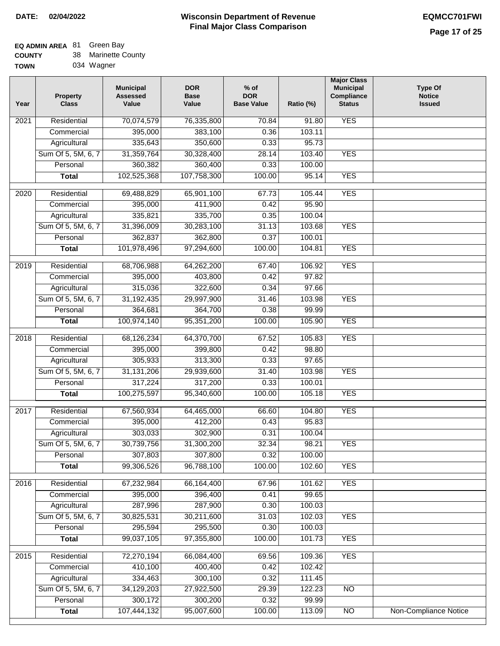# **EQ ADMIN AREA** 81 Green Bay

| <b>COUNTY</b> |  | Marinette County |
|---------------|--|------------------|
|---------------|--|------------------|

**TOWN** 034 Wagner

| Year              | <b>Property</b><br><b>Class</b> | <b>Municipal</b><br><b>Assessed</b><br>Value | <b>DOR</b><br><b>Base</b><br>Value | $%$ of<br><b>DOR</b><br><b>Base Value</b> | Ratio (%) | <b>Major Class</b><br><b>Municipal</b><br>Compliance<br><b>Status</b> | <b>Type Of</b><br><b>Notice</b><br><b>Issued</b> |
|-------------------|---------------------------------|----------------------------------------------|------------------------------------|-------------------------------------------|-----------|-----------------------------------------------------------------------|--------------------------------------------------|
| $\overline{202}1$ | Residential                     | 70,074,579                                   | 76,335,800                         | 70.84                                     | 91.80     | <b>YES</b>                                                            |                                                  |
|                   | Commercial                      | 395,000                                      | 383,100                            | 0.36                                      | 103.11    |                                                                       |                                                  |
|                   | Agricultural                    | 335,643                                      | 350,600                            | 0.33                                      | 95.73     |                                                                       |                                                  |
|                   | Sum Of 5, 5M, 6, 7              | 31,359,764                                   | 30,328,400                         | 28.14                                     | 103.40    | <b>YES</b>                                                            |                                                  |
|                   | Personal                        | 360,382                                      | 360,400                            | 0.33                                      | 100.00    |                                                                       |                                                  |
|                   | <b>Total</b>                    | 102,525,368                                  | 107,758,300                        | 100.00                                    | 95.14     | <b>YES</b>                                                            |                                                  |
| $\overline{2020}$ | Residential                     | 69,488,829                                   | 65,901,100                         | 67.73                                     | 105.44    | <b>YES</b>                                                            |                                                  |
|                   | Commercial                      | 395,000                                      | 411,900                            | 0.42                                      | 95.90     |                                                                       |                                                  |
|                   | Agricultural                    | 335,821                                      | 335,700                            | 0.35                                      | 100.04    |                                                                       |                                                  |
|                   | Sum Of 5, 5M, 6, 7              | 31,396,009                                   | 30,283,100                         | 31.13                                     | 103.68    | <b>YES</b>                                                            |                                                  |
|                   | Personal                        | 362,837                                      | 362,800                            | 0.37                                      | 100.01    |                                                                       |                                                  |
|                   | <b>Total</b>                    | 101,978,496                                  | 97,294,600                         | 100.00                                    | 104.81    | <b>YES</b>                                                            |                                                  |
| 2019              | Residential                     | 68,706,988                                   | 64,262,200                         | 67.40                                     | 106.92    | <b>YES</b>                                                            |                                                  |
|                   | Commercial                      | 395,000                                      | 403,800                            | 0.42                                      | 97.82     |                                                                       |                                                  |
|                   | Agricultural                    | 315,036                                      | 322,600                            | 0.34                                      | 97.66     |                                                                       |                                                  |
|                   | Sum Of 5, 5M, 6, 7              | 31,192,435                                   | 29,997,900                         | 31.46                                     | 103.98    | <b>YES</b>                                                            |                                                  |
|                   | Personal                        | 364,681                                      | 364,700                            | 0.38                                      | 99.99     |                                                                       |                                                  |
|                   | <b>Total</b>                    | 100,974,140                                  | 95, 351, 200                       | 100.00                                    | 105.90    | <b>YES</b>                                                            |                                                  |
| 2018              | Residential                     | 68,126,234                                   | 64,370,700                         | 67.52                                     | 105.83    | <b>YES</b>                                                            |                                                  |
|                   | Commercial                      | 395,000                                      | 399,800                            | 0.42                                      | 98.80     |                                                                       |                                                  |
|                   | Agricultural                    | 305,933                                      | 313,300                            | 0.33                                      | 97.65     |                                                                       |                                                  |
|                   | Sum Of 5, 5M, 6, 7              | 31, 131, 206                                 | 29,939,600                         | 31.40                                     | 103.98    | <b>YES</b>                                                            |                                                  |
|                   | Personal                        | 317,224                                      | 317,200                            | 0.33                                      | 100.01    |                                                                       |                                                  |
|                   | <b>Total</b>                    | 100,275,597                                  | 95,340,600                         | 100.00                                    | 105.18    | <b>YES</b>                                                            |                                                  |
| 2017              | Residential                     | 67,560,934                                   | 64,465,000                         | 66.60                                     | 104.80    | <b>YES</b>                                                            |                                                  |
|                   | Commercial                      | 395,000                                      | 412,200                            | 0.43                                      | 95.83     |                                                                       |                                                  |
|                   | Agricultural                    | 303,033                                      | 302,900                            | 0.31                                      | 100.04    |                                                                       |                                                  |
|                   | Sum Of 5, 5M, 6, 7              | 30,739,756                                   | 31,300,200                         | 32.34                                     | 98.21     | <b>YES</b>                                                            |                                                  |
|                   | Personal                        | 307,803                                      | 307,800                            | 0.32                                      | 100.00    |                                                                       |                                                  |
|                   | <b>Total</b>                    | 99,306,526                                   | 96,788,100                         | 100.00                                    | 102.60    | <b>YES</b>                                                            |                                                  |
| 2016              | Residential                     | 67,232,984                                   | 66, 164, 400                       | 67.96                                     | 101.62    | <b>YES</b>                                                            |                                                  |
|                   | Commercial                      | 395,000                                      | 396,400                            | 0.41                                      | 99.65     |                                                                       |                                                  |
|                   | Agricultural                    | 287,996                                      | 287,900                            | 0.30                                      | 100.03    |                                                                       |                                                  |
|                   | Sum Of 5, 5M, 6, 7              | 30,825,531                                   | 30,211,600                         | 31.03                                     | 102.03    | <b>YES</b>                                                            |                                                  |
|                   | Personal                        | 295,594                                      | 295,500                            | 0.30                                      | 100.03    |                                                                       |                                                  |
|                   | <b>Total</b>                    | 99,037,105                                   | 97,355,800                         | 100.00                                    | 101.73    | <b>YES</b>                                                            |                                                  |
|                   |                                 |                                              |                                    |                                           |           |                                                                       |                                                  |
| 2015              | Residential                     | 72,270,194                                   | 66,084,400                         | 69.56                                     | 109.36    | <b>YES</b>                                                            |                                                  |
|                   | Commercial                      | 410,100                                      | 400,400                            | 0.42                                      | 102.42    |                                                                       |                                                  |
|                   | Agricultural                    | 334,463                                      | 300,100                            | 0.32                                      | 111.45    |                                                                       |                                                  |
|                   | Sum Of 5, 5M, 6, 7              | 34,129,203                                   | 27,922,500                         | 29.39                                     | 122.23    | <b>NO</b>                                                             |                                                  |
|                   | Personal                        | 300,172<br>107,444,132                       | 300,200                            | 0.32                                      | 99.99     |                                                                       | <b>Non-Compliance Notice</b>                     |
|                   | <b>Total</b>                    |                                              | 95,007,600                         | 100.00                                    | 113.09    | N <sub>O</sub>                                                        |                                                  |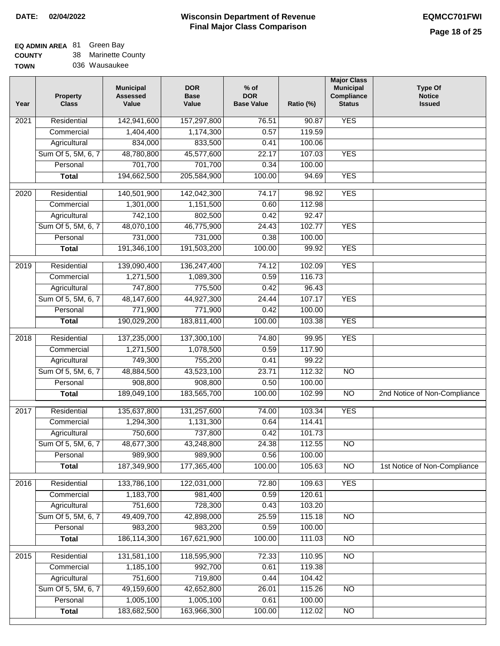### **EQ ADMIN AREA Green Bay**

**COUNTY TOWN** 38 Marinette County 036 Wausaukee

| <b>YES</b><br>Residential<br>142,941,600<br>76.51<br>$\overline{202}1$<br>157,297,800<br>90.87<br>1,404,400<br>1,174,300<br>0.57<br>119.59<br>Commercial<br>833,500<br>Agricultural<br>834,000<br>100.06<br>0.41<br>Sum Of 5, 5M, 6, 7<br>48,780,800<br>45,577,600<br>22.17<br>107.03<br><b>YES</b><br>701,700<br>701,700<br>Personal<br>0.34<br>100.00<br>194,662,500<br>205,584,900<br>100.00<br><b>YES</b><br><b>Total</b><br>94.69<br>140,501,900<br><b>YES</b><br>$\overline{2020}$<br>Residential<br>142,042,300<br>74.17<br>98.92<br>1,151,500<br>112.98<br>1,301,000<br>Commercial<br>0.60<br>742,100<br>802,500<br>0.42<br>92.47<br>Agricultural<br>Sum Of 5, 5M, 6, 7<br>48,070,100<br>46,775,900<br>102.77<br><b>YES</b><br>24.43<br>731,000<br>731,000<br>100.00<br>Personal<br>0.38<br>191,346,100<br><b>YES</b><br>191,503,200<br>100.00<br><b>Total</b><br>99.92<br><b>YES</b><br>Residential<br>139,090,400<br>136,247,400<br>74.12<br>102.09<br>2019<br>1,271,500<br>1,089,300<br>0.59<br>116.73<br>Commercial<br>747,800<br>775,500<br>96.43<br>0.42<br>Agricultural<br>107.17<br><b>YES</b><br>Sum Of 5, 5M, 6, 7<br>48,147,600<br>44,927,300<br>24.44<br>771,900<br>771,900<br>Personal<br>0.42<br>100.00<br>190,029,200<br>183,811,400<br>100.00<br>103.38<br><b>YES</b><br><b>Total</b><br>Residential<br>137,235,000<br>137,300,100<br>74.80<br>99.95<br><b>YES</b><br>2018<br>1,078,500<br>Commercial<br>1,271,500<br>0.59<br>117.90<br>749,300<br>755,200<br>99.22<br>Agricultural<br>0.41<br>Sum Of 5, 5M, 6, 7<br>48,884,500<br>43,523,100<br>23.71<br>112.32<br>$\overline{NO}$<br>Personal<br>908,800<br>908,800<br>0.50<br>100.00<br>189,049,100<br>183,565,700<br>100.00<br>102.99<br>$\overline{NO}$<br><b>Total</b><br>Residential<br>131,257,600<br>74.00<br>103.34<br><b>YES</b><br>2017<br>135,637,800<br>Commercial<br>1,294,300<br>1,131,300<br>0.64<br>114.41<br>737,800<br>750,600<br>0.42<br>101.73<br>Agricultural<br>48,677,300<br>43,248,800<br>112.55<br>Sum Of 5, 5M, 6, 7<br>24.38<br><b>NO</b><br>989,900<br>989,900<br>Personal<br>0.56<br>100.00<br>187,349,900<br>177,365,400<br>100.00<br>105.63<br>$\overline{NO}$<br>1st Notice of Non-Compliance<br><b>Total</b><br>133,786,100<br><b>YES</b><br>2016<br>Residential<br>122,031,000<br>72.80<br>109.63<br>1,183,700<br>981,400<br>0.59<br>120.61<br>Commercial<br>751,600<br>728,300<br>Agricultural<br>0.43<br>103.20<br>Sum Of 5, 5M, 6, 7<br>49,409,700<br>42,898,000<br>25.59<br>$\overline{NO}$<br>115.18<br>983,200<br>983,200<br>100.00<br>Personal<br>0.59<br>186,114,300<br>167,621,900<br>100.00<br>111.03<br>$\overline{NO}$<br><b>Total</b><br>Residential<br>131,581,100<br>118,595,900<br>72.33<br>110.95<br>$\overline{NO}$<br>2015<br>1,185,100<br>992,700<br>119.38<br>Commercial<br>0.61<br>751,600<br>719,800<br>Agricultural<br>0.44<br>104.42<br>Sum Of 5, 5M, 6, 7<br>49,159,600<br>42,652,800<br>26.01<br>115.26<br><b>NO</b><br>1,005,100<br>1,005,100<br>100.00<br>Personal<br>0.61<br>183,682,500<br>163,966,300<br>100.00<br>112.02<br>$\overline{NO}$<br><b>Total</b> | Year | <b>Property</b><br><b>Class</b> | <b>Municipal</b><br><b>Assessed</b><br>Value | <b>DOR</b><br><b>Base</b><br>Value | $%$ of<br><b>DOR</b><br><b>Base Value</b> | Ratio (%) | <b>Major Class</b><br><b>Municipal</b><br>Compliance<br><b>Status</b> | <b>Type Of</b><br><b>Notice</b><br><b>Issued</b> |
|----------------------------------------------------------------------------------------------------------------------------------------------------------------------------------------------------------------------------------------------------------------------------------------------------------------------------------------------------------------------------------------------------------------------------------------------------------------------------------------------------------------------------------------------------------------------------------------------------------------------------------------------------------------------------------------------------------------------------------------------------------------------------------------------------------------------------------------------------------------------------------------------------------------------------------------------------------------------------------------------------------------------------------------------------------------------------------------------------------------------------------------------------------------------------------------------------------------------------------------------------------------------------------------------------------------------------------------------------------------------------------------------------------------------------------------------------------------------------------------------------------------------------------------------------------------------------------------------------------------------------------------------------------------------------------------------------------------------------------------------------------------------------------------------------------------------------------------------------------------------------------------------------------------------------------------------------------------------------------------------------------------------------------------------------------------------------------------------------------------------------------------------------------------------------------------------------------------------------------------------------------------------------------------------------------------------------------------------------------------------------------------------------------------------------------------------------------------------------------------------------------------------------------------------------------------------------------------------------------------------------------------------------------------------------------------------------------------------------------------------------------------------------------------------------------------------------------------------------------------------------------------------------------------------------------------------------------------------------------------------------------------------------------------------------------------------------------------------------------|------|---------------------------------|----------------------------------------------|------------------------------------|-------------------------------------------|-----------|-----------------------------------------------------------------------|--------------------------------------------------|
|                                                                                                                                                                                                                                                                                                                                                                                                                                                                                                                                                                                                                                                                                                                                                                                                                                                                                                                                                                                                                                                                                                                                                                                                                                                                                                                                                                                                                                                                                                                                                                                                                                                                                                                                                                                                                                                                                                                                                                                                                                                                                                                                                                                                                                                                                                                                                                                                                                                                                                                                                                                                                                                                                                                                                                                                                                                                                                                                                                                                                                                                                                          |      |                                 |                                              |                                    |                                           |           |                                                                       |                                                  |
|                                                                                                                                                                                                                                                                                                                                                                                                                                                                                                                                                                                                                                                                                                                                                                                                                                                                                                                                                                                                                                                                                                                                                                                                                                                                                                                                                                                                                                                                                                                                                                                                                                                                                                                                                                                                                                                                                                                                                                                                                                                                                                                                                                                                                                                                                                                                                                                                                                                                                                                                                                                                                                                                                                                                                                                                                                                                                                                                                                                                                                                                                                          |      |                                 |                                              |                                    |                                           |           |                                                                       |                                                  |
|                                                                                                                                                                                                                                                                                                                                                                                                                                                                                                                                                                                                                                                                                                                                                                                                                                                                                                                                                                                                                                                                                                                                                                                                                                                                                                                                                                                                                                                                                                                                                                                                                                                                                                                                                                                                                                                                                                                                                                                                                                                                                                                                                                                                                                                                                                                                                                                                                                                                                                                                                                                                                                                                                                                                                                                                                                                                                                                                                                                                                                                                                                          |      |                                 |                                              |                                    |                                           |           |                                                                       |                                                  |
|                                                                                                                                                                                                                                                                                                                                                                                                                                                                                                                                                                                                                                                                                                                                                                                                                                                                                                                                                                                                                                                                                                                                                                                                                                                                                                                                                                                                                                                                                                                                                                                                                                                                                                                                                                                                                                                                                                                                                                                                                                                                                                                                                                                                                                                                                                                                                                                                                                                                                                                                                                                                                                                                                                                                                                                                                                                                                                                                                                                                                                                                                                          |      |                                 |                                              |                                    |                                           |           |                                                                       |                                                  |
|                                                                                                                                                                                                                                                                                                                                                                                                                                                                                                                                                                                                                                                                                                                                                                                                                                                                                                                                                                                                                                                                                                                                                                                                                                                                                                                                                                                                                                                                                                                                                                                                                                                                                                                                                                                                                                                                                                                                                                                                                                                                                                                                                                                                                                                                                                                                                                                                                                                                                                                                                                                                                                                                                                                                                                                                                                                                                                                                                                                                                                                                                                          |      |                                 |                                              |                                    |                                           |           |                                                                       |                                                  |
|                                                                                                                                                                                                                                                                                                                                                                                                                                                                                                                                                                                                                                                                                                                                                                                                                                                                                                                                                                                                                                                                                                                                                                                                                                                                                                                                                                                                                                                                                                                                                                                                                                                                                                                                                                                                                                                                                                                                                                                                                                                                                                                                                                                                                                                                                                                                                                                                                                                                                                                                                                                                                                                                                                                                                                                                                                                                                                                                                                                                                                                                                                          |      |                                 |                                              |                                    |                                           |           |                                                                       |                                                  |
|                                                                                                                                                                                                                                                                                                                                                                                                                                                                                                                                                                                                                                                                                                                                                                                                                                                                                                                                                                                                                                                                                                                                                                                                                                                                                                                                                                                                                                                                                                                                                                                                                                                                                                                                                                                                                                                                                                                                                                                                                                                                                                                                                                                                                                                                                                                                                                                                                                                                                                                                                                                                                                                                                                                                                                                                                                                                                                                                                                                                                                                                                                          |      |                                 |                                              |                                    |                                           |           |                                                                       |                                                  |
|                                                                                                                                                                                                                                                                                                                                                                                                                                                                                                                                                                                                                                                                                                                                                                                                                                                                                                                                                                                                                                                                                                                                                                                                                                                                                                                                                                                                                                                                                                                                                                                                                                                                                                                                                                                                                                                                                                                                                                                                                                                                                                                                                                                                                                                                                                                                                                                                                                                                                                                                                                                                                                                                                                                                                                                                                                                                                                                                                                                                                                                                                                          |      |                                 |                                              |                                    |                                           |           |                                                                       |                                                  |
|                                                                                                                                                                                                                                                                                                                                                                                                                                                                                                                                                                                                                                                                                                                                                                                                                                                                                                                                                                                                                                                                                                                                                                                                                                                                                                                                                                                                                                                                                                                                                                                                                                                                                                                                                                                                                                                                                                                                                                                                                                                                                                                                                                                                                                                                                                                                                                                                                                                                                                                                                                                                                                                                                                                                                                                                                                                                                                                                                                                                                                                                                                          |      |                                 |                                              |                                    |                                           |           |                                                                       |                                                  |
|                                                                                                                                                                                                                                                                                                                                                                                                                                                                                                                                                                                                                                                                                                                                                                                                                                                                                                                                                                                                                                                                                                                                                                                                                                                                                                                                                                                                                                                                                                                                                                                                                                                                                                                                                                                                                                                                                                                                                                                                                                                                                                                                                                                                                                                                                                                                                                                                                                                                                                                                                                                                                                                                                                                                                                                                                                                                                                                                                                                                                                                                                                          |      |                                 |                                              |                                    |                                           |           |                                                                       |                                                  |
|                                                                                                                                                                                                                                                                                                                                                                                                                                                                                                                                                                                                                                                                                                                                                                                                                                                                                                                                                                                                                                                                                                                                                                                                                                                                                                                                                                                                                                                                                                                                                                                                                                                                                                                                                                                                                                                                                                                                                                                                                                                                                                                                                                                                                                                                                                                                                                                                                                                                                                                                                                                                                                                                                                                                                                                                                                                                                                                                                                                                                                                                                                          |      |                                 |                                              |                                    |                                           |           |                                                                       |                                                  |
|                                                                                                                                                                                                                                                                                                                                                                                                                                                                                                                                                                                                                                                                                                                                                                                                                                                                                                                                                                                                                                                                                                                                                                                                                                                                                                                                                                                                                                                                                                                                                                                                                                                                                                                                                                                                                                                                                                                                                                                                                                                                                                                                                                                                                                                                                                                                                                                                                                                                                                                                                                                                                                                                                                                                                                                                                                                                                                                                                                                                                                                                                                          |      |                                 |                                              |                                    |                                           |           |                                                                       |                                                  |
|                                                                                                                                                                                                                                                                                                                                                                                                                                                                                                                                                                                                                                                                                                                                                                                                                                                                                                                                                                                                                                                                                                                                                                                                                                                                                                                                                                                                                                                                                                                                                                                                                                                                                                                                                                                                                                                                                                                                                                                                                                                                                                                                                                                                                                                                                                                                                                                                                                                                                                                                                                                                                                                                                                                                                                                                                                                                                                                                                                                                                                                                                                          |      |                                 |                                              |                                    |                                           |           |                                                                       |                                                  |
|                                                                                                                                                                                                                                                                                                                                                                                                                                                                                                                                                                                                                                                                                                                                                                                                                                                                                                                                                                                                                                                                                                                                                                                                                                                                                                                                                                                                                                                                                                                                                                                                                                                                                                                                                                                                                                                                                                                                                                                                                                                                                                                                                                                                                                                                                                                                                                                                                                                                                                                                                                                                                                                                                                                                                                                                                                                                                                                                                                                                                                                                                                          |      |                                 |                                              |                                    |                                           |           |                                                                       |                                                  |
|                                                                                                                                                                                                                                                                                                                                                                                                                                                                                                                                                                                                                                                                                                                                                                                                                                                                                                                                                                                                                                                                                                                                                                                                                                                                                                                                                                                                                                                                                                                                                                                                                                                                                                                                                                                                                                                                                                                                                                                                                                                                                                                                                                                                                                                                                                                                                                                                                                                                                                                                                                                                                                                                                                                                                                                                                                                                                                                                                                                                                                                                                                          |      |                                 |                                              |                                    |                                           |           |                                                                       |                                                  |
|                                                                                                                                                                                                                                                                                                                                                                                                                                                                                                                                                                                                                                                                                                                                                                                                                                                                                                                                                                                                                                                                                                                                                                                                                                                                                                                                                                                                                                                                                                                                                                                                                                                                                                                                                                                                                                                                                                                                                                                                                                                                                                                                                                                                                                                                                                                                                                                                                                                                                                                                                                                                                                                                                                                                                                                                                                                                                                                                                                                                                                                                                                          |      |                                 |                                              |                                    |                                           |           |                                                                       |                                                  |
|                                                                                                                                                                                                                                                                                                                                                                                                                                                                                                                                                                                                                                                                                                                                                                                                                                                                                                                                                                                                                                                                                                                                                                                                                                                                                                                                                                                                                                                                                                                                                                                                                                                                                                                                                                                                                                                                                                                                                                                                                                                                                                                                                                                                                                                                                                                                                                                                                                                                                                                                                                                                                                                                                                                                                                                                                                                                                                                                                                                                                                                                                                          |      |                                 |                                              |                                    |                                           |           |                                                                       |                                                  |
|                                                                                                                                                                                                                                                                                                                                                                                                                                                                                                                                                                                                                                                                                                                                                                                                                                                                                                                                                                                                                                                                                                                                                                                                                                                                                                                                                                                                                                                                                                                                                                                                                                                                                                                                                                                                                                                                                                                                                                                                                                                                                                                                                                                                                                                                                                                                                                                                                                                                                                                                                                                                                                                                                                                                                                                                                                                                                                                                                                                                                                                                                                          |      |                                 |                                              |                                    |                                           |           |                                                                       |                                                  |
|                                                                                                                                                                                                                                                                                                                                                                                                                                                                                                                                                                                                                                                                                                                                                                                                                                                                                                                                                                                                                                                                                                                                                                                                                                                                                                                                                                                                                                                                                                                                                                                                                                                                                                                                                                                                                                                                                                                                                                                                                                                                                                                                                                                                                                                                                                                                                                                                                                                                                                                                                                                                                                                                                                                                                                                                                                                                                                                                                                                                                                                                                                          |      |                                 |                                              |                                    |                                           |           |                                                                       |                                                  |
|                                                                                                                                                                                                                                                                                                                                                                                                                                                                                                                                                                                                                                                                                                                                                                                                                                                                                                                                                                                                                                                                                                                                                                                                                                                                                                                                                                                                                                                                                                                                                                                                                                                                                                                                                                                                                                                                                                                                                                                                                                                                                                                                                                                                                                                                                                                                                                                                                                                                                                                                                                                                                                                                                                                                                                                                                                                                                                                                                                                                                                                                                                          |      |                                 |                                              |                                    |                                           |           |                                                                       |                                                  |
|                                                                                                                                                                                                                                                                                                                                                                                                                                                                                                                                                                                                                                                                                                                                                                                                                                                                                                                                                                                                                                                                                                                                                                                                                                                                                                                                                                                                                                                                                                                                                                                                                                                                                                                                                                                                                                                                                                                                                                                                                                                                                                                                                                                                                                                                                                                                                                                                                                                                                                                                                                                                                                                                                                                                                                                                                                                                                                                                                                                                                                                                                                          |      |                                 |                                              |                                    |                                           |           |                                                                       |                                                  |
|                                                                                                                                                                                                                                                                                                                                                                                                                                                                                                                                                                                                                                                                                                                                                                                                                                                                                                                                                                                                                                                                                                                                                                                                                                                                                                                                                                                                                                                                                                                                                                                                                                                                                                                                                                                                                                                                                                                                                                                                                                                                                                                                                                                                                                                                                                                                                                                                                                                                                                                                                                                                                                                                                                                                                                                                                                                                                                                                                                                                                                                                                                          |      |                                 |                                              |                                    |                                           |           |                                                                       |                                                  |
|                                                                                                                                                                                                                                                                                                                                                                                                                                                                                                                                                                                                                                                                                                                                                                                                                                                                                                                                                                                                                                                                                                                                                                                                                                                                                                                                                                                                                                                                                                                                                                                                                                                                                                                                                                                                                                                                                                                                                                                                                                                                                                                                                                                                                                                                                                                                                                                                                                                                                                                                                                                                                                                                                                                                                                                                                                                                                                                                                                                                                                                                                                          |      |                                 |                                              |                                    |                                           |           |                                                                       |                                                  |
|                                                                                                                                                                                                                                                                                                                                                                                                                                                                                                                                                                                                                                                                                                                                                                                                                                                                                                                                                                                                                                                                                                                                                                                                                                                                                                                                                                                                                                                                                                                                                                                                                                                                                                                                                                                                                                                                                                                                                                                                                                                                                                                                                                                                                                                                                                                                                                                                                                                                                                                                                                                                                                                                                                                                                                                                                                                                                                                                                                                                                                                                                                          |      |                                 |                                              |                                    |                                           |           |                                                                       |                                                  |
|                                                                                                                                                                                                                                                                                                                                                                                                                                                                                                                                                                                                                                                                                                                                                                                                                                                                                                                                                                                                                                                                                                                                                                                                                                                                                                                                                                                                                                                                                                                                                                                                                                                                                                                                                                                                                                                                                                                                                                                                                                                                                                                                                                                                                                                                                                                                                                                                                                                                                                                                                                                                                                                                                                                                                                                                                                                                                                                                                                                                                                                                                                          |      |                                 |                                              |                                    |                                           |           |                                                                       | 2nd Notice of Non-Compliance                     |
|                                                                                                                                                                                                                                                                                                                                                                                                                                                                                                                                                                                                                                                                                                                                                                                                                                                                                                                                                                                                                                                                                                                                                                                                                                                                                                                                                                                                                                                                                                                                                                                                                                                                                                                                                                                                                                                                                                                                                                                                                                                                                                                                                                                                                                                                                                                                                                                                                                                                                                                                                                                                                                                                                                                                                                                                                                                                                                                                                                                                                                                                                                          |      |                                 |                                              |                                    |                                           |           |                                                                       |                                                  |
|                                                                                                                                                                                                                                                                                                                                                                                                                                                                                                                                                                                                                                                                                                                                                                                                                                                                                                                                                                                                                                                                                                                                                                                                                                                                                                                                                                                                                                                                                                                                                                                                                                                                                                                                                                                                                                                                                                                                                                                                                                                                                                                                                                                                                                                                                                                                                                                                                                                                                                                                                                                                                                                                                                                                                                                                                                                                                                                                                                                                                                                                                                          |      |                                 |                                              |                                    |                                           |           |                                                                       |                                                  |
|                                                                                                                                                                                                                                                                                                                                                                                                                                                                                                                                                                                                                                                                                                                                                                                                                                                                                                                                                                                                                                                                                                                                                                                                                                                                                                                                                                                                                                                                                                                                                                                                                                                                                                                                                                                                                                                                                                                                                                                                                                                                                                                                                                                                                                                                                                                                                                                                                                                                                                                                                                                                                                                                                                                                                                                                                                                                                                                                                                                                                                                                                                          |      |                                 |                                              |                                    |                                           |           |                                                                       |                                                  |
|                                                                                                                                                                                                                                                                                                                                                                                                                                                                                                                                                                                                                                                                                                                                                                                                                                                                                                                                                                                                                                                                                                                                                                                                                                                                                                                                                                                                                                                                                                                                                                                                                                                                                                                                                                                                                                                                                                                                                                                                                                                                                                                                                                                                                                                                                                                                                                                                                                                                                                                                                                                                                                                                                                                                                                                                                                                                                                                                                                                                                                                                                                          |      |                                 |                                              |                                    |                                           |           |                                                                       |                                                  |
|                                                                                                                                                                                                                                                                                                                                                                                                                                                                                                                                                                                                                                                                                                                                                                                                                                                                                                                                                                                                                                                                                                                                                                                                                                                                                                                                                                                                                                                                                                                                                                                                                                                                                                                                                                                                                                                                                                                                                                                                                                                                                                                                                                                                                                                                                                                                                                                                                                                                                                                                                                                                                                                                                                                                                                                                                                                                                                                                                                                                                                                                                                          |      |                                 |                                              |                                    |                                           |           |                                                                       |                                                  |
|                                                                                                                                                                                                                                                                                                                                                                                                                                                                                                                                                                                                                                                                                                                                                                                                                                                                                                                                                                                                                                                                                                                                                                                                                                                                                                                                                                                                                                                                                                                                                                                                                                                                                                                                                                                                                                                                                                                                                                                                                                                                                                                                                                                                                                                                                                                                                                                                                                                                                                                                                                                                                                                                                                                                                                                                                                                                                                                                                                                                                                                                                                          |      |                                 |                                              |                                    |                                           |           |                                                                       |                                                  |
|                                                                                                                                                                                                                                                                                                                                                                                                                                                                                                                                                                                                                                                                                                                                                                                                                                                                                                                                                                                                                                                                                                                                                                                                                                                                                                                                                                                                                                                                                                                                                                                                                                                                                                                                                                                                                                                                                                                                                                                                                                                                                                                                                                                                                                                                                                                                                                                                                                                                                                                                                                                                                                                                                                                                                                                                                                                                                                                                                                                                                                                                                                          |      |                                 |                                              |                                    |                                           |           |                                                                       |                                                  |
|                                                                                                                                                                                                                                                                                                                                                                                                                                                                                                                                                                                                                                                                                                                                                                                                                                                                                                                                                                                                                                                                                                                                                                                                                                                                                                                                                                                                                                                                                                                                                                                                                                                                                                                                                                                                                                                                                                                                                                                                                                                                                                                                                                                                                                                                                                                                                                                                                                                                                                                                                                                                                                                                                                                                                                                                                                                                                                                                                                                                                                                                                                          |      |                                 |                                              |                                    |                                           |           |                                                                       |                                                  |
|                                                                                                                                                                                                                                                                                                                                                                                                                                                                                                                                                                                                                                                                                                                                                                                                                                                                                                                                                                                                                                                                                                                                                                                                                                                                                                                                                                                                                                                                                                                                                                                                                                                                                                                                                                                                                                                                                                                                                                                                                                                                                                                                                                                                                                                                                                                                                                                                                                                                                                                                                                                                                                                                                                                                                                                                                                                                                                                                                                                                                                                                                                          |      |                                 |                                              |                                    |                                           |           |                                                                       |                                                  |
|                                                                                                                                                                                                                                                                                                                                                                                                                                                                                                                                                                                                                                                                                                                                                                                                                                                                                                                                                                                                                                                                                                                                                                                                                                                                                                                                                                                                                                                                                                                                                                                                                                                                                                                                                                                                                                                                                                                                                                                                                                                                                                                                                                                                                                                                                                                                                                                                                                                                                                                                                                                                                                                                                                                                                                                                                                                                                                                                                                                                                                                                                                          |      |                                 |                                              |                                    |                                           |           |                                                                       |                                                  |
|                                                                                                                                                                                                                                                                                                                                                                                                                                                                                                                                                                                                                                                                                                                                                                                                                                                                                                                                                                                                                                                                                                                                                                                                                                                                                                                                                                                                                                                                                                                                                                                                                                                                                                                                                                                                                                                                                                                                                                                                                                                                                                                                                                                                                                                                                                                                                                                                                                                                                                                                                                                                                                                                                                                                                                                                                                                                                                                                                                                                                                                                                                          |      |                                 |                                              |                                    |                                           |           |                                                                       |                                                  |
|                                                                                                                                                                                                                                                                                                                                                                                                                                                                                                                                                                                                                                                                                                                                                                                                                                                                                                                                                                                                                                                                                                                                                                                                                                                                                                                                                                                                                                                                                                                                                                                                                                                                                                                                                                                                                                                                                                                                                                                                                                                                                                                                                                                                                                                                                                                                                                                                                                                                                                                                                                                                                                                                                                                                                                                                                                                                                                                                                                                                                                                                                                          |      |                                 |                                              |                                    |                                           |           |                                                                       |                                                  |
|                                                                                                                                                                                                                                                                                                                                                                                                                                                                                                                                                                                                                                                                                                                                                                                                                                                                                                                                                                                                                                                                                                                                                                                                                                                                                                                                                                                                                                                                                                                                                                                                                                                                                                                                                                                                                                                                                                                                                                                                                                                                                                                                                                                                                                                                                                                                                                                                                                                                                                                                                                                                                                                                                                                                                                                                                                                                                                                                                                                                                                                                                                          |      |                                 |                                              |                                    |                                           |           |                                                                       |                                                  |
|                                                                                                                                                                                                                                                                                                                                                                                                                                                                                                                                                                                                                                                                                                                                                                                                                                                                                                                                                                                                                                                                                                                                                                                                                                                                                                                                                                                                                                                                                                                                                                                                                                                                                                                                                                                                                                                                                                                                                                                                                                                                                                                                                                                                                                                                                                                                                                                                                                                                                                                                                                                                                                                                                                                                                                                                                                                                                                                                                                                                                                                                                                          |      |                                 |                                              |                                    |                                           |           |                                                                       |                                                  |
|                                                                                                                                                                                                                                                                                                                                                                                                                                                                                                                                                                                                                                                                                                                                                                                                                                                                                                                                                                                                                                                                                                                                                                                                                                                                                                                                                                                                                                                                                                                                                                                                                                                                                                                                                                                                                                                                                                                                                                                                                                                                                                                                                                                                                                                                                                                                                                                                                                                                                                                                                                                                                                                                                                                                                                                                                                                                                                                                                                                                                                                                                                          |      |                                 |                                              |                                    |                                           |           |                                                                       |                                                  |
|                                                                                                                                                                                                                                                                                                                                                                                                                                                                                                                                                                                                                                                                                                                                                                                                                                                                                                                                                                                                                                                                                                                                                                                                                                                                                                                                                                                                                                                                                                                                                                                                                                                                                                                                                                                                                                                                                                                                                                                                                                                                                                                                                                                                                                                                                                                                                                                                                                                                                                                                                                                                                                                                                                                                                                                                                                                                                                                                                                                                                                                                                                          |      |                                 |                                              |                                    |                                           |           |                                                                       |                                                  |
|                                                                                                                                                                                                                                                                                                                                                                                                                                                                                                                                                                                                                                                                                                                                                                                                                                                                                                                                                                                                                                                                                                                                                                                                                                                                                                                                                                                                                                                                                                                                                                                                                                                                                                                                                                                                                                                                                                                                                                                                                                                                                                                                                                                                                                                                                                                                                                                                                                                                                                                                                                                                                                                                                                                                                                                                                                                                                                                                                                                                                                                                                                          |      |                                 |                                              |                                    |                                           |           |                                                                       |                                                  |
|                                                                                                                                                                                                                                                                                                                                                                                                                                                                                                                                                                                                                                                                                                                                                                                                                                                                                                                                                                                                                                                                                                                                                                                                                                                                                                                                                                                                                                                                                                                                                                                                                                                                                                                                                                                                                                                                                                                                                                                                                                                                                                                                                                                                                                                                                                                                                                                                                                                                                                                                                                                                                                                                                                                                                                                                                                                                                                                                                                                                                                                                                                          |      |                                 |                                              |                                    |                                           |           |                                                                       |                                                  |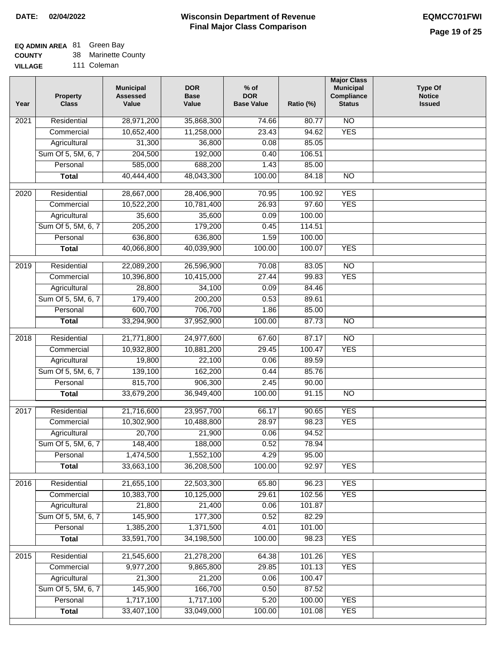## **EQ ADMIN AREA** 81 Green Bay

**COUNTY** 38 Marinette County

**VILLAGE** 111 Coleman

| Year              | <b>Property</b><br><b>Class</b> | <b>Municipal</b><br><b>Assessed</b><br>Value | <b>DOR</b><br><b>Base</b><br>Value | $%$ of<br><b>DOR</b><br><b>Base Value</b> | Ratio (%)       | <b>Major Class</b><br><b>Municipal</b><br>Compliance<br><b>Status</b> | Type Of<br><b>Notice</b><br><b>Issued</b> |
|-------------------|---------------------------------|----------------------------------------------|------------------------------------|-------------------------------------------|-----------------|-----------------------------------------------------------------------|-------------------------------------------|
| $\overline{202}1$ | Residential                     | 28,971,200                                   | 35,868,300                         | 74.66                                     | 80.77           | $\overline{NO}$                                                       |                                           |
|                   | Commercial                      | 10,652,400                                   | 11,258,000                         | 23.43                                     | 94.62           | <b>YES</b>                                                            |                                           |
|                   | Agricultural                    | 31,300                                       | 36,800                             | 0.08                                      | 85.05           |                                                                       |                                           |
|                   | Sum Of 5, 5M, 6, 7              | 204,500                                      | 192,000                            | 0.40                                      | 106.51          |                                                                       |                                           |
|                   | Personal                        | 585,000                                      | 688,200                            | 1.43                                      | 85.00           |                                                                       |                                           |
|                   | <b>Total</b>                    | 40,444,400                                   | 48,043,300                         | 100.00                                    | 84.18           | $\overline{NO}$                                                       |                                           |
| $\overline{2020}$ | Residential                     | 28,667,000                                   | 28,406,900                         | 70.95                                     | 100.92          | <b>YES</b>                                                            |                                           |
|                   | Commercial                      | 10,522,200                                   | 10,781,400                         | 26.93                                     | 97.60           | <b>YES</b>                                                            |                                           |
|                   | Agricultural                    | 35,600                                       | 35,600                             | 0.09                                      | 100.00          |                                                                       |                                           |
|                   | Sum Of 5, 5M, 6, 7              | 205,200                                      | 179,200                            | 0.45                                      | 114.51          |                                                                       |                                           |
|                   | Personal                        | 636,800                                      | 636,800                            | 1.59                                      | 100.00          |                                                                       |                                           |
|                   | <b>Total</b>                    | 40,066,800                                   | 40,039,900                         | 100.00                                    | 100.07          | <b>YES</b>                                                            |                                           |
| 2019              | Residential                     | 22,089,200                                   | 26,596,900                         | 70.08                                     | 83.05           | $\overline{NO}$                                                       |                                           |
|                   | Commercial                      | 10,396,800                                   | 10,415,000                         | 27.44                                     | 99.83           | <b>YES</b>                                                            |                                           |
|                   | Agricultural                    | 28,800                                       | 34,100                             | 0.09                                      | 84.46           |                                                                       |                                           |
|                   | Sum Of 5, 5M, 6, 7              | 179,400                                      | 200,200                            | 0.53                                      | 89.61           |                                                                       |                                           |
|                   | Personal                        | 600,700                                      | 706,700                            | 1.86                                      | 85.00           |                                                                       |                                           |
|                   | <b>Total</b>                    | 33,294,900                                   | 37,952,900                         | 100.00                                    | 87.73           | $\overline{NO}$                                                       |                                           |
|                   |                                 |                                              |                                    |                                           |                 |                                                                       |                                           |
| 2018              | Residential                     | 21,771,800                                   | 24,977,600                         | 67.60                                     | 87.17           | $\overline{NO}$<br><b>YES</b>                                         |                                           |
|                   | Commercial                      | 10,932,800                                   | 10,881,200                         | 29.45                                     | 100.47<br>89.59 |                                                                       |                                           |
|                   | Agricultural                    | 19,800<br>139,100                            | 22,100                             | 0.06                                      | 85.76           |                                                                       |                                           |
|                   | Sum Of 5, 5M, 6, 7<br>Personal  | 815,700                                      | 162,200<br>906,300                 | 0.44<br>2.45                              | 90.00           |                                                                       |                                           |
|                   | <b>Total</b>                    | 33,679,200                                   | 36,949,400                         | 100.00                                    | 91.15           | $\overline{NO}$                                                       |                                           |
|                   |                                 |                                              |                                    |                                           |                 |                                                                       |                                           |
| 2017              | Residential                     | 21,716,600                                   | 23,957,700                         | 66.17                                     | 90.65           | <b>YES</b>                                                            |                                           |
|                   | Commercial                      | 10,302,900                                   | 10,488,800                         | 28.97                                     | 98.23           | <b>YES</b>                                                            |                                           |
|                   | Agricultural                    | 20,700                                       | 21,900                             | 0.06                                      | 94.52           |                                                                       |                                           |
|                   | Sum Of 5, 5M, 6, 7              | 148,400                                      | 188,000                            | 0.52                                      | 78.94           |                                                                       |                                           |
|                   | Personal                        | 1,474,500                                    | 1,552,100                          | 4.29                                      | 95.00           |                                                                       |                                           |
|                   | <b>Total</b>                    | 33,663,100                                   | 36,208,500                         | 100.00                                    | 92.97           | <b>YES</b>                                                            |                                           |
| 2016              | Residential                     | 21,655,100                                   | 22,503,300                         | 65.80                                     | 96.23           | <b>YES</b>                                                            |                                           |
|                   | Commercial                      | 10,383,700                                   | 10,125,000                         | 29.61                                     | 102.56          | <b>YES</b>                                                            |                                           |
|                   | Agricultural                    | 21,800                                       | 21,400                             | 0.06                                      | 101.87          |                                                                       |                                           |
|                   | Sum Of 5, 5M, 6, 7              | 145,900                                      | 177,300                            | 0.52                                      | 82.29           |                                                                       |                                           |
|                   | Personal                        | 1,385,200                                    | 1,371,500                          | 4.01                                      | 101.00          |                                                                       |                                           |
|                   | <b>Total</b>                    | 33,591,700                                   | 34,198,500                         | 100.00                                    | 98.23           | <b>YES</b>                                                            |                                           |
| 2015              | Residential                     | 21,545,600                                   | 21,278,200                         | 64.38                                     | 101.26          | <b>YES</b>                                                            |                                           |
|                   | Commercial                      | 9,977,200                                    | 9,865,800                          | 29.85                                     | 101.13          | <b>YES</b>                                                            |                                           |
|                   | Agricultural                    | 21,300                                       | 21,200                             | 0.06                                      | 100.47          |                                                                       |                                           |
|                   | Sum Of 5, 5M, 6, 7              | 145,900                                      | 166,700                            | 0.50                                      | 87.52           |                                                                       |                                           |
|                   | Personal                        | 1,717,100                                    | 1,717,100                          | 5.20                                      | 100.00          | <b>YES</b>                                                            |                                           |
|                   | <b>Total</b>                    | 33,407,100                                   | 33,049,000                         | 100.00                                    | 101.08          | <b>YES</b>                                                            |                                           |
|                   |                                 |                                              |                                    |                                           |                 |                                                                       |                                           |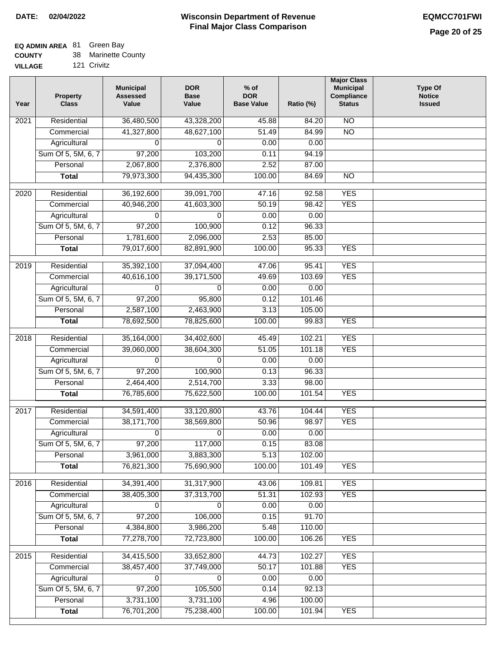# **EQ ADMIN AREA** 81 Green Bay

**VILLAGE** 121 Crivitz

| Year | <b>Property</b><br><b>Class</b> | <b>Municipal</b><br><b>Assessed</b><br>Value | <b>DOR</b><br><b>Base</b><br>Value | $%$ of<br><b>DOR</b><br><b>Base Value</b> | Ratio (%) | <b>Major Class</b><br><b>Municipal</b><br>Compliance<br><b>Status</b> | <b>Type Of</b><br><b>Notice</b><br><b>Issued</b> |
|------|---------------------------------|----------------------------------------------|------------------------------------|-------------------------------------------|-----------|-----------------------------------------------------------------------|--------------------------------------------------|
| 2021 | Residential                     | 36,480,500                                   | 43,328,200                         | 45.88                                     | 84.20     | $\overline{NO}$                                                       |                                                  |
|      | Commercial                      | 41,327,800                                   | 48,627,100                         | 51.49                                     | 84.99     | $\overline{NO}$                                                       |                                                  |
|      | Agricultural                    | 0                                            | 0                                  | 0.00                                      | 0.00      |                                                                       |                                                  |
|      | Sum Of 5, 5M, 6, 7              | 97,200                                       | 103,200                            | 0.11                                      | 94.19     |                                                                       |                                                  |
|      | Personal                        | 2,067,800                                    | 2,376,800                          | 2.52                                      | 87.00     |                                                                       |                                                  |
|      | <b>Total</b>                    | 79,973,300                                   | 94,435,300                         | 100.00                                    | 84.69     | $\overline{NO}$                                                       |                                                  |
| 2020 | Residential                     | 36,192,600                                   | 39,091,700                         | 47.16                                     | 92.58     | <b>YES</b>                                                            |                                                  |
|      | Commercial                      | 40,946,200                                   | 41,603,300                         | 50.19                                     | 98.42     | <b>YES</b>                                                            |                                                  |
|      | Agricultural                    | 0                                            | 0                                  | 0.00                                      | 0.00      |                                                                       |                                                  |
|      | Sum Of 5, 5M, 6, 7              | 97,200                                       | 100,900                            | 0.12                                      | 96.33     |                                                                       |                                                  |
|      | Personal                        | 1,781,600                                    | 2,096,000                          | 2.53                                      | 85.00     |                                                                       |                                                  |
|      | <b>Total</b>                    | 79,017,600                                   | 82,891,900                         | 100.00                                    | 95.33     | <b>YES</b>                                                            |                                                  |
| 2019 | Residential                     | 35,392,100                                   | 37,094,400                         | 47.06                                     | 95.41     | <b>YES</b>                                                            |                                                  |
|      | Commercial                      | 40,616,100                                   | 39,171,500                         | 49.69                                     | 103.69    | <b>YES</b>                                                            |                                                  |
|      | Agricultural                    | 0                                            | 0                                  | 0.00                                      | 0.00      |                                                                       |                                                  |
|      | Sum Of 5, 5M, 6, 7              | 97,200                                       | 95,800                             | 0.12                                      | 101.46    |                                                                       |                                                  |
|      | Personal                        | 2,587,100                                    | 2,463,900                          | 3.13                                      | 105.00    |                                                                       |                                                  |
|      | <b>Total</b>                    | 78,692,500                                   | 78,825,600                         | 100.00                                    | 99.83     | <b>YES</b>                                                            |                                                  |
|      |                                 |                                              |                                    |                                           |           |                                                                       |                                                  |
| 2018 | Residential                     | 35,164,000                                   | 34,402,600                         | 45.49                                     | 102.21    | <b>YES</b>                                                            |                                                  |
|      | Commercial                      | 39,060,000                                   | 38,604,300                         | 51.05                                     | 101.18    | <b>YES</b>                                                            |                                                  |
|      | Agricultural                    | 0                                            | 0                                  | 0.00                                      | 0.00      |                                                                       |                                                  |
|      | Sum Of 5, 5M, 6, 7              | 97,200                                       | 100,900                            | 0.13                                      | 96.33     |                                                                       |                                                  |
|      | Personal                        | 2,464,400                                    | 2,514,700                          | 3.33                                      | 98.00     |                                                                       |                                                  |
|      | <b>Total</b>                    | 76,785,600                                   | 75,622,500                         | 100.00                                    | 101.54    | <b>YES</b>                                                            |                                                  |
| 2017 | Residential                     | 34,591,400                                   | 33,120,800                         | 43.76                                     | 104.44    | <b>YES</b>                                                            |                                                  |
|      | Commercial                      | 38,171,700                                   | 38,569,800                         | 50.96                                     | 98.97     | <b>YES</b>                                                            |                                                  |
|      | Agricultural                    | 0                                            | 0                                  | 0.00                                      | 0.00      |                                                                       |                                                  |
|      | Sum Of 5, 5M, 6, 7              | 97,200                                       | 117,000                            | 0.15                                      | 83.08     |                                                                       |                                                  |
|      | Personal                        | 3,961,000                                    | 3,883,300                          | 5.13                                      | 102.00    |                                                                       |                                                  |
|      | <b>Total</b>                    | 76,821,300                                   | 75,690,900                         | 100.00                                    | 101.49    | <b>YES</b>                                                            |                                                  |
| 2016 | Residential                     | 34,391,400                                   | 31,317,900                         | 43.06                                     | 109.81    | <b>YES</b>                                                            |                                                  |
|      | Commercial                      | 38,405,300                                   | 37,313,700                         | 51.31                                     | 102.93    | <b>YES</b>                                                            |                                                  |
|      | Agricultural                    | 0                                            | 0                                  | 0.00                                      | 0.00      |                                                                       |                                                  |
|      | Sum Of 5, 5M, 6, 7              | 97,200                                       | 106,000                            | 0.15                                      | 91.70     |                                                                       |                                                  |
|      | Personal                        | 4,384,800                                    | 3,986,200                          | 5.48                                      | 110.00    |                                                                       |                                                  |
|      | <b>Total</b>                    | 77,278,700                                   | 72,723,800                         | 100.00                                    | 106.26    | <b>YES</b>                                                            |                                                  |
|      |                                 |                                              |                                    |                                           |           |                                                                       |                                                  |
| 2015 | Residential                     | 34,415,500                                   | 33,652,800                         | 44.73                                     | 102.27    | <b>YES</b>                                                            |                                                  |
|      | Commercial                      | 38,457,400                                   | 37,749,000                         | 50.17                                     | 101.88    | <b>YES</b>                                                            |                                                  |
|      | Agricultural                    | 0                                            | 0                                  | 0.00                                      | 0.00      |                                                                       |                                                  |
|      | Sum Of 5, 5M, 6, 7              | 97,200                                       | 105,500                            | 0.14                                      | 92.13     |                                                                       |                                                  |
|      | Personal                        | 3,731,100                                    | 3,731,100                          | 4.96                                      | 100.00    |                                                                       |                                                  |
|      | <b>Total</b>                    | 76,701,200                                   | 75,238,400                         | 100.00                                    | 101.94    | <b>YES</b>                                                            |                                                  |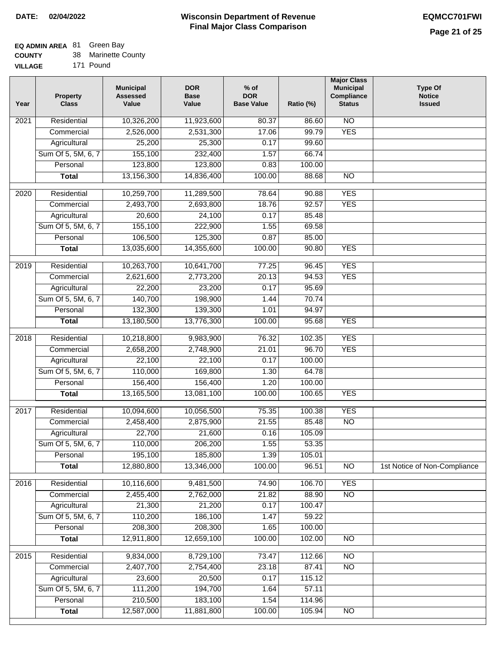# **EQ ADMIN AREA** 81 Green Bay

**COUNTY** 38 Marinette County

**VILLAGE** 171 Pound

| Year | <b>Property</b><br><b>Class</b> | <b>Municipal</b><br><b>Assessed</b><br>Value | <b>DOR</b><br><b>Base</b><br>Value | $%$ of<br><b>DOR</b><br><b>Base Value</b> | Ratio (%) | <b>Major Class</b><br><b>Municipal</b><br>Compliance<br><b>Status</b> | <b>Type Of</b><br><b>Notice</b><br><b>Issued</b> |
|------|---------------------------------|----------------------------------------------|------------------------------------|-------------------------------------------|-----------|-----------------------------------------------------------------------|--------------------------------------------------|
| 2021 | Residential                     | 10,326,200                                   | 11,923,600                         | 80.37                                     | 86.60     | N <sub>O</sub>                                                        |                                                  |
|      | Commercial                      | 2,526,000                                    | 2,531,300                          | 17.06                                     | 99.79     | <b>YES</b>                                                            |                                                  |
|      | Agricultural                    | 25,200                                       | 25,300                             | 0.17                                      | 99.60     |                                                                       |                                                  |
|      | Sum Of 5, 5M, 6, 7              | 155,100                                      | 232,400                            | 1.57                                      | 66.74     |                                                                       |                                                  |
|      | Personal                        | 123,800                                      | 123,800                            | 0.83                                      | 100.00    |                                                                       |                                                  |
|      | <b>Total</b>                    | 13,156,300                                   | 14,836,400                         | 100.00                                    | 88.68     | $\overline{NO}$                                                       |                                                  |
| 2020 | Residential                     | 10,259,700                                   | 11,289,500                         | 78.64                                     | 90.88     | <b>YES</b>                                                            |                                                  |
|      | Commercial                      | 2,493,700                                    | 2,693,800                          | 18.76                                     | 92.57     | <b>YES</b>                                                            |                                                  |
|      | Agricultural                    | 20,600                                       | 24,100                             | 0.17                                      | 85.48     |                                                                       |                                                  |
|      | Sum Of 5, 5M, 6, 7              | 155,100                                      | 222,900                            | 1.55                                      | 69.58     |                                                                       |                                                  |
|      | Personal                        | 106,500                                      | 125,300                            | 0.87                                      | 85.00     |                                                                       |                                                  |
|      | <b>Total</b>                    | 13,035,600                                   | 14,355,600                         | 100.00                                    | 90.80     | <b>YES</b>                                                            |                                                  |
|      |                                 |                                              |                                    |                                           |           |                                                                       |                                                  |
| 2019 | Residential                     | 10,263,700                                   | 10,641,700                         | 77.25                                     | 96.45     | <b>YES</b>                                                            |                                                  |
|      | Commercial                      | 2,621,600                                    | 2,773,200                          | 20.13                                     | 94.53     | <b>YES</b>                                                            |                                                  |
|      | Agricultural                    | 22,200                                       | 23,200                             | 0.17                                      | 95.69     |                                                                       |                                                  |
|      | Sum Of 5, 5M, 6, 7              | 140,700                                      | 198,900                            | 1.44                                      | 70.74     |                                                                       |                                                  |
|      | Personal                        | 132,300                                      | 139,300                            | 1.01                                      | 94.97     |                                                                       |                                                  |
|      | <b>Total</b>                    | 13,180,500                                   | 13,776,300                         | 100.00                                    | 95.68     | <b>YES</b>                                                            |                                                  |
| 2018 | Residential                     | 10,218,800                                   | 9,983,900                          | 76.32                                     | 102.35    | <b>YES</b>                                                            |                                                  |
|      | Commercial                      | 2,658,200                                    | 2,748,900                          | 21.01                                     | 96.70     | <b>YES</b>                                                            |                                                  |
|      | Agricultural                    | 22,100                                       | 22,100                             | 0.17                                      | 100.00    |                                                                       |                                                  |
|      | Sum Of 5, 5M, 6, 7              | 110,000                                      | 169,800                            | 1.30                                      | 64.78     |                                                                       |                                                  |
|      | Personal                        | 156,400                                      | 156,400                            | 1.20                                      | 100.00    |                                                                       |                                                  |
|      | <b>Total</b>                    | 13,165,500                                   | 13,081,100                         | 100.00                                    | 100.65    | <b>YES</b>                                                            |                                                  |
| 2017 | Residential                     | 10,094,600                                   | 10,056,500                         | 75.35                                     | 100.38    | <b>YES</b>                                                            |                                                  |
|      | Commercial                      | 2,458,400                                    | 2,875,900                          | 21.55                                     | 85.48     | $\overline{N}$                                                        |                                                  |
|      | Agricultural                    | 22,700                                       | 21,600                             | 0.16                                      | 105.09    |                                                                       |                                                  |
|      | Sum Of 5, 5M, 6, 7              | 110,000                                      | 206,200                            | 1.55                                      | 53.35     |                                                                       |                                                  |
|      | Personal                        | 195,100                                      | 185,800                            | 1.39                                      | 105.01    |                                                                       |                                                  |
|      | <b>Total</b>                    | 12,880,800                                   | 13,346,000                         | 100.00                                    | 96.51     | <b>NO</b>                                                             | 1st Notice of Non-Compliance                     |
| 2016 | Residential                     | 10,116,600                                   | 9,481,500                          | 74.90                                     | 106.70    | <b>YES</b>                                                            |                                                  |
|      | Commercial                      | 2,455,400                                    | 2,762,000                          | 21.82                                     | 88.90     | $\overline{NO}$                                                       |                                                  |
|      | Agricultural                    | 21,300                                       | 21,200                             | 0.17                                      | 100.47    |                                                                       |                                                  |
|      | Sum Of 5, 5M, 6, 7              | 110,200                                      | 186,100                            | 1.47                                      | 59.22     |                                                                       |                                                  |
|      | Personal                        | 208,300                                      | 208,300                            | 1.65                                      | 100.00    |                                                                       |                                                  |
|      | <b>Total</b>                    | 12,911,800                                   | 12,659,100                         | 100.00                                    | 102.00    | N <sub>O</sub>                                                        |                                                  |
| 2015 | Residential                     |                                              |                                    | 73.47                                     | 112.66    | <b>NO</b>                                                             |                                                  |
|      |                                 | 9,834,000<br>2,407,700                       | 8,729,100<br>2,754,400             | 23.18                                     | 87.41     | N <sub>O</sub>                                                        |                                                  |
|      | Commercial<br>Agricultural      | 23,600                                       | 20,500                             | 0.17                                      | 115.12    |                                                                       |                                                  |
|      | Sum Of 5, 5M, 6, 7              | 111,200                                      | 194,700                            | 1.64                                      | 57.11     |                                                                       |                                                  |
|      | Personal                        | 210,500                                      | 183,100                            | 1.54                                      | 114.96    |                                                                       |                                                  |
|      | <b>Total</b>                    | 12,587,000                                   | 11,881,800                         | 100.00                                    | 105.94    | N <sub>O</sub>                                                        |                                                  |
|      |                                 |                                              |                                    |                                           |           |                                                                       |                                                  |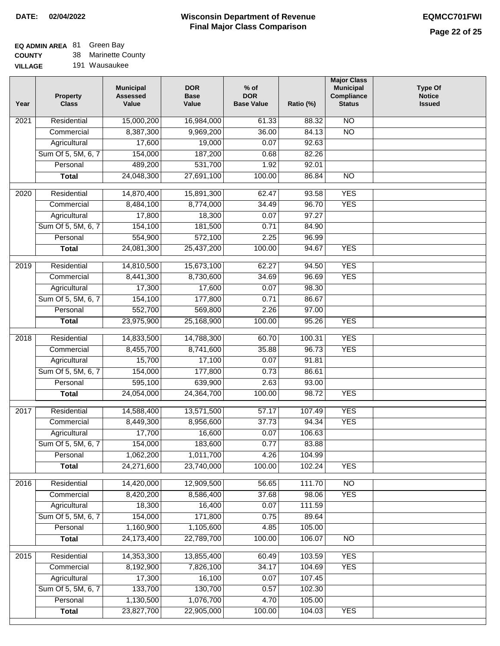### **Wisconsin Department of Revenue Final Major Class Comparison DATE: 02/04/2022 EQMCC701FWI**

٦

# **EQ ADMIN AREA** 81 Green Bay

**COUNTY VILLAGE** 38 Marinette County

| Year             | <b>Property</b><br><b>Class</b> | <b>Municipal</b><br><b>Assessed</b><br>Value | <b>DOR</b><br><b>Base</b><br>Value | $%$ of<br><b>DOR</b><br><b>Base Value</b> | Ratio (%) | <b>Major Class</b><br><b>Municipal</b><br>Compliance<br><b>Status</b> | <b>Type Of</b><br><b>Notice</b><br><b>Issued</b> |
|------------------|---------------------------------|----------------------------------------------|------------------------------------|-------------------------------------------|-----------|-----------------------------------------------------------------------|--------------------------------------------------|
| 2021             | Residential                     | 15,000,200                                   | 16,984,000                         | 61.33                                     | 88.32     | <b>NO</b>                                                             |                                                  |
|                  | Commercial                      | 8,387,300                                    | 9,969,200                          | 36.00                                     | 84.13     | $\overline{NO}$                                                       |                                                  |
|                  | Agricultural                    | 17,600                                       | 19,000                             | 0.07                                      | 92.63     |                                                                       |                                                  |
|                  | Sum Of 5, 5M, 6, 7              | 154,000                                      | 187,200                            | 0.68                                      | 82.26     |                                                                       |                                                  |
|                  | Personal                        | 489,200                                      | 531,700                            | 1.92                                      | 92.01     |                                                                       |                                                  |
|                  | <b>Total</b>                    | 24,048,300                                   | 27,691,100                         | 100.00                                    | 86.84     | $\overline{NO}$                                                       |                                                  |
| $\frac{1}{2020}$ | Residential                     | 14,870,400                                   | 15,891,300                         | 62.47                                     | 93.58     | <b>YES</b>                                                            |                                                  |
|                  | Commercial                      | 8,484,100                                    | 8,774,000                          | 34.49                                     | 96.70     | <b>YES</b>                                                            |                                                  |
|                  | Agricultural                    | 17,800                                       | 18,300                             | 0.07                                      | 97.27     |                                                                       |                                                  |
|                  | Sum Of 5, 5M, 6, 7              | 154,100                                      | 181,500                            | 0.71                                      | 84.90     |                                                                       |                                                  |
|                  | Personal                        | 554,900                                      | 572,100                            | 2.25                                      | 96.99     |                                                                       |                                                  |
|                  | <b>Total</b>                    | 24,081,300                                   | 25,437,200                         | 100.00                                    | 94.67     | <b>YES</b>                                                            |                                                  |
|                  |                                 |                                              |                                    |                                           |           |                                                                       |                                                  |
| 2019             | Residential                     | 14,810,500                                   | 15,673,100                         | 62.27                                     | 94.50     | <b>YES</b>                                                            |                                                  |
|                  | Commercial                      | 8,441,300                                    | 8,730,600                          | 34.69                                     | 96.69     | <b>YES</b>                                                            |                                                  |
|                  | Agricultural                    | 17,300                                       | 17,600                             | 0.07                                      | 98.30     |                                                                       |                                                  |
|                  | Sum Of 5, 5M, 6, 7              | 154,100                                      | 177,800                            | 0.71                                      | 86.67     |                                                                       |                                                  |
|                  | Personal                        | 552,700                                      | 569,800                            | 2.26                                      | 97.00     |                                                                       |                                                  |
|                  | $\overline{\text{Total}}$       | 23,975,900                                   | 25,168,900                         | 100.00                                    | 95.26     | <b>YES</b>                                                            |                                                  |
| 2018             | Residential                     | 14,833,500                                   | 14,788,300                         | 60.70                                     | 100.31    | <b>YES</b>                                                            |                                                  |
|                  | Commercial                      | 8,455,700                                    | 8,741,600                          | 35.88                                     | 96.73     | <b>YES</b>                                                            |                                                  |
|                  | Agricultural                    | 15,700                                       | 17,100                             | 0.07                                      | 91.81     |                                                                       |                                                  |
|                  | Sum Of 5, 5M, 6, 7              | 154,000                                      | 177,800                            | 0.73                                      | 86.61     |                                                                       |                                                  |
|                  | Personal                        | 595,100                                      | 639,900                            | 2.63                                      | 93.00     |                                                                       |                                                  |
|                  | <b>Total</b>                    | 24,054,000                                   | 24,364,700                         | 100.00                                    | 98.72     | <b>YES</b>                                                            |                                                  |
| 2017             | Residential                     | 14,588,400                                   | 13,571,500                         | 57.17                                     | 107.49    | <b>YES</b>                                                            |                                                  |
|                  | Commercial                      | 8,449,300                                    | 8,956,600                          | 37.73                                     | 94.34     | <b>YES</b>                                                            |                                                  |
|                  | Agricultural                    | 17,700                                       | 16,600                             | 0.07                                      | 106.63    |                                                                       |                                                  |
|                  | Sum Of 5, 5M, 6, 7              | 154,000                                      | 183,600                            | 0.77                                      | 83.88     |                                                                       |                                                  |
|                  | Personal                        | 1,062,200                                    | 1,011,700                          | 4.26                                      | 104.99    |                                                                       |                                                  |
|                  | <b>Total</b>                    | 24,271,600                                   | 23,740,000                         | 100.00                                    | 102.24    | <b>YES</b>                                                            |                                                  |
|                  |                                 |                                              |                                    |                                           |           |                                                                       |                                                  |
| 2016             | Residential                     | 14,420,000                                   | 12,909,500                         | 56.65                                     | 111.70    | N <sub>O</sub>                                                        |                                                  |
|                  | Commercial                      | 8,420,200                                    | 8,586,400                          | 37.68                                     | 98.06     | <b>YES</b>                                                            |                                                  |
|                  | Agricultural                    | 18,300                                       | 16,400                             | 0.07                                      | 111.59    |                                                                       |                                                  |
|                  | Sum Of 5, 5M, 6, 7              | 154,000                                      | 171,800                            | 0.75                                      | 89.64     |                                                                       |                                                  |
|                  | Personal                        | 1,160,900                                    | 1,105,600                          | 4.85                                      | 105.00    |                                                                       |                                                  |
|                  | <b>Total</b>                    | 24,173,400                                   | 22,789,700                         | 100.00                                    | 106.07    | $\overline{NO}$                                                       |                                                  |
| 2015             | Residential                     | 14,353,300                                   | 13,855,400                         | 60.49                                     | 103.59    | <b>YES</b>                                                            |                                                  |
|                  | Commercial                      | 8,192,900                                    | 7,826,100                          | 34.17                                     | 104.69    | <b>YES</b>                                                            |                                                  |
|                  | Agricultural                    | 17,300                                       | 16,100                             | 0.07                                      | 107.45    |                                                                       |                                                  |
|                  | Sum Of 5, 5M, 6, 7              | 133,700                                      | 130,700                            | 0.57                                      | 102.30    |                                                                       |                                                  |
|                  | Personal                        | 1,130,500                                    | 1,076,700                          | 4.70                                      | 105.00    |                                                                       |                                                  |
|                  | <b>Total</b>                    | 23,827,700                                   | 22,905,000                         | 100.00                                    | 104.03    | <b>YES</b>                                                            |                                                  |
|                  |                                 |                                              |                                    |                                           |           |                                                                       |                                                  |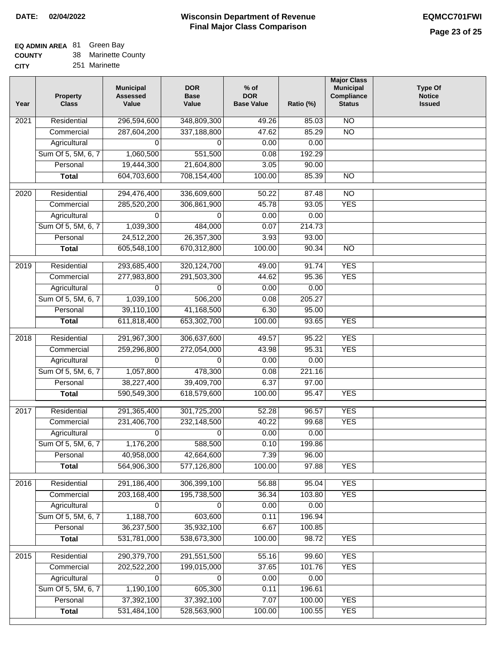## **EQ ADMIN AREA** 81 Green Bay

**COUNTY CITY** 38 Marinette County

251 Marinette

| Year              | <b>Property</b><br><b>Class</b> | <b>Municipal</b><br><b>Assessed</b><br>Value | <b>DOR</b><br><b>Base</b><br>Value | $%$ of<br><b>DOR</b><br><b>Base Value</b> | Ratio (%) | <b>Major Class</b><br><b>Municipal</b><br>Compliance<br><b>Status</b> | <b>Type Of</b><br><b>Notice</b><br><b>Issued</b> |
|-------------------|---------------------------------|----------------------------------------------|------------------------------------|-------------------------------------------|-----------|-----------------------------------------------------------------------|--------------------------------------------------|
| $\overline{202}1$ | Residential                     | 296,594,600                                  | 348,809,300                        | 49.26                                     | 85.03     | $\overline{NO}$                                                       |                                                  |
|                   | Commercial                      | 287,604,200                                  | 337,188,800                        | 47.62                                     | 85.29     | $\overline{NO}$                                                       |                                                  |
|                   | Agricultural                    | 0                                            | 0                                  | 0.00                                      | 0.00      |                                                                       |                                                  |
|                   | Sum Of 5, 5M, 6, 7              | 1,060,500                                    | 551,500                            | 0.08                                      | 192.29    |                                                                       |                                                  |
|                   | Personal                        | 19,444,300                                   | 21,604,800                         | 3.05                                      | 90.00     |                                                                       |                                                  |
|                   | <b>Total</b>                    | 604,703,600                                  | 708,154,400                        | 100.00                                    | 85.39     | $\overline{NO}$                                                       |                                                  |
| 2020              | Residential                     | 294,476,400                                  | 336,609,600                        | 50.22                                     | 87.48     | $\overline{NO}$                                                       |                                                  |
|                   | Commercial                      | 285,520,200                                  | 306,861,900                        | 45.78                                     | 93.05     | <b>YES</b>                                                            |                                                  |
|                   | Agricultural                    | 0                                            | 0                                  | 0.00                                      | 0.00      |                                                                       |                                                  |
|                   | Sum Of 5, 5M, 6, 7              | 1,039,300                                    | 484,000                            | 0.07                                      | 214.73    |                                                                       |                                                  |
|                   | Personal                        | 24,512,200                                   | 26, 357, 300                       | 3.93                                      | 93.00     |                                                                       |                                                  |
|                   | <b>Total</b>                    | 605,548,100                                  | 670,312,800                        | 100.00                                    | 90.34     | $\overline{NO}$                                                       |                                                  |
|                   |                                 |                                              |                                    |                                           |           |                                                                       |                                                  |
| 2019              | Residential                     | 293,685,400                                  | 320, 124, 700                      | 49.00                                     | 91.74     | <b>YES</b>                                                            |                                                  |
|                   | Commercial                      | 277,983,800                                  | 291,503,300                        | 44.62                                     | 95.36     | <b>YES</b>                                                            |                                                  |
|                   | Agricultural                    | 0                                            | $\Omega$                           | 0.00                                      | 0.00      |                                                                       |                                                  |
|                   | Sum Of 5, 5M, 6, 7              | 1,039,100                                    | 506,200                            | 0.08                                      | 205.27    |                                                                       |                                                  |
|                   | Personal                        | 39,110,100                                   | 41,168,500                         | 6.30                                      | 95.00     |                                                                       |                                                  |
|                   | <b>Total</b>                    | 611,818,400                                  | 653,302,700                        | 100.00                                    | 93.65     | <b>YES</b>                                                            |                                                  |
| 2018              | Residential                     | 291,967,300                                  | 306,637,600                        | 49.57                                     | 95.22     | <b>YES</b>                                                            |                                                  |
|                   | Commercial                      | 259,296,800                                  | 272,054,000                        | 43.98                                     | 95.31     | <b>YES</b>                                                            |                                                  |
|                   | Agricultural                    | 0                                            | 0                                  | 0.00                                      | 0.00      |                                                                       |                                                  |
|                   | Sum Of 5, 5M, 6, 7              | 1,057,800                                    | 478,300                            | 0.08                                      | 221.16    |                                                                       |                                                  |
|                   | Personal                        | 38,227,400                                   | 39,409,700                         | 6.37                                      | 97.00     |                                                                       |                                                  |
|                   | <b>Total</b>                    | 590,549,300                                  | 618,579,600                        | 100.00                                    | 95.47     | <b>YES</b>                                                            |                                                  |
| 2017              | Residential                     | 291,365,400                                  | 301,725,200                        | 52.28                                     | 96.57     | <b>YES</b>                                                            |                                                  |
|                   | Commercial                      | 231,406,700                                  | 232,148,500                        | 40.22                                     | 99.68     | <b>YES</b>                                                            |                                                  |
|                   | Agricultural                    | 0                                            | $\Omega$                           | 0.00                                      | 0.00      |                                                                       |                                                  |
|                   | Sum Of 5, 5M, 6, 7              | 1,176,200                                    | 588,500                            | 0.10                                      | 199.86    |                                                                       |                                                  |
|                   | Personal                        | 40,958,000                                   | 42,664,600                         | 7.39                                      | 96.00     |                                                                       |                                                  |
|                   | <b>Total</b>                    | 564,906,300                                  | 577,126,800                        | 100.00                                    | 97.88     | <b>YES</b>                                                            |                                                  |
| 2016              | Residential                     | 291,186,400                                  | 306,399,100                        | 56.88                                     | 95.04     | <b>YES</b>                                                            |                                                  |
|                   | Commercial                      | 203,168,400                                  | 195,738,500                        | 36.34                                     | 103.80    | <b>YES</b>                                                            |                                                  |
|                   | Agricultural                    | 0                                            | 0                                  | 0.00                                      | 0.00      |                                                                       |                                                  |
|                   | Sum Of 5, 5M, 6, 7              | 1,188,700                                    | 603,600                            | 0.11                                      | 196.94    |                                                                       |                                                  |
|                   | Personal                        | 36,237,500                                   | 35,932,100                         | 6.67                                      | 100.85    |                                                                       |                                                  |
|                   | <b>Total</b>                    | 531,781,000                                  | 538,673,300                        | 100.00                                    | 98.72     | <b>YES</b>                                                            |                                                  |
| 2015              | Residential                     | 290,379,700                                  | 291,551,500                        | 55.16                                     | 99.60     | <b>YES</b>                                                            |                                                  |
|                   | Commercial                      | 202,522,200                                  | 199,015,000                        | 37.65                                     | 101.76    | <b>YES</b>                                                            |                                                  |
|                   | Agricultural                    | 0                                            | 0                                  | 0.00                                      | 0.00      |                                                                       |                                                  |
|                   | Sum Of 5, 5M, 6, 7              | 1,190,100                                    | 605,300                            | 0.11                                      | 196.61    |                                                                       |                                                  |
|                   | Personal                        | 37,392,100                                   | 37,392,100                         | 7.07                                      | 100.00    | <b>YES</b>                                                            |                                                  |
|                   | <b>Total</b>                    | 531,484,100                                  | 528,563,900                        | 100.00                                    | 100.55    | <b>YES</b>                                                            |                                                  |
|                   |                                 |                                              |                                    |                                           |           |                                                                       |                                                  |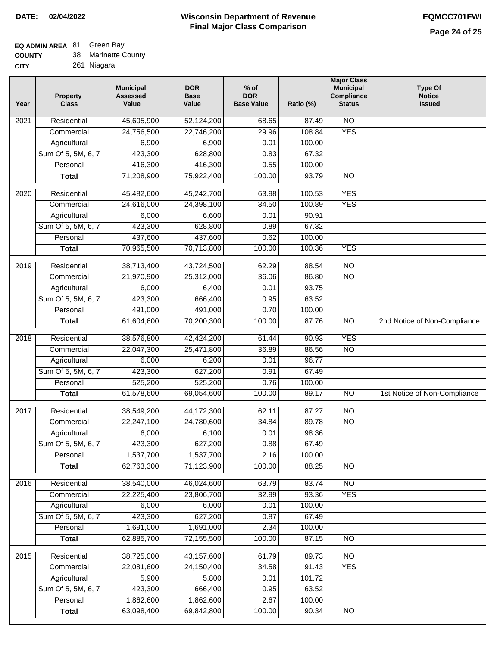## **EQ ADMIN AREA** 81 Green Bay

| <b>COUNTY</b> |  | Marinette County |
|---------------|--|------------------|
|---------------|--|------------------|

**CITY** 261 Niagara

| Year | <b>Property</b><br><b>Class</b> | <b>Municipal</b><br><b>Assessed</b><br>Value | <b>DOR</b><br><b>Base</b><br>Value | $%$ of<br><b>DOR</b><br><b>Base Value</b> | Ratio (%) | <b>Major Class</b><br><b>Municipal</b><br>Compliance<br><b>Status</b> | <b>Type Of</b><br><b>Notice</b><br><b>Issued</b> |
|------|---------------------------------|----------------------------------------------|------------------------------------|-------------------------------------------|-----------|-----------------------------------------------------------------------|--------------------------------------------------|
| 2021 | Residential                     | 45,605,900                                   | 52,124,200                         | 68.65                                     | 87.49     | $\overline{NO}$                                                       |                                                  |
|      | Commercial                      | 24,756,500                                   | 22,746,200                         | 29.96                                     | 108.84    | <b>YES</b>                                                            |                                                  |
|      | Agricultural                    | 6,900                                        | 6,900                              | 0.01                                      | 100.00    |                                                                       |                                                  |
|      | Sum Of 5, 5M, 6, 7              | 423,300                                      | 628,800                            | 0.83                                      | 67.32     |                                                                       |                                                  |
|      | Personal                        | 416,300                                      | 416,300                            | 0.55                                      | 100.00    |                                                                       |                                                  |
|      | <b>Total</b>                    | 71,208,900                                   | 75,922,400                         | 100.00                                    | 93.79     | $\overline{NO}$                                                       |                                                  |
| 2020 | Residential                     | 45,482,600                                   | 45,242,700                         | 63.98                                     | 100.53    | <b>YES</b>                                                            |                                                  |
|      | Commercial                      | 24,616,000                                   | 24,398,100                         | 34.50                                     | 100.89    | <b>YES</b>                                                            |                                                  |
|      | Agricultural                    | 6,000                                        | 6,600                              | 0.01                                      | 90.91     |                                                                       |                                                  |
|      | Sum Of 5, 5M, 6, 7              | 423,300                                      | 628,800                            | 0.89                                      | 67.32     |                                                                       |                                                  |
|      | Personal                        | 437,600                                      | 437,600                            | 0.62                                      | 100.00    |                                                                       |                                                  |
|      | <b>Total</b>                    | 70,965,500                                   | 70,713,800                         | 100.00                                    | 100.36    | <b>YES</b>                                                            |                                                  |
| 2019 | Residential                     | 38,713,400                                   | 43,724,500                         | 62.29                                     | 88.54     | $\overline{NO}$                                                       |                                                  |
|      | Commercial                      | 21,970,900                                   | 25,312,000                         | 36.06                                     | 86.80     | $\overline{NO}$                                                       |                                                  |
|      | Agricultural                    | 6,000                                        | 6,400                              | 0.01                                      | 93.75     |                                                                       |                                                  |
|      | Sum Of 5, 5M, 6, 7              | 423,300                                      | 666,400                            | 0.95                                      | 63.52     |                                                                       |                                                  |
|      | Personal                        | 491,000                                      | 491,000                            | 0.70                                      | 100.00    |                                                                       |                                                  |
|      | <b>Total</b>                    | 61,604,600                                   | 70,200,300                         | 100.00                                    | 87.76     | $\overline{NO}$                                                       | 2nd Notice of Non-Compliance                     |
| 2018 | Residential                     | 38,576,800                                   | 42,424,200                         | 61.44                                     | 90.93     | <b>YES</b>                                                            |                                                  |
|      | Commercial                      | 22,047,300                                   | 25,471,800                         | 36.89                                     | 86.56     | <b>NO</b>                                                             |                                                  |
|      | Agricultural                    | 6,000                                        | 6,200                              | 0.01                                      | 96.77     |                                                                       |                                                  |
|      | Sum Of 5, 5M, 6, 7              | 423,300                                      | 627,200                            | 0.91                                      | 67.49     |                                                                       |                                                  |
|      | Personal                        | 525,200                                      | 525,200                            | 0.76                                      | 100.00    |                                                                       |                                                  |
|      | <b>Total</b>                    | 61,578,600                                   | 69,054,600                         | 100.00                                    | 89.17     | $\overline{NO}$                                                       | 1st Notice of Non-Compliance                     |
| 2017 | Residential                     | 38,549,200                                   | 44,172,300                         | 62.11                                     | 87.27     | $\overline{NO}$                                                       |                                                  |
|      | Commercial                      | 22,247,100                                   | 24,780,600                         | 34.84                                     | 89.78     | $\overline{NO}$                                                       |                                                  |
|      | Agricultural                    | 6,000                                        | 6,100                              | 0.01                                      | 98.36     |                                                                       |                                                  |
|      | Sum Of 5, 5M, 6, 7              | 423,300                                      | 627,200                            | 0.88                                      | 67.49     |                                                                       |                                                  |
|      | Personal                        | 1,537,700                                    | 1,537,700                          | 2.16                                      | 100.00    |                                                                       |                                                  |
|      | <b>Total</b>                    | 62,763,300                                   | 71,123,900                         | 100.00                                    | 88.25     | <b>NO</b>                                                             |                                                  |
| 2016 | Residential                     | 38,540,000                                   | 46,024,600                         | 63.79                                     | 83.74     | $\overline{NO}$                                                       |                                                  |
|      | Commercial                      | 22,225,400                                   | 23,806,700                         | 32.99                                     | 93.36     | <b>YES</b>                                                            |                                                  |
|      | Agricultural                    | 6,000                                        | 6,000                              | 0.01                                      | 100.00    |                                                                       |                                                  |
|      | Sum Of 5, 5M, 6, 7              | 423,300                                      | 627,200                            | 0.87                                      | 67.49     |                                                                       |                                                  |
|      | Personal                        | 1,691,000                                    | 1,691,000                          | 2.34                                      | 100.00    |                                                                       |                                                  |
|      | <b>Total</b>                    | 62,885,700                                   | 72,155,500                         | 100.00                                    | 87.15     | N <sub>O</sub>                                                        |                                                  |
| 2015 | Residential                     | 38,725,000                                   | 43,157,600                         | 61.79                                     | 89.73     | $\overline{NO}$                                                       |                                                  |
|      | Commercial                      | 22,081,600                                   | 24,150,400                         | 34.58                                     | 91.43     | <b>YES</b>                                                            |                                                  |
|      | Agricultural                    | 5,900                                        | 5,800                              | 0.01                                      | 101.72    |                                                                       |                                                  |
|      | Sum Of 5, 5M, 6, 7              | 423,300                                      | 666,400                            | 0.95                                      | 63.52     |                                                                       |                                                  |
|      | Personal                        | 1,862,600                                    | 1,862,600                          | 2.67                                      | 100.00    |                                                                       |                                                  |
|      | <b>Total</b>                    | 63,098,400                                   | 69,842,800                         | 100.00                                    | 90.34     | NO                                                                    |                                                  |